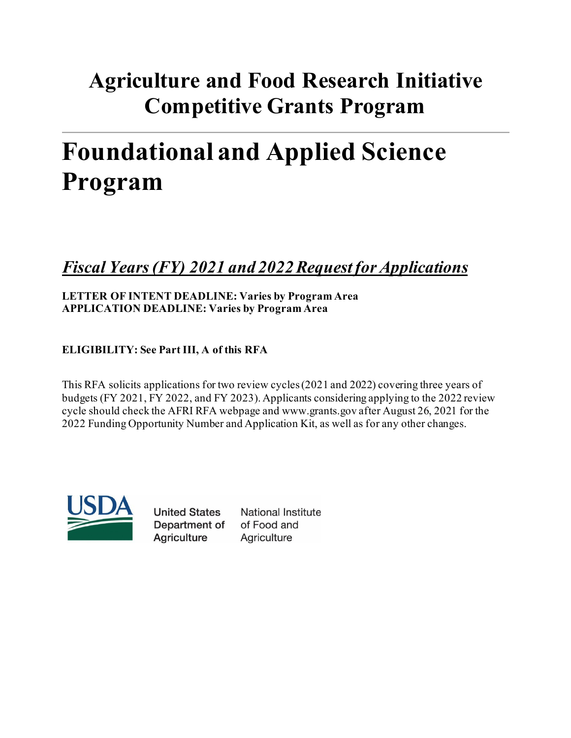# **Agriculture and Food Research Initiative Competitive Grants Program**

# **Foundational and Applied Science Program**

## *Fiscal Years(FY) 2021 and 2022Request for Applications*

## **LETTER OF INTENT DEADLINE: Varies by Program Area APPLICATION DEADLINE: Varies by Program Area**

## **ELIGIBILITY: See Part III, A of this RFA**

This RFA solicits applications for two review cycles (2021 and 2022) covering three years of budgets (FY 2021, FY 2022, and FY 2023). Applicants considering applying to the 2022 review cycle should check the AFRI RFA webpage and www.grants.gov after August 26, 2021 for the 2022 Funding Opportunity Number and Application Kit, as well as for any other changes.



**United States** Department of **Agriculture** 

**National Institute** of Food and Agriculture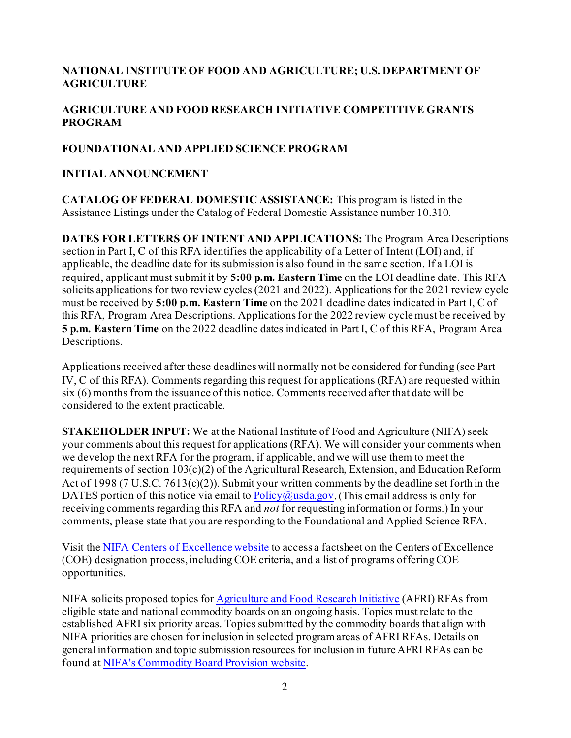#### **NATIONAL INSTITUTE OF FOOD AND AGRICULTURE; U.S. DEPARTMENT OF AGRICULTURE**

## **AGRICULTURE AND FOOD RESEARCH INITIATIVE COMPETITIVE GRANTS PROGRAM**

#### **FOUNDATIONAL AND APPLIED SCIENCE PROGRAM**

#### **INITIAL ANNOUNCEMENT**

**CATALOG OF FEDERAL DOMESTIC ASSISTANCE:** This program is listed in the Assistance Listings under the Catalog of Federal Domestic Assistance number 10.310.

**DATES FOR LETTERS OF INTENT AND APPLICATIONS:** The Program Area Descriptions section in Part I, C of this RFA identifies the applicability of a Letter of Intent (LOI) and, if applicable, the deadline date for its submission is also found in the same section. If a LOI is required, applicant must submit it by **5:00 p.m. Eastern Time** on the LOI deadline date. This RFA solicits applications for two review cycles (2021 and 2022). Applications for the 2021 review cycle must be received by **5:00 p.m. Eastern Time** on the 2021 deadline dates indicated in Part I, C of this RFA, Program Area Descriptions. Applications for the 2022 review cycle must be received by **5 p.m. Eastern Time** on the 2022 deadline dates indicated in Part I, C of this RFA, Program Area Descriptions.

Applications received after these deadlines will normally not be considered for funding (see Part IV, C of this RFA). Comments regarding this request for applications (RFA) are requested within six (6) months from the issuance of this notice. Comments received after that date will be considered to the extent practicable.

**STAKEHOLDER INPUT:** We at the National Institute of Food and Agriculture (NIFA) seek your comments about this request for applications (RFA). We will consider your comments when we develop the next RFA for the program, if applicable, and we will use them to meet the requirements of section 103(c)(2) of the Agricultural Research, Extension, and Education Reform Act of 1998 (7 U.S.C. 7613(c)(2)). Submit your written comments by the deadline set forth in the DATES portion of this notice via email to  $Policy@usda.gov$ . (This email address is only for receiving comments regarding this RFA and *not* for requesting information or forms.) In your comments, please state that you are responding to the Foundational and Applied Science RFA.

Visit the [NIFA Centers of Excellence website](https://nifa.usda.gov/centers-excellence) to access a factsheet on the Centers of Excellence (COE) designation process, including COE criteria, and a list of programs offering COE opportunities.

NIFA solicits proposed topics fo[r Agriculture and Food Research Initiative](https://nifa.usda.gov/program/agriculture-and-food-research-initiative-afri) (AFRI) RFAs from eligible state and national commodity boards on an ongoing basis. Topics must relate to the established AFRI six priority areas. Topics submitted by the commodity boards that align with NIFA priorities are chosen for inclusion in selected program areas of AFRI RFAs. Details on general information and topic submission resources for inclusion in future AFRI RFAs can be found at [NIFA's Commodity Board Provision](https://nifa.usda.gov/commodity-boards) website.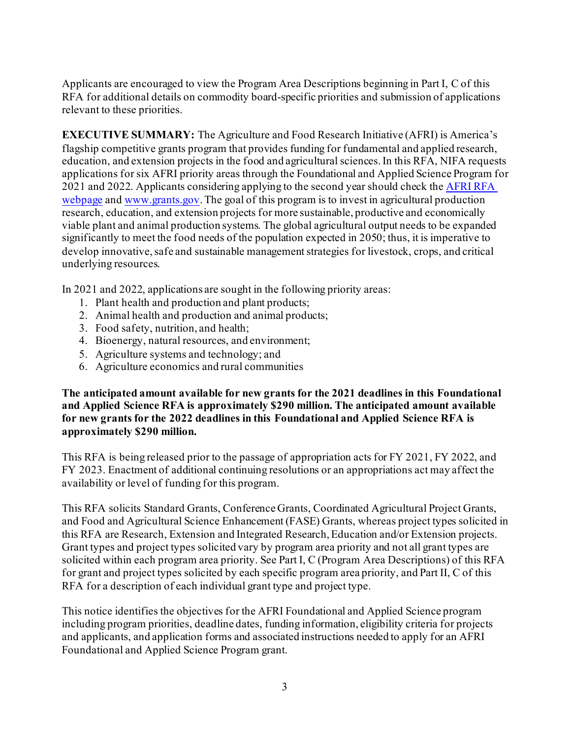Applicants are encouraged to view the Program Area Descriptions beginning in Part I, C of this RFA for additional details on commodity board-specific priorities and submission of applications relevant to these priorities.

**EXECUTIVE SUMMARY:** The Agriculture and Food Research Initiative (AFRI) is America's flagship competitive grants program that provides funding for fundamental and applied research, education, and extension projects in the food and agricultural sciences. In this RFA, NIFA requests applications for six AFRI priority areas through the Foundational and Applied Science Program for 2021 and 2022. Applicants considering applying to the second year should check th[e AFRI RFA](https://www.nifa.usda.gov/afri-request-applications)  [webpage](https://www.nifa.usda.gov/afri-request-applications) an[d www.grants.gov](http://www.grants.gov/). The goal of this program is to invest in agricultural production research, education, and extension projects for more sustainable, productive and economically viable plant and animal production systems. The global agricultural output needs to be expanded significantly to meet the food needs of the population expected in 2050; thus, it is imperative to develop innovative, safe and sustainable management strategies for livestock, crops, and critical underlying resources.

In 2021 and 2022, applications are sought in the following priority areas:

- 1. Plant health and production and plant products;
- 2. Animal health and production and animal products;
- 3. Food safety, nutrition, and health;
- 4. Bioenergy, natural resources, and environment;
- 5. Agriculture systems and technology; and
- 6. Agriculture economics and rural communities

**The anticipated amount available for new grants for the 2021 deadlines in this Foundational and Applied Science RFA is approximately \$290 million. The anticipated amount available for new grants for the 2022 deadlines in this Foundational and Applied Science RFA is approximately \$290 million.**

This RFA is being released prior to the passage of appropriation acts for FY 2021, FY 2022, and FY 2023. Enactment of additional continuing resolutions or an appropriations act may affect the availability or level of funding for this program.

This RFA solicits Standard Grants, Conference Grants, Coordinated Agricultural Project Grants, and Food and Agricultural Science Enhancement (FASE) Grants, whereas project types solicited in this RFA are Research, Extension and Integrated Research, Education and/or Extension projects. Grant types and project types solicited vary by program area priority and not all grant types are solicited within each program area priority. See Part I, C (Program Area Descriptions) of this RFA for grant and project types solicited by each specific program area priority, and Part II, C of this RFA for a description of each individual grant type and project type.

This notice identifies the objectives for the AFRI Foundational and Applied Science program including program priorities, deadline dates, funding information, eligibility criteria for projects and applicants, and application forms and associated instructions needed to apply for an AFRI Foundational and Applied Science Program grant.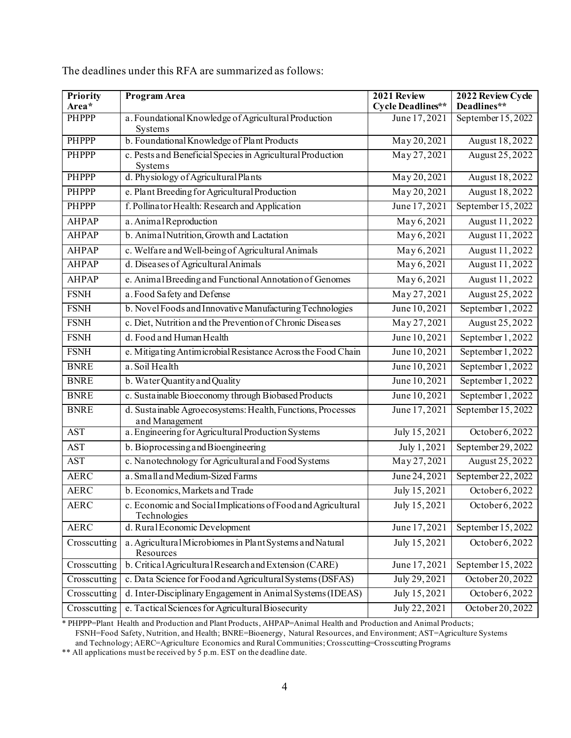| Priority<br>Area* | Program Area                                                                  | 2021 Review<br><b>Cycle Deadlines**</b> | 2022 Review Cycle<br>Deadlines** |
|-------------------|-------------------------------------------------------------------------------|-----------------------------------------|----------------------------------|
| <b>PHPPP</b>      | a. Foundational Knowledge of Agricultural Production<br>Systems               | June 17, 2021                           | September 15, 2022               |
| <b>PHPPP</b>      | b. Foundational Knowledge of Plant Products                                   | May 20, 2021                            | August 18,2022                   |
| <b>PHPPP</b>      | c. Pests and Beneficial Species in Agricultural Production<br>Systems         | May 27, 2021                            | August 25, 2022                  |
| <b>PHPPP</b>      | d. Physiology of Agricultural Plants                                          | May 20, 2021                            | August 18,2022                   |
| <b>PHPPP</b>      | e. Plant Breeding for Agricultural Production                                 | May 20, 2021                            | August 18,2022                   |
| PHPPP             | f. Pollinator Health: Research and Application                                | June 17, 2021                           | September 15, 2022               |
| <b>AHPAP</b>      | a. Animal Reproduction                                                        | May 6,2021                              | August 11, 2022                  |
| <b>AHPAP</b>      | b. Animal Nutrition, Growth and Lactation                                     | May 6,2021                              | August 11,2022                   |
| <b>AHPAP</b>      | c. Welfare and Well-being of Agricultural Animals                             | May 6,2021                              | August 11, 2022                  |
| <b>AHPAP</b>      | d. Diseases of Agricultural Animals                                           | May 6,2021                              | August 11, 2022                  |
| <b>AHPAP</b>      | e. Animal Breeding and Functional Annotation of Genomes                       | May 6,2021                              | August 11, 2022                  |
| <b>FSNH</b>       | a. Food Sa fety and Defense                                                   | May 27, 2021                            | August 25, 2022                  |
| <b>FSNH</b>       | b. Novel Foods and Innovative Manufacturing Technologies                      | June 10,2021                            | September 1, 2022                |
| <b>FSNH</b>       | c. Diet, Nutrition and the Prevention of Chronic Diseases                     | May 27, 2021                            | August 25, 2022                  |
| <b>FSNH</b>       | d. Food and Human Health                                                      | June 10, 2021                           | September 1, 2022                |
| <b>FSNH</b>       | e. Mitigating Antimicrobial Resistance Across the Food Chain                  | June 10, 2021                           | September 1, 2022                |
| <b>BNRE</b>       | a. Soil Health                                                                | June 10, 2021                           | September 1, 2022                |
| <b>BNRE</b>       | b. Water Quantity and Quality                                                 | June 10, 2021                           | September 1, 2022                |
| <b>BNRE</b>       | c. Sustainable Bioeconomy through Biobased Products                           | June 10, 2021                           | September 1, 2022                |
| <b>BNRE</b>       | d. Sustainable Agroecosystems: Health, Functions, Processes<br>and Management | June 17, 2021                           | September 15, 2022               |
| <b>AST</b>        | a. Engineering for Agricultural Production Systems                            | July 15, 2021                           | October 6, 2022                  |
| <b>AST</b>        | b. Bioprocessing and Bioengineering                                           | July 1,2021                             | September 29, 2022               |
| <b>AST</b>        | c. Nanotechnology for Agricultural and Food Systems                           | May 27, 2021                            | August 25, 2022                  |
| <b>AERC</b>       | a. Small and Medium-Sized Farms                                               | June 24, 2021                           | September 22, 2022               |
| <b>AERC</b>       | b. Economics, Markets and Trade                                               | July 15,2021                            | October 6, 2022                  |
| <b>AERC</b>       | c. Economic and Social Implications of Food and Agricultural<br>Technologies  | July 15,2021                            | October 6, 2022                  |
| <b>AERC</b>       | d. Rural Economic Development                                                 | June 17, 2021                           | September 15, 2022               |
| Crosscutting      | a. Agricultural Microbiomes in Plant Systems and Natural<br>Resources         | July 15,2021                            | October 6, 2022                  |
| Crosscutting      | b. Critical Agricultural Research and Extension (CARE)                        | June 17, 2021                           | September 15, 2022               |
| Crosscutting      | c. Data Science for Food and Agricultural Systems (DSFAS)                     | July 29, 2021                           | October 20, 2022                 |
| Crosscutting      | d. Inter-Disciplinary Engagement in Animal Systems (IDEAS)                    | July 15,2021                            | October 6, 2022                  |
| Crosscutting      | e. Tactical Sciences for Agricultural Biosecurity                             | July 22, 2021                           | October 20, 2022                 |

The deadlines under this RFA are summarized as follows:

\* PHPPP=Plant Health and Production and Plant Products, AHPAP=Animal Health and Production and Animal Products; FSNH=Food Safety, Nutrition, and Health; BNRE=Bioenergy, Natural Resources, and Environment; AST=Agriculture Systems and Technology; AERC=Agriculture Economics and Rural Communities; Crosscutting=Crosscutting Programs

\*\* All applications must be received by 5 p.m. EST on the deadline date.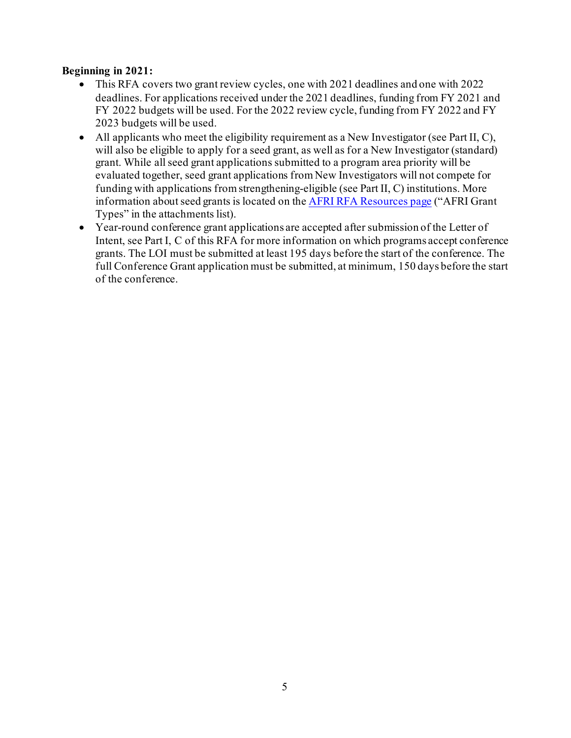#### **Beginning in 2021:**

- This RFA covers two grant review cycles, one with 2021 deadlines and one with 2022 deadlines. For applications received under the 2021 deadlines, funding from FY 2021 and FY 2022 budgets will be used. For the 2022 review cycle, funding from FY 2022 and FY 2023 budgets will be used.
- All applicants who meet the eligibility requirement as a New Investigator (see Part II, C), will also be eligible to apply for a seed grant, as well as for a New Investigator (standard) grant. While all seed grant applications submitted to a program area priority will be evaluated together, seed grant applications from New Investigators will not compete for funding with applications from strengthening-eligible (see Part II, C) institutions. More information about seed grants is located on th[e AFRI RFA Resources page](https://nifa.usda.gov/resource/afri-request-applications-resources) ("AFRI Grant Types" in the attachments list).
- Year-round conference grant applications are accepted after submission of the Letter of Intent, see Part I, C of this RFA for more information on which programs accept conference grants. The LOI must be submitted at least 195 days before the start of the conference. The full Conference Grant application must be submitted, at minimum, 150 days before the start of the conference.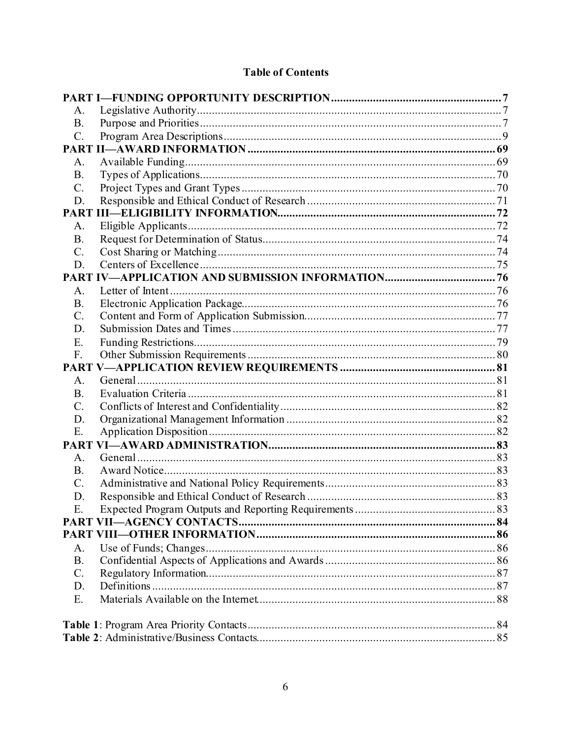## **Table of Contents**

| А.              |  |  |
|-----------------|--|--|
| <b>B.</b>       |  |  |
| C.              |  |  |
|                 |  |  |
| A.              |  |  |
| <b>B.</b>       |  |  |
| C.              |  |  |
| D.              |  |  |
|                 |  |  |
| A.              |  |  |
| <b>B.</b>       |  |  |
| $\mathcal{C}$ . |  |  |
| D.              |  |  |
|                 |  |  |
| A.              |  |  |
| <b>B.</b>       |  |  |
| $\mathcal{C}$ . |  |  |
| D.              |  |  |
| E.              |  |  |
| F.              |  |  |
|                 |  |  |
| A.              |  |  |
| <b>B.</b>       |  |  |
| $\mathcal{C}$ . |  |  |
| D.              |  |  |
| E.              |  |  |
| <b>PART</b>     |  |  |
| A.              |  |  |
| <b>B.</b>       |  |  |
| $C$ .           |  |  |
| D.              |  |  |
| Ε.              |  |  |
|                 |  |  |
|                 |  |  |
| A.              |  |  |
| <b>B.</b>       |  |  |
| C.              |  |  |
| D.              |  |  |
| E.              |  |  |
|                 |  |  |
|                 |  |  |
|                 |  |  |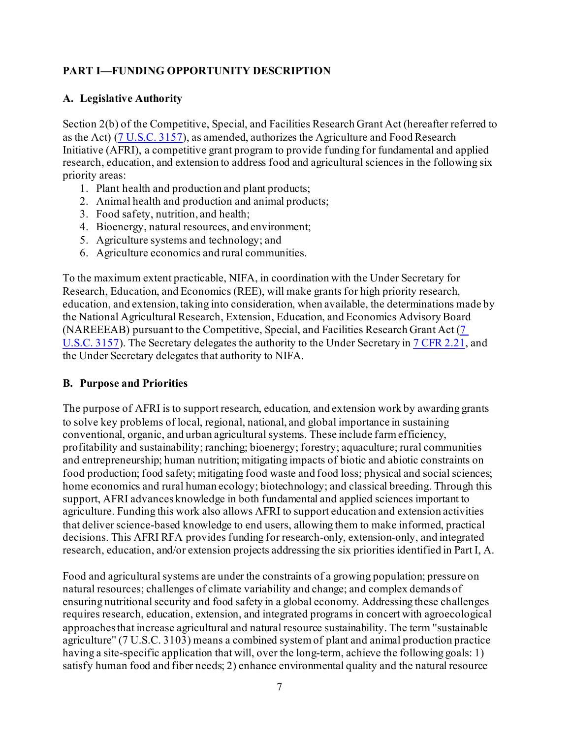## <span id="page-6-0"></span>**PART I—FUNDING OPPORTUNITY DESCRIPTION**

#### <span id="page-6-1"></span>**A. Legislative Authority**

Section 2(b) of the Competitive, Special, and Facilities Research Grant Act (hereafter referred to as the Act) [\(7 U.S.C. 3157\)](https://uscode.house.gov/view.xhtml?req=(title:7%20section:3157%20edition:prelim)%20OR%20(granuleid:USC-prelim-title7-section3157)&f=treesort&edition=prelim&num=0&jumpTo=true), as amended, authorizes the Agriculture and Food Research Initiative (AFRI), a competitive grant program to provide funding for fundamental and applied research, education, and extension to address food and agricultural sciences in the following six priority areas:

- 1. Plant health and production and plant products;
- 2. Animal health and production and animal products;
- 3. Food safety, nutrition, and health;
- 4. Bioenergy, natural resources, and environment;
- 5. Agriculture systems and technology; and
- 6. Agriculture economics and rural communities.

To the maximum extent practicable, NIFA, in coordination with the Under Secretary for Research, Education, and Economics (REE), will make grants for high priority research, education, and extension, taking into consideration, when available, the determinations made by the National Agricultural Research, Extension, Education, and Economics Advisory Board (NAREEEAB) pursuant to the Competitive, Special, and Facilities Research Grant Act [\(7](https://uscode.house.gov/view.xhtml?req=(title:7%20section:3157%20edition:prelim)%20OR%20(granuleid:USC-prelim-title7-section3157)&f=treesort&edition=prelim&num=0&jumpTo=true)  [U.S.C. 3157\)](https://uscode.house.gov/view.xhtml?req=(title:7%20section:3157%20edition:prelim)%20OR%20(granuleid:USC-prelim-title7-section3157)&f=treesort&edition=prelim&num=0&jumpTo=true). The Secretary delegates the authority to the Under Secretary i[n 7 CFR 2.21](https://www.ecfr.gov/cgi-bin/text-idx?SID=fb71e0bdd8201139683f371c33f35d70&mc=true&node=se7.1.2_121&rgn=div8), and the Under Secretary delegates that authority to NIFA.

#### <span id="page-6-2"></span>**B. Purpose and Priorities**

The purpose of AFRI is to support research, education, and extension work by awarding grants to solve key problems of local, regional, national, and global importance in sustaining conventional, organic, and urban agricultural systems. These include farm efficiency, profitability and sustainability; ranching; bioenergy; forestry; aquaculture; rural communities and entrepreneurship; human nutrition; mitigating impacts of biotic and abiotic constraints on food production; food safety; mitigating food waste and food loss; physical and social sciences; home economics and rural human ecology; biotechnology; and classical breeding. Through this support, AFRI advances knowledge in both fundamental and applied sciences important to agriculture. Funding this work also allows AFRI to support education and extension activities that deliver science-based knowledge to end users, allowing them to make informed, practical decisions. This AFRI RFA provides funding for research-only, extension-only, and integrated research, education, and/or extension projects addressing the six priorities identified in Part I, A.

Food and agricultural systems are under the constraints of a growing population; pressure on natural resources; challenges of climate variability and change; and complex demands of ensuring nutritional security and food safety in a global economy. Addressing these challenges requires research, education, extension, and integrated programs in concert with agroecological approaches that increase agricultural and natural resource sustainability. The term ''sustainable agriculture'' (7 U.S.C. 3103) means a combined system of plant and animal production practice having a site-specific application that will, over the long-term, achieve the following goals: 1) satisfy human food and fiber needs; 2) enhance environmental quality and the natural resource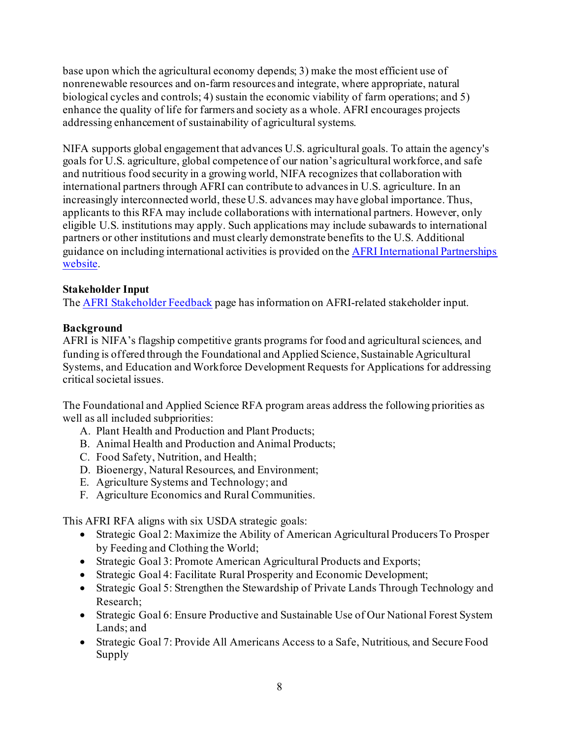base upon which the agricultural economy depends; 3) make the most efficient use of nonrenewable resources and on-farm resources and integrate, where appropriate, natural biological cycles and controls; 4) sustain the economic viability of farm operations; and 5) enhance the quality of life for farmers and society as a whole. AFRI encourages projects addressing enhancement of sustainability of agricultural systems.

NIFA supports global engagement that advances U.S. agricultural goals. To attain the agency's goals for U.S. agriculture, global competence of our nation's agricultural workforce, and safe and nutritious food security in a growing world, NIFA recognizes that collaboration with international partners through AFRI can contribute to advances in U.S. agriculture. In an increasingly interconnected world, these U.S. advances may have global importance. Thus, applicants to this RFA may include collaborations with international partners. However, only eligible U.S. institutions may apply. Such applications may include subawards to international partners or other institutions and must clearly demonstrate benefits to the U.S. Additional guidance on including international activities is provided on th[e AFRI International Partnerships](https://nifa.usda.gov/resource/afri-international-partnerships)  [website.](https://nifa.usda.gov/resource/afri-international-partnerships)

#### **Stakeholder Input**

Th[e AFRI Stakeholder Feedback](https://nifa.usda.gov/resource/afri-stakeholder-feedback) page has information on AFRI-related stakeholder input.

#### **Background**

AFRI is NIFA's flagship competitive grants programs for food and agricultural sciences, and funding is offered through the Foundational and Applied Science, Sustainable Agricultural Systems, and Education and Workforce Development Requests for Applications for addressing critical societal issues.

The Foundational and Applied Science RFA program areas address the following priorities as well as all included subpriorities:

- A. Plant Health and Production and Plant Products;
- B. Animal Health and Production and Animal Products;
- C. Food Safety, Nutrition, and Health;
- D. Bioenergy, Natural Resources, and Environment;
- E. Agriculture Systems and Technology; and
- F. Agriculture Economics and Rural Communities.

This AFRI RFA aligns with six USDA strategic goals:

- Strategic Goal 2: Maximize the Ability of American Agricultural Producers To Prosper by Feeding and Clothing the World;
- Strategic Goal 3: Promote American Agricultural Products and Exports;
- Strategic Goal 4: Facilitate Rural Prosperity and Economic Development;
- Strategic Goal 5: Strengthen the Stewardship of Private Lands Through Technology and Research;
- Strategic Goal 6: Ensure Productive and Sustainable Use of Our National Forest System Lands; and
- Strategic Goal 7: Provide All Americans Access to a Safe, Nutritious, and Secure Food Supply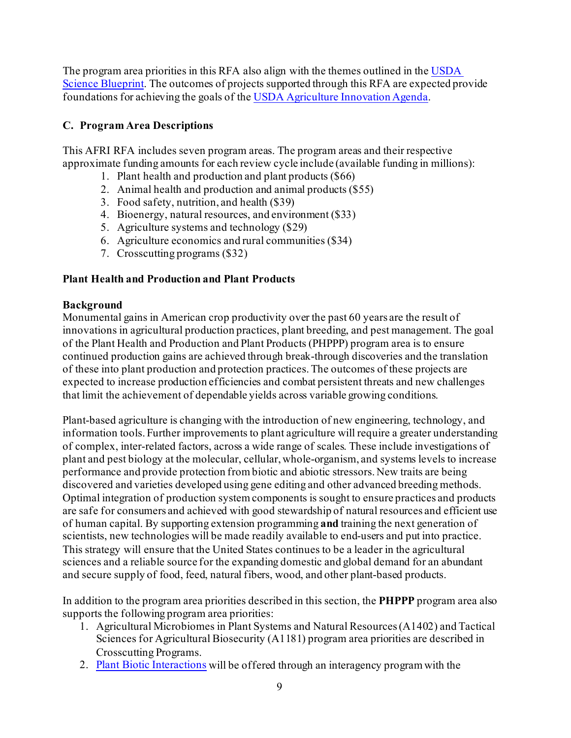The program area priorities in this RFA also align with the themes outlined in th[e USDA](https://www.usda.gov/sites/default/files/documents/usda-science-blueprint.pdf)  [Science Blueprint.](https://www.usda.gov/sites/default/files/documents/usda-science-blueprint.pdf) The outcomes of projects supported through this RFA are expected provide foundations for achieving the goals of th[e USDA Agriculture Innovation Agenda](https://www.usda.gov/sites/default/files/documents/agriculture-innovation-agenda-vision-statement.pdf).

#### <span id="page-8-0"></span>**C. Program Area Descriptions**

This AFRI RFA includes seven program areas. The program areas and their respective approximate funding amounts for each review cycle include (available funding in millions):

- 1. Plant health and production and plant products (\$66)
- 2. Animal health and production and animal products (\$55)
- 3. Food safety, nutrition, and health (\$39)
- 4. Bioenergy, natural resources, and environment (\$33)
- 5. Agriculture systems and technology (\$29)
- 6. Agriculture economics and rural communities (\$34)
- 7. Crosscutting programs (\$32)

## **Plant Health and Production and Plant Products**

#### **Background**

Monumental gains in American crop productivity over the past 60 years are the result of innovations in agricultural production practices, plant breeding, and pest management. The goal of the Plant Health and Production and Plant Products (PHPPP) program area is to ensure continued production gains are achieved through break-through discoveries and the translation of these into plant production and protection practices. The outcomes of these projects are expected to increase production efficiencies and combat persistent threats and new challenges that limit the achievement of dependable yields across variable growing conditions.

Plant-based agriculture is changing with the introduction of new engineering, technology, and information tools. Further improvements to plant agriculture will require a greater understanding of complex, inter-related factors, across a wide range of scales. These include investigations of plant and pest biology at the molecular, cellular, whole-organism, and systems levels to increase performance and provide protection from biotic and abiotic stressors. New traits are being discovered and varieties developed using gene editing and other advanced breeding methods. Optimal integration of production system components is sought to ensure practices and products are safe for consumers and achieved with good stewardship of natural resources and efficient use of human capital. By supporting extension programming **and** training the next generation of scientists, new technologies will be made readily available to end-users and put into practice. This strategy will ensure that the United States continues to be a leader in the agricultural sciences and a reliable source for the expanding domestic and global demand for an abundant and secure supply of food, feed, natural fibers, wood, and other plant-based products.

In addition to the program area priorities described in this section, the **PHPPP** program area also supports the following program area priorities:

- 1. Agricultural Microbiomes in Plant Systems and Natural Resources (A1402) and Tactical Sciences for Agricultural Biosecurity (A1181) program area priorities are described in Crosscutting Programs.
- 2. [Plant Biotic Interactions](https://www.nsf.gov/funding/pgm_summ.jsp?pims_id=505267) will be offered through an interagency program with the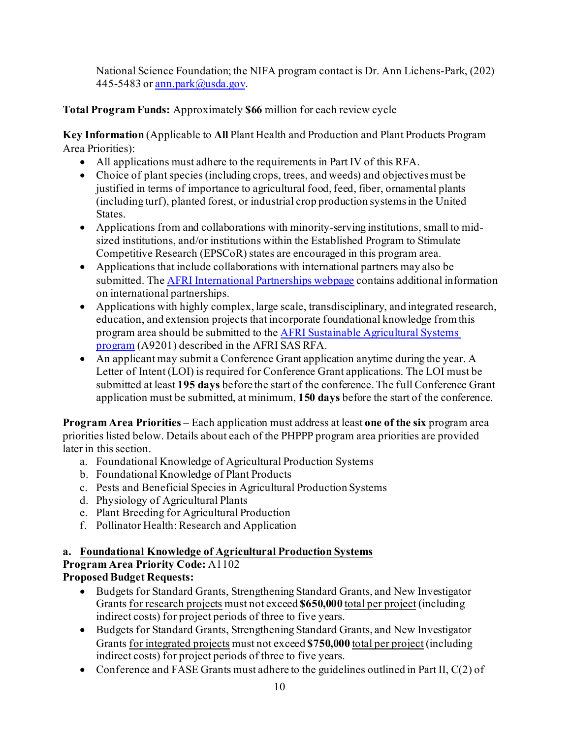National Science Foundation; the NIFA program contact is Dr. Ann Lichens-Park, (202) 445-5483 o[r ann.park@usda.gov](mailto:ann.park@usda.gov).

## **Total Program Funds:** Approximately **\$66** million for each review cycle

**Key Information** (Applicable to **All** Plant Health and Production and Plant Products Program Area Priorities):

- All applications must adhere to the requirements in Part IV of this RFA.
- Choice of plant species (including crops, trees, and weeds) and objectives must be justified in terms of importance to agricultural food, feed, fiber, ornamental plants (including turf), planted forest, or industrial crop production systems in the United States.
- Applications from and collaborations with minority-serving institutions, small to midsized institutions, and/or institutions within the Established Program to Stimulate Competitive Research (EPSCoR) states are encouraged in this program area.
- Applications that include collaborations with international partners may also be submitted. Th[e AFRI International Partnerships webpage](https://nifa.usda.gov/resource/afri-international-partnerships) contains additional information on international partnerships.
- Applications with highly complex, large scale, transdisciplinary, and integrated research, education, and extension projects that incorporate foundational knowledge from this program area should be submitted to th[e AFRI Sustainable Agricultural Systems](https://nifa.usda.gov/program/afri-sas)  [program](https://nifa.usda.gov/program/afri-sas) (A9201) described in the AFRI SAS RFA.
- An applicant may submit a Conference Grant application anytime during the year. A Letter of Intent (LOI) is required for Conference Grant applications. The LOI must be submitted at least **195 days** before the start of the conference. The full Conference Grant application must be submitted, at minimum, **150 days** before the start of the conference.

**Program Area Priorities** – Each application must address at least **one of the six** program area priorities listed below. Details about each of the PHPPP program area priorities are provided later in this section.

- a. Foundational Knowledge of Agricultural Production Systems
- b. Foundational Knowledge of Plant Products
- c. Pests and Beneficial Species in Agricultural Production Systems
- d. Physiology of Agricultural Plants
- e. Plant Breeding for Agricultural Production
- f. Pollinator Health: Research and Application

## **a. Foundational Knowledge of Agricultural Production Systems**

## **Program Area Priority Code:** A1102

## **Proposed Budget Requests:**

- Budgets for Standard Grants, Strengthening Standard Grants, and New Investigator Grants for research projects must not exceed **\$650,000** total per project (including indirect costs) for project periods of three to five years.
- Budgets for Standard Grants, Strengthening Standard Grants, and New Investigator Grants for integrated projects must not exceed **\$750,000** total per project (including indirect costs) for project periods of three to five years.
- Conference and FASE Grants must adhere to the guidelines outlined in Part II, C(2) of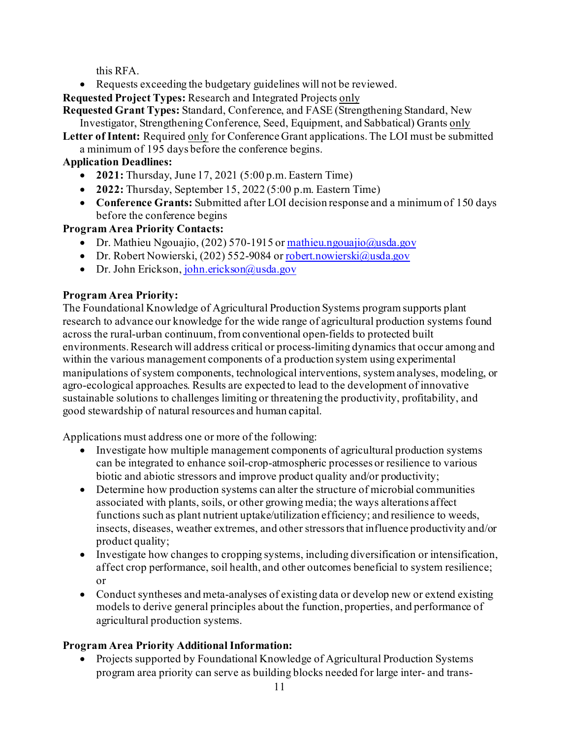this RFA.

• Requests exceeding the budgetary guidelines will not be reviewed.

**Requested Project Types:** Research and Integrated Projects only

**Requested Grant Types:** Standard, Conference, and FASE (Strengthening Standard, New Investigator, Strengthening Conference, Seed, Equipment, and Sabbatical) Grants only

**Letter of Intent:** Required only for Conference Grant applications. The LOI must be submitted a minimum of 195 days before the conference begins.

## **Application Deadlines:**

- **2021:** Thursday, June 17, 2021 (5:00 p.m. Eastern Time)
- **2022:** Thursday, September 15, 2022 (5:00 p.m. Eastern Time)
- **Conference Grants:** Submitted after LOI decision response and a minimum of 150 days before the conference begins

**Program Area Priority Contacts:**

- Dr. Mathieu Ngouajio, (202) 570-1915 o[r mathieu.ngouajio@usda.gov](mailto:mathieu.ngouajio@usda.gov)
- Dr. Robert Nowierski, (202) 552-9084 o[r robert.nowierski@usda.gov](mailto:robert.nowierski@usda.gov)
- Dr. John Erickson[, john.erickson@usda.gov](mailto:john.erickson@usda.gov)

## **Program Area Priority:**

The Foundational Knowledge of Agricultural Production Systems program supports plant research to advance our knowledge for the wide range of agricultural production systems found across the rural-urban continuum, from conventional open-fields to protected built environments. Research will address critical or process-limiting dynamics that occur among and within the various management components of a production system using experimental manipulations of system components, technological interventions, system analyses, modeling, or agro-ecological approaches. Results are expected to lead to the development of innovative sustainable solutions to challenges limiting or threatening the productivity, profitability, and good stewardship of natural resources and human capital.

Applications must address one or more of the following:

- Investigate how multiple management components of agricultural production systems can be integrated to enhance soil-crop-atmospheric processes or resilience to various biotic and abiotic stressors and improve product quality and/or productivity;
- Determine how production systems can alter the structure of microbial communities associated with plants, soils, or other growing media; the ways alterations affect functions such as plant nutrient uptake/utilization efficiency; and resilience to weeds, insects, diseases, weather extremes, and other stressors that influence productivity and/or product quality;
- Investigate how changes to cropping systems, including diversification or intensification, affect crop performance, soil health, and other outcomes beneficial to system resilience; or
- Conduct syntheses and meta-analyses of existing data or develop new or extend existing models to derive general principles about the function, properties, and performance of agricultural production systems.

## **Program Area Priority Additional Information:**

• Projects supported by Foundational Knowledge of Agricultural Production Systems program area priority can serve as building blocks needed for large inter- and trans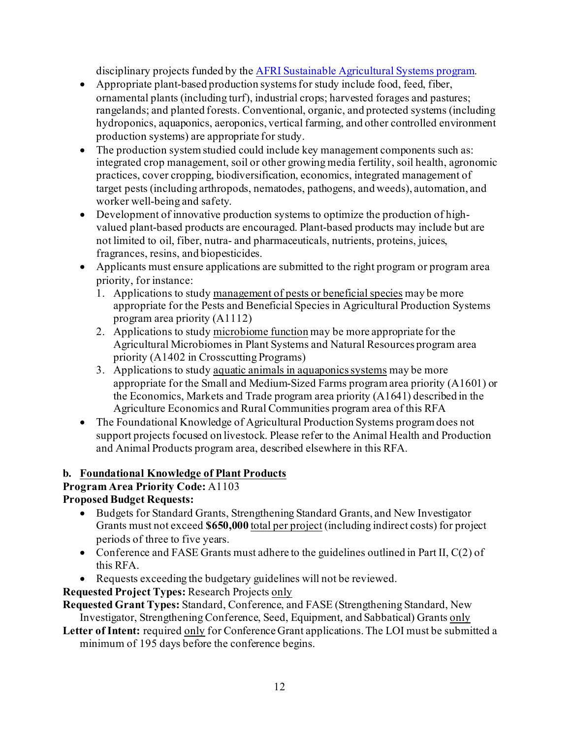disciplinary projects funded by th[e AFRI Sustainable Agricultural Systems program.](https://nifa.usda.gov/program/afri-sas)

- Appropriate plant-based production systems for study include food, feed, fiber, ornamental plants (including turf), industrial crops; harvested forages and pastures; rangelands; and planted forests. Conventional, organic, and protected systems (including hydroponics, aquaponics, aeroponics, vertical farming, and other controlled environment production systems) are appropriate for study.
- The production system studied could include key management components such as: integrated crop management, soil or other growing media fertility, soil health, agronomic practices, cover cropping, biodiversification, economics, integrated management of target pests (including arthropods, nematodes, pathogens, and weeds), automation, and worker well-being and safety.
- Development of innovative production systems to optimize the production of highvalued plant-based products are encouraged. Plant-based products may include but are not limited to oil, fiber, nutra- and pharmaceuticals, nutrients, proteins, juices, fragrances, resins, and biopesticides.
- Applicants must ensure applications are submitted to the right program or program area priority, for instance:
	- 1. Applications to study management of pests or beneficial species may be more appropriate for the Pests and Beneficial Species in Agricultural Production Systems program area priority (A1112)
	- 2. Applications to study microbiome function may be more appropriate for the Agricultural Microbiomes in Plant Systems and Natural Resources program area priority (A1402 in Crosscutting Programs)
	- 3. Applications to study aquatic animals in aquaponics systems may be more appropriate for the Small and Medium-Sized Farms program area priority (A1601) or the Economics, Markets and Trade program area priority (A1641) described in the Agriculture Economics and Rural Communities program area of this RFA
- The Foundational Knowledge of Agricultural Production Systems program does not support projects focused on livestock. Please refer to the Animal Health and Production and Animal Products program area, described elsewhere in this RFA.

## **b. Foundational Knowledge of Plant Products**

## **Program Area Priority Code:** A1103

## **Proposed Budget Requests:**

- Budgets for Standard Grants, Strengthening Standard Grants, and New Investigator Grants must not exceed **\$650,000** total per project (including indirect costs) for project periods of three to five years.
- Conference and FASE Grants must adhere to the guidelines outlined in Part II,  $C(2)$  of this RFA.
- Requests exceeding the budgetary guidelines will not be reviewed.

**Requested Project Types:** Research Projects only

**Requested Grant Types:** Standard, Conference, and FASE (Strengthening Standard, New Investigator, Strengthening Conference, Seed, Equipment, and Sabbatical) Grants only

**Letter of Intent:** required only for Conference Grant applications. The LOI must be submitted a minimum of 195 days before the conference begins.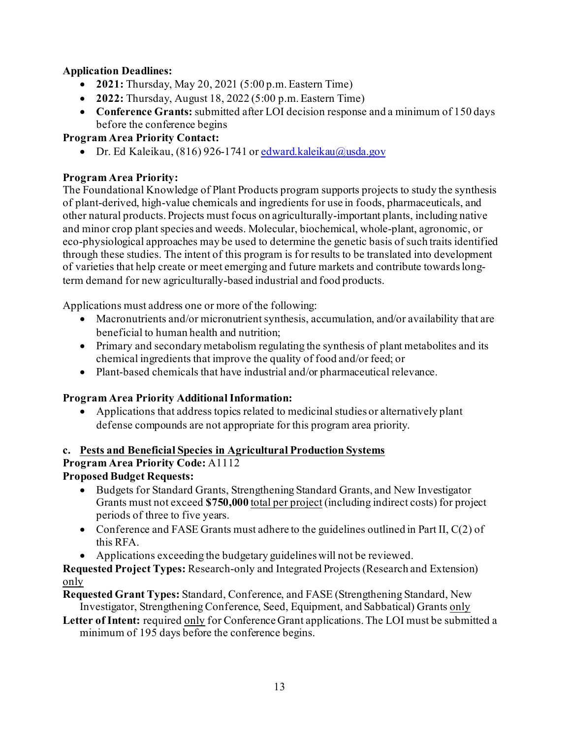## **Application Deadlines:**

- **2021:** Thursday, May 20, 2021 (5:00 p.m. Eastern Time)
- **2022:** Thursday, August 18, 2022 (5:00 p.m. Eastern Time)
- **Conference Grants:** submitted after LOI decision response and a minimum of 150 days before the conference begins

## **Program Area Priority Contact:**

• Dr. Ed Kaleikau, (816) 926-1741 o[r edward.kaleikau@usda.gov](mailto:edward.kaleikau@usda.gov)

## **Program Area Priority:**

The Foundational Knowledge of Plant Products program supports projects to study the synthesis of plant-derived, high-value chemicals and ingredients for use in foods, pharmaceuticals, and other natural products. Projects must focus on agriculturally-important plants, including native and minor crop plant species and weeds. Molecular, biochemical, whole-plant, agronomic, or eco-physiological approaches may be used to determine the genetic basis of such traits identified through these studies. The intent of this program is for results to be translated into development of varieties that help create or meet emerging and future markets and contribute towards longterm demand for new agriculturally-based industrial and food products.

Applications must address one or more of the following:

- Macronutrients and/or micronutrient synthesis, accumulation, and/or availability that are beneficial to human health and nutrition;
- Primary and secondary metabolism regulating the synthesis of plant metabolites and its chemical ingredients that improve the quality of food and/or feed; or
- Plant-based chemicals that have industrial and/or pharmaceutical relevance.

## **Program Area Priority Additional Information:**

• Applications that address topics related to medicinal studies or alternatively plant defense compounds are not appropriate for this program area priority.

#### **c. Pests and Beneficial Species in Agricultural Production Systems**

## **Program Area Priority Code:** A1112

## **Proposed Budget Requests:**

- Budgets for Standard Grants, Strengthening Standard Grants, and New Investigator Grants must not exceed **\$750,000** total per project (including indirect costs) for project periods of three to five years.
- Conference and FASE Grants must adhere to the guidelines outlined in Part II,  $C(2)$  of this RFA.
- Applications exceeding the budgetary guidelines will not be reviewed.

**Requested Project Types:** Research-only and Integrated Projects (Research and Extension) only

**Requested Grant Types:** Standard, Conference, and FASE (Strengthening Standard, New Investigator, Strengthening Conference, Seed, Equipment, and Sabbatical) Grants only

**Letter of Intent:** required only for Conference Grant applications. The LOI must be submitted a minimum of 195 days before the conference begins.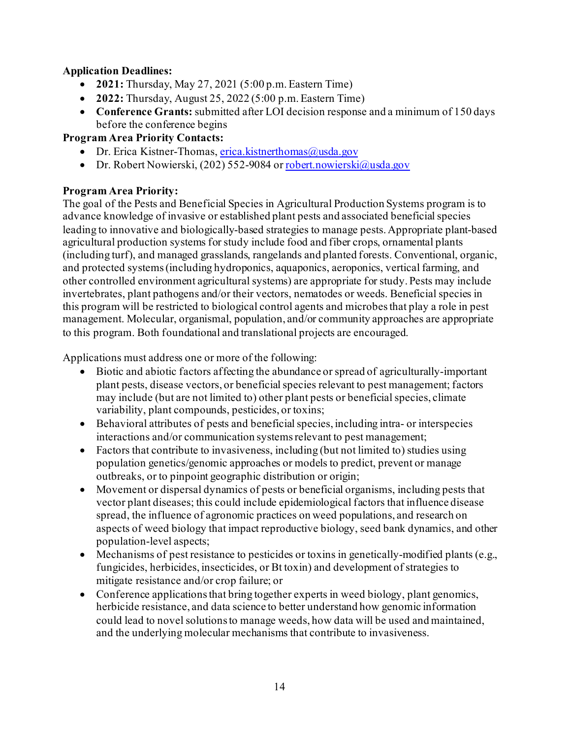## **Application Deadlines:**

- **2021:** Thursday, May 27, 2021 (5:00 p.m. Eastern Time)
- **2022:** Thursday, August 25, 2022 (5:00 p.m. Eastern Time)
- **Conference Grants:** submitted after LOI decision response and a minimum of 150 days before the conference begins

## **Program Area Priority Contacts:**

- Dr. Erica Kistner-Thomas[, erica.kistnerthomas@usda.gov](mailto:erica.kistnerthomas@usda.gov)
- Dr. Robert Nowierski, (202) 552-9084 o[r robert.nowierski@usda.gov](mailto:robert.nowierski@usda.gov)

## **Program Area Priority:**

The goal of the Pests and Beneficial Species in Agricultural Production Systems program is to advance knowledge of invasive or established plant pests and associated beneficial species leading to innovative and biologically-based strategies to manage pests. Appropriate plant-based agricultural production systems for study include food and fiber crops, ornamental plants (including turf), and managed grasslands, rangelands and planted forests. Conventional, organic, and protected systems (including hydroponics, aquaponics, aeroponics, vertical farming, and other controlled environment agricultural systems) are appropriate for study. Pests may include invertebrates, plant pathogens and/or their vectors, nematodes or weeds. Beneficial species in this program will be restricted to biological control agents and microbes that play a role in pest management. Molecular, organismal, population, and/or community approaches are appropriate to this program. Both foundational and translational projects are encouraged.

Applications must address one or more of the following:

- Biotic and abiotic factors affecting the abundance or spread of agriculturally-important plant pests, disease vectors, or beneficial species relevant to pest management; factors may include (but are not limited to) other plant pests or beneficial species, climate variability, plant compounds, pesticides, or toxins;
- Behavioral attributes of pests and beneficial species, including intra- or interspecies interactions and/or communication systems relevant to pest management;
- Factors that contribute to invasiveness, including (but not limited to) studies using population genetics/genomic approaches or models to predict, prevent or manage outbreaks, or to pinpoint geographic distribution or origin;
- Movement or dispersal dynamics of pests or beneficial organisms, including pests that vector plant diseases; this could include epidemiological factors that influence disease spread, the influence of agronomic practices on weed populations, and research on aspects of weed biology that impact reproductive biology, seed bank dynamics, and other population-level aspects;
- Mechanisms of pest resistance to pesticides or toxins in genetically-modified plants (e.g., fungicides, herbicides, insecticides, or Bt toxin) and development of strategies to mitigate resistance and/or crop failure; or
- Conference applications that bring together experts in weed biology, plant genomics, herbicide resistance, and data science to better understand how genomic information could lead to novel solutions to manage weeds, how data will be used and maintained, and the underlying molecular mechanisms that contribute to invasiveness.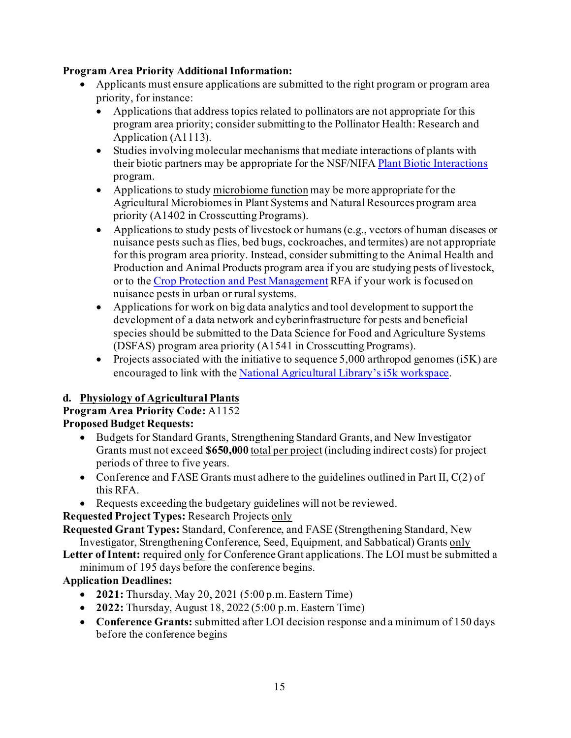## **Program Area Priority Additional Information:**

- Applicants must ensure applications are submitted to the right program or program area priority, for instance:
	- Applications that address topics related to pollinators are not appropriate for this program area priority; consider submitting to the Pollinator Health: Research and Application (A1113).
	- Studies involving molecular mechanisms that mediate interactions of plants with their biotic partners may be appropriate for the NSF/NIF[A Plant Biotic Interactions](https://www.nsf.gov/funding/pgm_summ.jsp?pims_id=505267) program.
	- Applications to study microbiome function may be more appropriate for the Agricultural Microbiomes in Plant Systems and Natural Resources program area priority (A1402 in Crosscutting Programs).
	- Applications to study pests of livestock or humans (e.g., vectors of human diseases or nuisance pests such as flies, bed bugs, cockroaches, and termites) are not appropriate for this program area priority. Instead, consider submitting to the Animal Health and Production and Animal Products program area if you are studying pests of livestock, or to th[e Crop Protection and Pest Management](https://nifa.usda.gov/funding-opportunity/crop-protection-and-pest-management) RFA if your work is focused on nuisance pests in urban or rural systems.
	- Applications for work on big data analytics and tool development to support the development of a data network and cyberinfrastructure for pests and beneficial species should be submitted to the Data Science for Food and Agriculture Systems (DSFAS) program area priority (A1541 in Crosscutting Programs).
	- Projects associated with the initiative to sequence 5,000 arthropod genomes (i5K) are encouraged to link with th[e National Agricultural Library's i5k workspace](https://i5k.nal.usda.gov/).

## **d. Physiology of Agricultural Plants**

#### **Program Area Priority Code:** A1152 **Proposed Budget Requests:**

- Budgets for Standard Grants, Strengthening Standard Grants, and New Investigator Grants must not exceed **\$650,000** total per project (including indirect costs) for project periods of three to five years.
- Conference and FASE Grants must adhere to the guidelines outlined in Part II,  $C(2)$  of this RFA.
- Requests exceeding the budgetary guidelines will not be reviewed.

**Requested Project Types:** Research Projects only

**Requested Grant Types:** Standard, Conference, and FASE (Strengthening Standard, New Investigator, Strengthening Conference, Seed, Equipment, and Sabbatical) Grants only

**Letter of Intent:** required only for Conference Grant applications.The LOI must be submitted a minimum of 195 days before the conference begins.

## **Application Deadlines:**

- **2021:** Thursday, May 20, 2021 (5:00 p.m. Eastern Time)
- **2022:** Thursday, August 18, 2022 (5:00 p.m. Eastern Time)
- **Conference Grants:** submitted after LOI decision response and a minimum of 150 days before the conference begins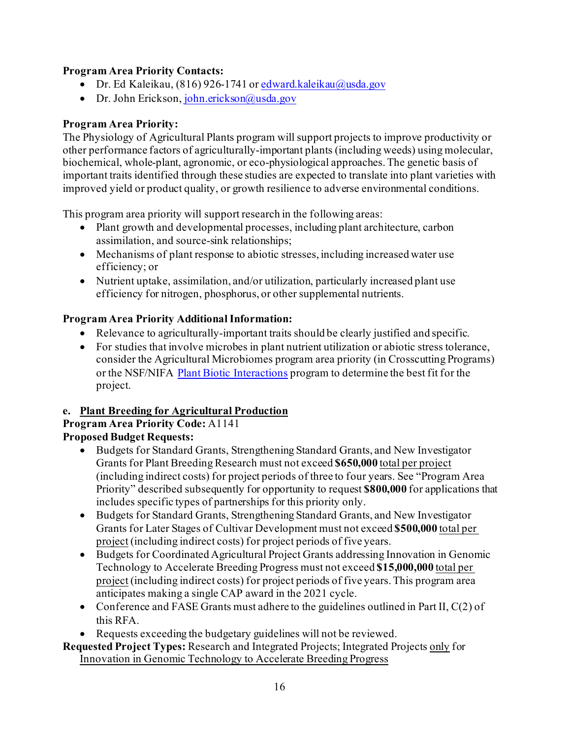## **Program Area Priority Contacts:**

- Dr. Ed Kaleikau, (816) 926-1741 o[r edward.kaleikau@usda.gov](mailto:edward.kaleikau@usda.gov)
- Dr. John Erickson[, john.erickson@usda.gov](mailto:john.erickson@usda.gov)

## **Program Area Priority:**

The Physiology of Agricultural Plants program will support projects to improve productivity or other performance factors of agriculturally-important plants (including weeds) using molecular, biochemical, whole-plant, agronomic, or eco-physiological approaches. The genetic basis of important traits identified through these studies are expected to translate into plant varieties with improved yield or product quality, or growth resilience to adverse environmental conditions.

This program area priority will support research in the following areas:

- Plant growth and developmental processes, including plant architecture, carbon assimilation, and source-sink relationships;
- Mechanisms of plant response to abiotic stresses, including increased water use efficiency; or
- Nutrient uptake, assimilation, and/or utilization, particularly increased plant use efficiency for nitrogen, phosphorus, or other supplemental nutrients.

## **Program Area Priority Additional Information:**

- Relevance to agriculturally-important traits should be clearly justified and specific.
- For studies that involve microbes in plant nutrient utilization or abiotic stress tolerance, consider the Agricultural Microbiomes program area priority (in Crosscutting Programs) or the NSF/NIFA [Plant Biotic Interactions](https://www.nsf.gov/funding/pgm_summ.jsp?pims_id=505267) program to determine the best fit for the project.

## **e. Plant Breeding for Agricultural Production**

#### **Program Area Priority Code:** A1141 **Proposed Budget Requests:**

- Budgets for Standard Grants, Strengthening Standard Grants, and New Investigator Grants for Plant Breeding Research must not exceed **\$650,000** total per project (including indirect costs) for project periods of three to four years. See "Program Area Priority" described subsequently for opportunity to request **\$800,000** for applications that
- includes specific types of partnerships for this priority only. • Budgets for Standard Grants, Strengthening Standard Grants, and New Investigator Grants for Later Stages of Cultivar Development must not exceed **\$500,000** total per project (including indirect costs) for project periods of five years.
- Budgets for Coordinated Agricultural Project Grants addressing Innovation in Genomic Technology to Accelerate Breeding Progress must not exceed **\$15,000,000** total per project (including indirect costs) for project periods of five years. This program area anticipates making a single CAP award in the 2021 cycle.
- Conference and FASE Grants must adhere to the guidelines outlined in Part II,  $C(2)$  of this RFA.
- Requests exceeding the budgetary guidelines will not be reviewed.

## **Requested Project Types:** Research and Integrated Projects; Integrated Projects only for Innovation in Genomic Technology to Accelerate Breeding Progress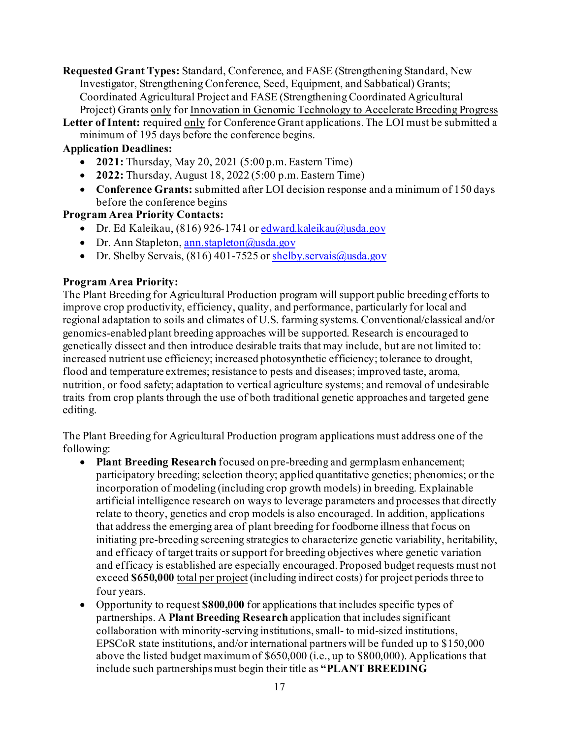**Requested Grant Types:** Standard, Conference, and FASE (Strengthening Standard, New Investigator, Strengthening Conference, Seed, Equipment, and Sabbatical) Grants; Coordinated Agricultural Project and FASE (Strengthening Coordinated Agricultural Project) Grants only for Innovation in Genomic Technology to Accelerate Breeding Progress

**Letter of Intent:** required only for Conference Grant applications. The LOI must be submitted a minimum of 195 days before the conference begins.

#### **Application Deadlines:**

- **2021:** Thursday, May 20, 2021 (5:00 p.m. Eastern Time)
- **2022:** Thursday, August 18, 2022 (5:00 p.m. Eastern Time)
- **Conference Grants:** submitted after LOI decision response and a minimum of 150 days before the conference begins

#### **Program Area Priority Contacts:**

- Dr. Ed Kaleikau,  $(816)$  926-1741 or edward.kaleikau $@$ usda.gov
- Dr. Ann Stapleton[, ann.stapleton@usda.gov](mailto:ann.stapleton@usda.gov)
- Dr. Shelby Servais, (816) 401-7525 or [shelby.servais@usda.gov](mailto:shelby.servais@usda.gov)

## **Program Area Priority:**

The Plant Breeding for Agricultural Production program will support public breeding efforts to improve crop productivity, efficiency, quality, and performance, particularly for local and regional adaptation to soils and climates of U.S. farming systems. Conventional/classical and/or genomics-enabled plant breeding approaches will be supported. Research is encouraged to genetically dissect and then introduce desirable traits that may include, but are not limited to: increased nutrient use efficiency; increased photosynthetic efficiency; tolerance to drought, flood and temperature extremes; resistance to pests and diseases; improved taste, aroma, nutrition, or food safety; adaptation to vertical agriculture systems; and removal of undesirable traits from crop plants through the use of both traditional genetic approaches and targeted gene editing.

The Plant Breeding for Agricultural Production program applications must address one of the following:

- **Plant Breeding Research** focused on pre-breeding and germplasm enhancement; participatory breeding; selection theory; applied quantitative genetics; phenomics; or the incorporation of modeling (including crop growth models) in breeding. Explainable artificial intelligence research on ways to leverage parameters and processes that directly relate to theory, genetics and crop models is also encouraged. In addition, applications that address the emerging area of plant breeding for foodborne illness that focus on initiating pre-breeding screening strategies to characterize genetic variability, heritability, and efficacy of target traits or support for breeding objectives where genetic variation and efficacy is established are especially encouraged. Proposed budget requests must not exceed **\$650,000** total per project (including indirect costs) for project periods three to four years.
- Opportunity to request **\$800,000** for applications that includes specific types of partnerships. A **Plant Breeding Research** application that includes significant collaboration with minority-serving institutions, small- to mid-sized institutions, EPSCoR state institutions, and/or international partners will be funded up to \$150,000 above the listed budget maximum of \$650,000 (i.e., up to \$800,000). Applications that include such partnerships must begin their title as **"PLANT BREEDING**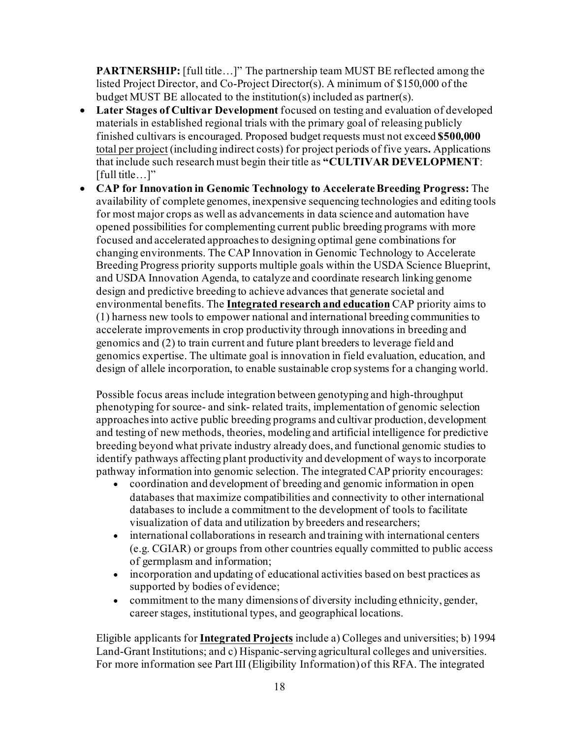**PARTNERSHIP:** [full title…]" The partnership team MUST BE reflected among the listed Project Director, and Co-Project Director(s). A minimum of \$150,000 of the budget MUST BE allocated to the institution(s) included as partner(s).

- **Later Stages of Cultivar Development** focused on testing and evaluation of developed materials in established regional trials with the primary goal of releasing publicly finished cultivars is encouraged. Proposed budget requests must not exceed **\$500,000** total per project (including indirect costs) for project periods of five years**.** Applications that include such research must begin their title as **"CULTIVAR DEVELOPMENT**: [full title...]"
- **CAP for Innovation in Genomic Technology to Accelerate Breeding Progress:** The availability of complete genomes, inexpensive sequencing technologies and editing tools for most major crops as well as advancements in data science and automation have opened possibilities for complementing current public breeding programs with more focused and accelerated approaches to designing optimal gene combinations for changing environments. The CAP Innovation in Genomic Technology to Accelerate Breeding Progress priority supports multiple goals within the USDA Science Blueprint, and USDA Innovation Agenda, to catalyze and coordinate research linking genome design and predictive breeding to achieve advances that generate societal and environmental benefits. The **Integrated research and education** CAP priority aims to (1) harness new tools to empower national and international breeding communities to accelerate improvements in crop productivity through innovations in breeding and genomics and (2) to train current and future plant breeders to leverage field and genomics expertise. The ultimate goal is innovation in field evaluation, education, and design of allele incorporation, to enable sustainable crop systems for a changing world.

Possible focus areas include integration between genotyping and high-throughput phenotyping for source- and sink- related traits, implementation of genomic selection approaches into active public breeding programs and cultivar production, development and testing of new methods, theories, modeling and artificial intelligence for predictive breeding beyond what private industry already does, and functional genomic studies to identify pathways affecting plant productivity and development of ways to incorporate pathway information into genomic selection. The integrated CAP priority encourages:

- coordination and development of breeding and genomic information in open databases that maximize compatibilities and connectivity to other international databases to include a commitment to the development of tools to facilitate visualization of data and utilization by breeders and researchers;
- international collaborations in research and training with international centers (e.g. CGIAR) or groups from other countries equally committed to public access of germplasm and information;
- incorporation and updating of educational activities based on best practices as supported by bodies of evidence;
- commitment to the many dimensions of diversity including ethnicity, gender, career stages, institutional types, and geographical locations.

Eligible applicants for **Integrated Projects** include a) Colleges and universities; b) 1994 Land-Grant Institutions; and c) Hispanic-serving agricultural colleges and universities. For more information see Part III (Eligibility Information) of this RFA. The integrated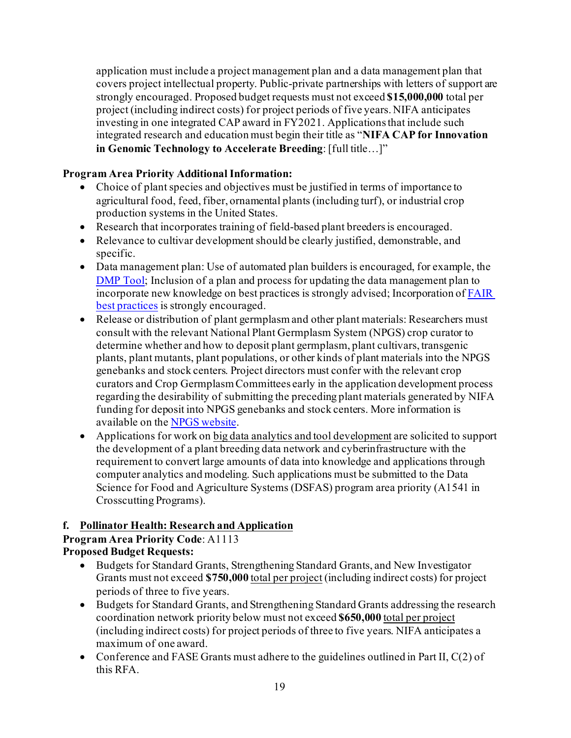application must include a project management plan and a data management plan that covers project intellectual property. Public-private partnerships with letters of support are strongly encouraged. Proposed budget requests must not exceed **\$15,000,000** total per project (including indirect costs) for project periods of five years. NIFA anticipates investing in one integrated CAP award in FY2021. Applications that include such integrated research and education must begin their title as "**NIFA CAP for Innovation in Genomic Technology to Accelerate Breeding**: [full title…]"

## **Program Area Priority Additional Information:**

- Choice of plant species and objectives must be justified in terms of importance to agricultural food, feed, fiber, ornamental plants (including turf), or industrial crop production systems in the United States.
- Research that incorporates training of field-based plant breeders is encouraged.
- Relevance to cultivar development should be clearly justified, demonstrable, and specific.
- Data management plan: Use of automated plan builders is encouraged, for example, the [DMP Tool;](https://dmptool.org/) Inclusion of a plan and process for updating the data management plan to incorporate new knowledge on best practices is strongly advised; Incorporation o[f FAIR](https://www.go-fair.org/fair-principles/)  [best practices](https://www.go-fair.org/fair-principles/) is strongly encouraged.
- Release or distribution of plant germplasm and other plant materials: Researchers must consult with the relevant National Plant Germplasm System (NPGS) crop curator to determine whether and how to deposit plant germplasm, plant cultivars, transgenic plants, plant mutants, plant populations, or other kinds of plant materials into the NPGS genebanks and stock centers. Project directors must confer with the relevant crop curators and Crop Germplasm Committees early in the application development process regarding the desirability of submitting the preceding plant materials generated by NIFA funding for deposit into NPGS genebanks and stock centers. More information is available on th[e NPGS website.](https://www.ars-grin.gov/Pages/Collections)
- Applications for work on big data analytics and tool development are solicited to support the development of a plant breeding data network and cyberinfrastructure with the requirement to convert large amounts of data into knowledge and applications through computer analytics and modeling. Such applications must be submitted to the Data Science for Food and Agriculture Systems (DSFAS) program area priority (A1541 in Crosscutting Programs).

## **f. Pollinator Health: Research and Application**

## **Program Area Priority Code**: A1113 **Proposed Budget Requests:**

- Budgets for Standard Grants, Strengthening Standard Grants, and New Investigator Grants must not exceed **\$750,000** total per project (including indirect costs) for project periods of three to five years.
- Budgets for Standard Grants, and Strengthening Standard Grants addressing the research coordination network priority below must not exceed **\$650,000** total per project (including indirect costs) for project periods of three to five years. NIFA anticipates a maximum of one award.
- Conference and FASE Grants must adhere to the guidelines outlined in Part II,  $C(2)$  of this RFA.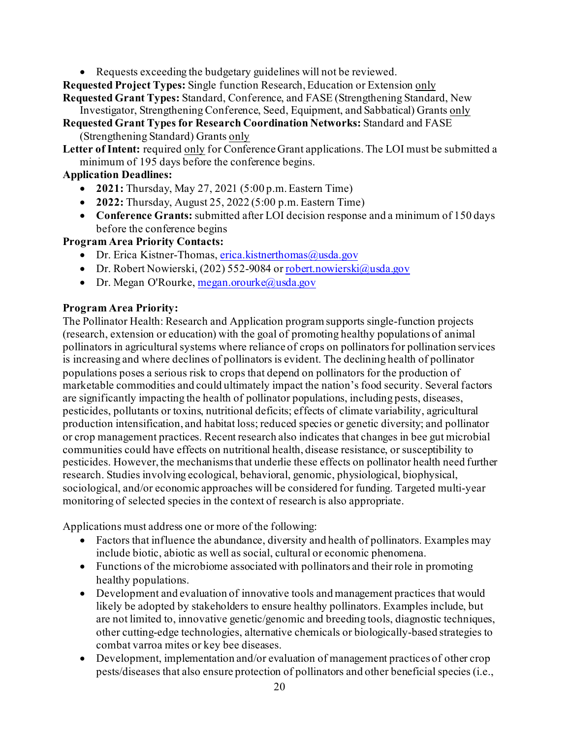• Requests exceeding the budgetary guidelines will not be reviewed.

**Requested Project Types:** Single function Research, Education or Extension only **Requested Grant Types:** Standard, Conference, and FASE (Strengthening Standard, New

- Investigator, Strengthening Conference, Seed, Equipment, and Sabbatical) Grants only
- **Requested Grant Types for Research Coordination Networks:** Standard and FASE (Strengthening Standard) Grants only
- **Letter of Intent:** required only for Conference Grant applications. The LOI must be submitted a minimum of 195 days before the conference begins.

## **Application Deadlines:**

- **2021:** Thursday, May 27, 2021 (5:00 p.m. Eastern Time)
- **2022:** Thursday, August 25, 2022 (5:00 p.m. Eastern Time)
- **Conference Grants:** submitted after LOI decision response and a minimum of 150 days before the conference begins

## **Program Area Priority Contacts:**

- Dr. Erica Kistner-Thomas[, erica.kistnerthomas@usda.gov](mailto:erica.kistnerthomas@usda.gov)
- Dr. Robert Nowierski, (202) 552-9084 o[r robert.nowierski@usda.gov](mailto:robert.nowierski@usda.gov)
- Dr. Megan O'Rourke[, megan.orourke@usda.gov](mailto:megan.orourke@usda.gov)

#### **Program Area Priority:**

The Pollinator Health: Research and Application program supports single-function projects (research, extension or education) with the goal of promoting healthy populations of animal pollinators in agricultural systems where reliance of crops on pollinators for pollination services is increasing and where declines of pollinators is evident. The declining health of pollinator populations poses a serious risk to crops that depend on pollinators for the production of marketable commodities and could ultimately impact the nation's food security. Several factors are significantly impacting the health of pollinator populations, including pests, diseases, pesticides, pollutants or toxins, nutritional deficits; effects of climate variability, agricultural production intensification, and habitat loss; reduced species or genetic diversity; and pollinator or crop management practices. Recent research also indicates that changes in bee gut microbial communities could have effects on nutritional health, disease resistance, or susceptibility to pesticides. However, the mechanisms that underlie these effects on pollinator health need further research. Studies involving ecological, behavioral, genomic, physiological, biophysical, sociological, and/or economic approaches will be considered for funding. Targeted multi-year monitoring of selected species in the context of research is also appropriate.

Applications must address one or more of the following:

- Factors that influence the abundance, diversity and health of pollinators. Examples may include biotic, abiotic as well as social, cultural or economic phenomena.
- Functions of the microbiome associated with pollinators and their role in promoting healthy populations.
- Development and evaluation of innovative tools and management practices that would likely be adopted by stakeholders to ensure healthy pollinators. Examples include, but are not limited to, innovative genetic/genomic and breeding tools, diagnostic techniques, other cutting-edge technologies, alternative chemicals or biologically-based strategies to combat varroa mites or key bee diseases.
- Development, implementation and/or evaluation of management practices of other crop pests/diseases that also ensure protection of pollinators and other beneficial species (i.e.,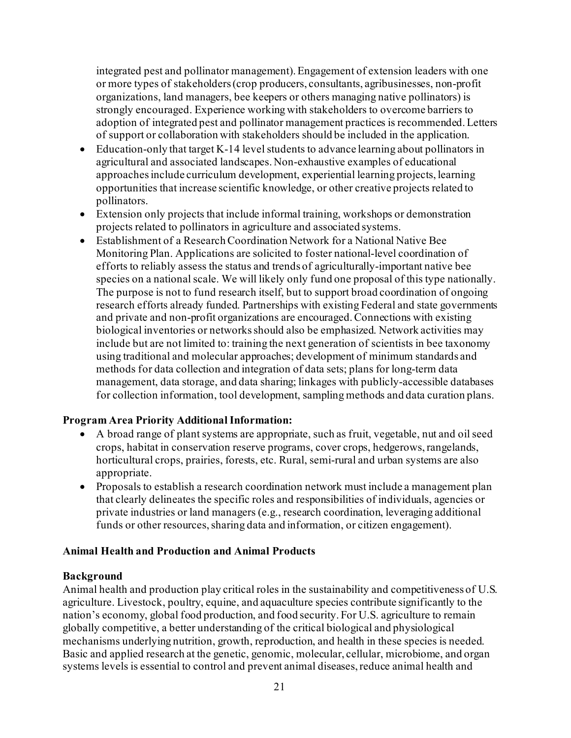integrated pest and pollinator management). Engagement of extension leaders with one or more types of stakeholders (crop producers, consultants, agribusinesses, non-profit organizations, land managers, bee keepers or others managing native pollinators) is strongly encouraged. Experience working with stakeholders to overcome barriers to adoption of integrated pest and pollinator management practices is recommended. Letters of support or collaboration with stakeholders should be included in the application.

- Education-only that target K-14 level students to advance learning about pollinators in agricultural and associated landscapes. Non-exhaustive examples of educational approaches include curriculum development, experiential learning projects, learning opportunities that increase scientific knowledge, or other creative projects related to pollinators.
- Extension only projects that include informal training, workshops or demonstration projects related to pollinators in agriculture and associated systems.
- Establishment of a Research Coordination Network for a National Native Bee Monitoring Plan. Applications are solicited to foster national-level coordination of efforts to reliably assess the status and trends of agriculturally-important native bee species on a national scale. We will likely only fund one proposal of this type nationally. The purpose is not to fund research itself, but to support broad coordination of ongoing research efforts already funded. Partnerships with existing Federal and state governments and private and non-profit organizations are encouraged. Connections with existing biological inventories or networks should also be emphasized. Network activities may include but are not limited to: training the next generation of scientists in bee taxonomy using traditional and molecular approaches; development of minimum standards and methods for data collection and integration of data sets; plans for long-term data management, data storage, and data sharing; linkages with publicly-accessible databases for collection information, tool development, sampling methods and data curation plans.

#### **Program Area Priority Additional Information:**

- A broad range of plant systems are appropriate, such as fruit, vegetable, nut and oil seed crops, habitat in conservation reserve programs, cover crops, hedgerows, rangelands, horticultural crops, prairies, forests, etc. Rural, semi-rural and urban systems are also appropriate.
- Proposals to establish a research coordination network must include a management plan that clearly delineates the specific roles and responsibilities of individuals, agencies or private industries or land managers (e.g., research coordination, leveraging additional funds or other resources, sharing data and information, or citizen engagement).

#### **Animal Health and Production and Animal Products**

#### **Background**

Animal health and production play critical roles in the sustainability and competitiveness of U.S. agriculture. Livestock, poultry, equine, and aquaculture species contribute significantly to the nation's economy, global food production, and food security. For U.S. agriculture to remain globally competitive, a better understanding of the critical biological and physiological mechanisms underlying nutrition, growth, reproduction, and health in these species is needed. Basic and applied research at the genetic, genomic, molecular, cellular, microbiome, and organ systems levels is essential to control and prevent animal diseases, reduce animal health and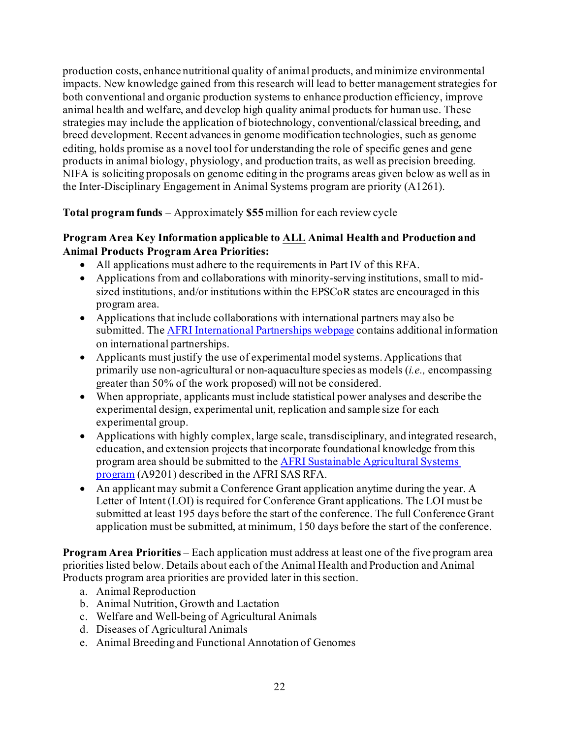production costs, enhance nutritional quality of animal products, and minimize environmental impacts. New knowledge gained from this research will lead to better management strategies for both conventional and organic production systems to enhance production efficiency, improve animal health and welfare, and develop high quality animal products for human use. These strategies may include the application of biotechnology, conventional/classical breeding, and breed development. Recent advances in genome modification technologies, such as genome editing, holds promise as a novel tool for understanding the role of specific genes and gene products in animal biology, physiology, and production traits, as well as precision breeding. NIFA is soliciting proposals on genome editing in the programs areas given below as well as in the Inter-Disciplinary Engagement in Animal Systems program are priority (A1261).

**Total program funds** – Approximately **\$55** million for each review cycle

#### **Program Area Key Information applicable to ALL Animal Health and Production and Animal Products Program Area Priorities:**

- All applications must adhere to the requirements in Part IV of this RFA.
- Applications from and collaborations with minority-serving institutions, small to midsized institutions, and/or institutions within the EPSCoR states are encouraged in this program area.
- Applications that include collaborations with international partners may also be submitted. Th[e AFRI International Partnerships webpage](https://nifa.usda.gov/resource/afri-international-partnerships) contains additional information on international partnerships.
- Applicants must justify the use of experimental model systems. Applications that primarily use non-agricultural or non-aquaculture species as models (*i.e.,* encompassing greater than 50% of the work proposed) will not be considered.
- When appropriate, applicants must include statistical power analyses and describe the experimental design, experimental unit, replication and sample size for each experimental group.
- Applications with highly complex, large scale, transdisciplinary, and integrated research, education, and extension projects that incorporate foundational knowledge from this program area should be submitted to th[e AFRI Sustainable Agricultural Systems](https://nifa.usda.gov/program/afri-sas)  [program](https://nifa.usda.gov/program/afri-sas) (A9201) described in the AFRI SAS RFA.
- An applicant may submit a Conference Grant application anytime during the year. A Letter of Intent (LOI) is required for Conference Grant applications. The LOI must be submitted at least 195 days before the start of the conference. The full Conference Grant application must be submitted, at minimum, 150 days before the start of the conference.

**Program Area Priorities** – Each application must address at least one of the five program area priorities listed below. Details about each of the Animal Health and Production and Animal Products program area priorities are provided later in this section.

- a. Animal Reproduction
- b. Animal Nutrition, Growth and Lactation
- c. Welfare and Well-being of Agricultural Animals
- d. Diseases of Agricultural Animals
- e. Animal Breeding and Functional Annotation of Genomes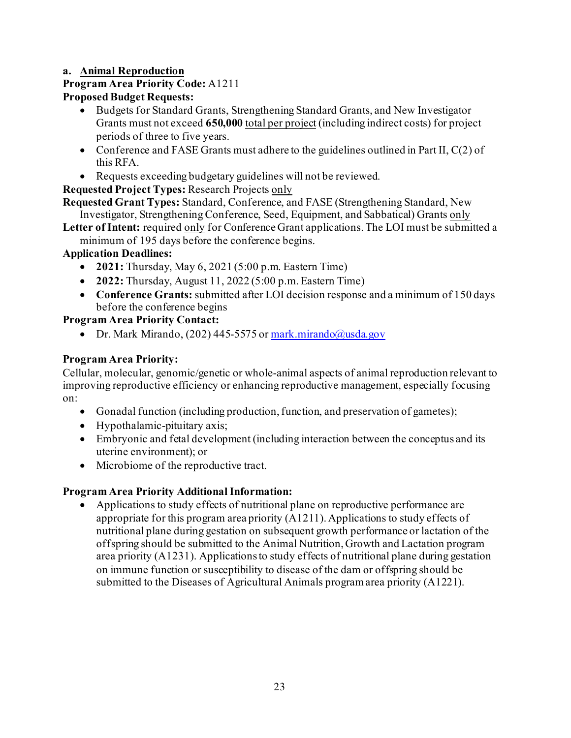## **a. Animal Reproduction**

## **Program Area Priority Code:** A1211

## **Proposed Budget Requests:**

- Budgets for Standard Grants, Strengthening Standard Grants, and New Investigator Grants must not exceed **650,000** total per project (including indirect costs) for project periods of three to five years.
- Conference and FASE Grants must adhere to the guidelines outlined in Part II, C(2) of this RFA.
- Requests exceeding budgetary guidelines will not be reviewed.

## **Requested Project Types:** Research Projects only

**Requested Grant Types:** Standard, Conference, and FASE (Strengthening Standard, New Investigator, Strengthening Conference, Seed, Equipment, and Sabbatical) Grants only

Letter of Intent: required only for Conference Grant applications. The LOI must be submitted a minimum of 195 days before the conference begins.

## **Application Deadlines:**

- **2021:** Thursday, May 6, 2021 (5:00 p.m. Eastern Time)
- **2022:** Thursday, August 11, 2022 (5:00 p.m. Eastern Time)
- **Conference Grants:** submitted after LOI decision response and a minimum of 150 days before the conference begins

## **Program Area Priority Contact:**

• Dr. Mark Mirando, (202) 445-5575 o[r mark.mirando@usda.gov](mailto:mark.mirando@usda.gov)

## **Program Area Priority:**

Cellular, molecular, genomic/genetic or whole-animal aspects of animal reproduction relevant to improving reproductive efficiency or enhancing reproductive management, especially focusing on:

- Gonadal function (including production, function, and preservation of gametes);
- Hypothalamic-pituitary axis;
- Embryonic and fetal development (including interaction between the conceptus and its uterine environment); or
- Microbiome of the reproductive tract.

## **Program Area Priority Additional Information:**

• Applications to study effects of nutritional plane on reproductive performance are appropriate for this program area priority (A1211). Applications to study effects of nutritional plane during gestation on subsequent growth performance or lactation of the offspring should be submitted to the Animal Nutrition, Growth and Lactation program area priority (A1231). Applications to study effects of nutritional plane during gestation on immune function or susceptibility to disease of the dam or offspring should be submitted to the Diseases of Agricultural Animals program area priority (A1221).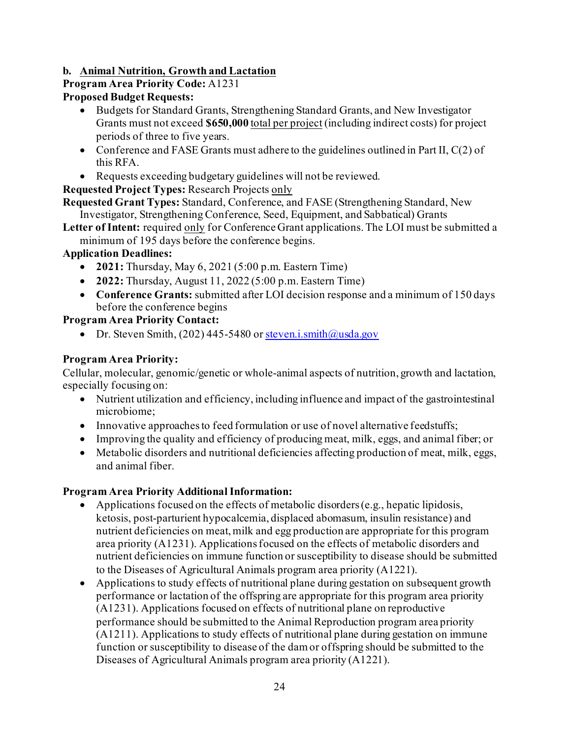## **b. Animal Nutrition, Growth and Lactation**

## **Program Area Priority Code:** A1231

## **Proposed Budget Requests:**

- Budgets for Standard Grants, Strengthening Standard Grants, and New Investigator Grants must not exceed **\$650,000** total per project (including indirect costs) for project periods of three to five years.
- Conference and FASE Grants must adhere to the guidelines outlined in Part II,  $C(2)$  of this RFA.
- Requests exceeding budgetary guidelines will not be reviewed.

## **Requested Project Types:** Research Projects only

**Requested Grant Types:** Standard, Conference, and FASE (Strengthening Standard, New Investigator, Strengthening Conference, Seed, Equipment, and Sabbatical) Grants

Letter of Intent: required only for Conference Grant applications. The LOI must be submitted a minimum of 195 days before the conference begins.

## **Application Deadlines:**

- **2021:** Thursday, May 6, 2021 (5:00 p.m. Eastern Time)
- **2022:** Thursday, August 11, 2022 (5:00 p.m. Eastern Time)
- **Conference Grants:** submitted after LOI decision response and a minimum of 150 days before the conference begins

## **Program Area Priority Contact:**

Dr. Steven Smith,  $(202)$  445-5480 o[r steven.i.smith@usda.gov](mailto:steven.i.smith@usda.gov)

## **Program Area Priority:**

Cellular, molecular, genomic/genetic or whole-animal aspects of nutrition, growth and lactation, especially focusing on:

- Nutrient utilization and efficiency, including influence and impact of the gastrointestinal microbiome;
- Innovative approaches to feed formulation or use of novel alternative feedstuffs;
- Improving the quality and efficiency of producing meat, milk, eggs, and animal fiber; or
- Metabolic disorders and nutritional deficiencies affecting production of meat, milk, eggs, and animal fiber.

- Applications focused on the effects of metabolic disorders (e.g., hepatic lipidosis, ketosis, post-parturient hypocalcemia, displaced abomasum, insulin resistance) and nutrient deficiencies on meat, milk and egg production are appropriate for this program area priority (A1231). Applications focused on the effects of metabolic disorders and nutrient deficiencies on immune function or susceptibility to disease should be submitted to the Diseases of Agricultural Animals program area priority (A1221).
- Applications to study effects of nutritional plane during gestation on subsequent growth performance or lactation of the offspring are appropriate for this program area priority (A1231). Applications focused on effects of nutritional plane on reproductive performance should be submitted to the Animal Reproduction program area priority (A1211). Applications to study effects of nutritional plane during gestation on immune function or susceptibility to disease of the dam or offspring should be submitted to the Diseases of Agricultural Animals program area priority (A1221).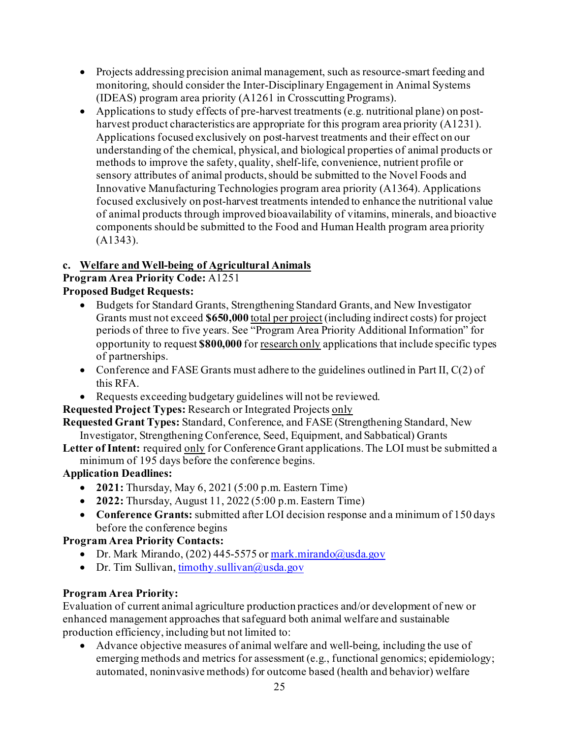- Projects addressing precision animal management, such as resource-smart feeding and monitoring, should consider the Inter-Disciplinary Engagement in Animal Systems (IDEAS) program area priority (A1261 in Crosscutting Programs).
- Applications to study effects of pre-harvest treatments (e.g. nutritional plane) on postharvest product characteristics are appropriate for this program area priority (A1231). Applications focused exclusively on post-harvest treatments and their effect on our understanding of the chemical, physical, and biological properties of animal products or methods to improve the safety, quality, shelf-life, convenience, nutrient profile or sensory attributes of animal products, should be submitted to the Novel Foods and Innovative Manufacturing Technologies program area priority (A1364). Applications focused exclusively on post-harvest treatments intended to enhance the nutritional value of animal products through improved bioavailability of vitamins, minerals, and bioactive components should be submitted to the Food and Human Health program area priority (A1343).

## **c. Welfare and Well-being of Agricultural Animals**

## **Program Area Priority Code:** A1251

## **Proposed Budget Requests:**

- Budgets for Standard Grants, Strengthening Standard Grants, and New Investigator Grants must not exceed **\$650,000** total per project (including indirect costs) for project periods of three to five years. See "Program Area Priority Additional Information" for opportunity to request **\$800,000** for research only applications that include specific types of partnerships.
- Conference and FASE Grants must adhere to the guidelines outlined in Part II, C(2) of this RFA.
- Requests exceeding budgetary guidelines will not be reviewed.
- **Requested Project Types:** Research or Integrated Projects only

**Requested Grant Types:** Standard, Conference, and FASE (Strengthening Standard, New Investigator, Strengthening Conference, Seed, Equipment, and Sabbatical) Grants

**Letter of Intent:** required only for Conference Grant applications. The LOI must be submitted a minimum of 195 days before the conference begins.

#### **Application Deadlines:**

- **2021:** Thursday, May 6, 2021 (5:00 p.m. Eastern Time)
- **2022:** Thursday, August 11, 2022 (5:00 p.m. Eastern Time)
- **Conference Grants:** submitted after LOI decision response and a minimum of 150 days before the conference begins

#### **Program Area Priority Contacts:**

- Dr. Mark Mirando, (202) 445-5575 o[r mark.mirando@usda.gov](mailto:mark.mirando@usda.gov)
- Dr. Tim Sullivan,  $\frac{\text{timothy}}{\text{subtwo}}$  allivan $\omega$ usda.gov

#### **Program Area Priority:**

Evaluation of current animal agriculture production practices and/or development of new or enhanced management approaches that safeguard both animal welfare and sustainable production efficiency, including but not limited to:

• Advance objective measures of animal welfare and well-being, including the use of emerging methods and metrics for assessment (e.g., functional genomics; epidemiology; automated, noninvasive methods) for outcome based (health and behavior) welfare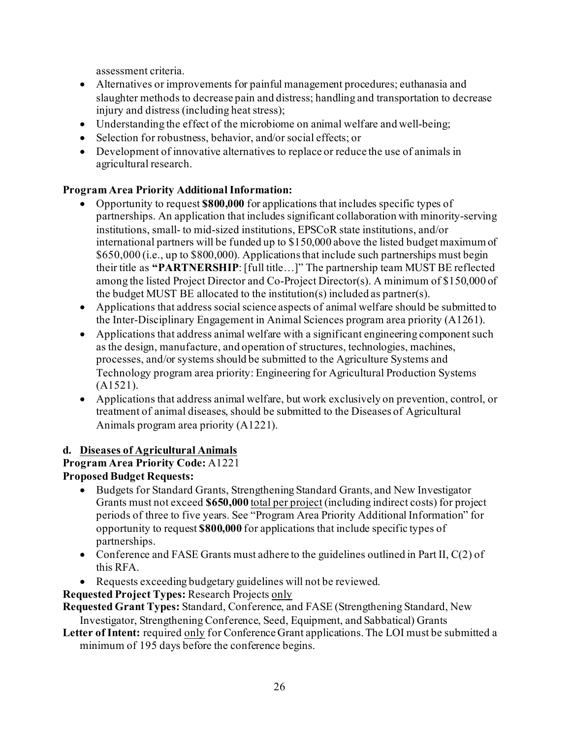assessment criteria.

- Alternatives or improvements for painful management procedures; euthanasia and slaughter methods to decrease pain and distress; handling and transportation to decrease injury and distress (including heat stress);
- Understanding the effect of the microbiome on animal welfare and well-being;
- Selection for robustness, behavior, and/or social effects; or
- Development of innovative alternatives to replace or reduce the use of animals in agricultural research.

## **Program Area Priority Additional Information:**

- Opportunity to request **\$800,000** for applications that includes specific types of partnerships. An application that includes significant collaboration with minority-serving institutions, small- to mid-sized institutions, EPSCoR state institutions, and/or international partners will be funded up to \$150,000 above the listed budget maximum of \$650,000 (i.e., up to \$800,000). Applications that include such partnerships must begin their title as **"PARTNERSHIP**: [full title…]" The partnership team MUST BE reflected among the listed Project Director and Co-Project Director(s). A minimum of \$150,000 of the budget MUST BE allocated to the institution(s) included as partner(s).
- Applications that address social science aspects of animal welfare should be submitted to the Inter-Disciplinary Engagement in Animal Sciences program area priority (A1261).
- Applications that address animal welfare with a significant engineering component such as the design, manufacture, and operation of structures, technologies, machines, processes, and/or systems should be submitted to the Agriculture Systems and Technology program area priority: Engineering for Agricultural Production Systems (A1521).
- Applications that address animal welfare, but work exclusively on prevention, control, or treatment of animal diseases, should be submitted to the Diseases of Agricultural Animals program area priority (A1221).

#### **d. Diseases of Agricultural Animals**

**Program Area Priority Code:** A1221 **Proposed Budget Requests:**

- Budgets for Standard Grants, Strengthening Standard Grants, and New Investigator Grants must not exceed **\$650,000** total per project (including indirect costs) for project periods of three to five years. See "Program Area Priority Additional Information" for opportunity to request **\$800,000** for applications that include specific types of partnerships.
- Conference and FASE Grants must adhere to the guidelines outlined in Part II,  $C(2)$  of this RFA.
- Requests exceeding budgetary guidelines will not be reviewed.
- **Requested Project Types:** Research Projects only

**Requested Grant Types:** Standard, Conference, and FASE (Strengthening Standard, New Investigator, Strengthening Conference, Seed, Equipment, and Sabbatical) Grants

**Letter of Intent:** required only for Conference Grant applications. The LOI must be submitted a minimum of 195 days before the conference begins.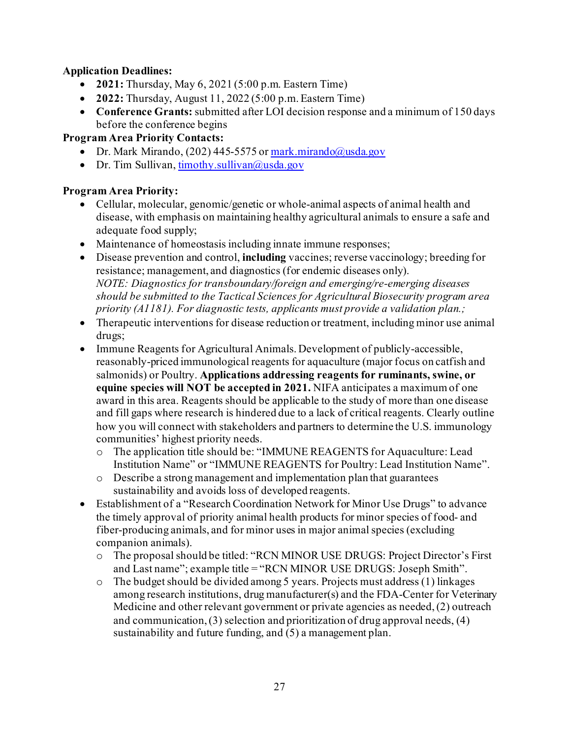#### **Application Deadlines:**

- **2021:** Thursday, May 6, 2021 (5:00 p.m. Eastern Time)
- **2022:** Thursday, August 11, 2022 (5:00 p.m. Eastern Time)
- **Conference Grants:** submitted after LOI decision response and a minimum of 150 days before the conference begins

## **Program Area Priority Contacts:**

- Dr. Mark Mirando, (202) 445-5575 o[r mark.mirando@usda.gov](mailto:mark.mirando@usda.gov)
- Dr. Tim Sullivan[, timothy.sullivan@usda.gov](mailto:timothy.sullivan@usda.gov)

## **Program Area Priority:**

- Cellular, molecular, genomic/genetic or whole-animal aspects of animal health and disease, with emphasis on maintaining healthy agricultural animals to ensure a safe and adequate food supply;
- Maintenance of homeostasis including innate immune responses;
- Disease prevention and control, **including** vaccines; reverse vaccinology; breeding for resistance; management, and diagnostics (for endemic diseases only). *NOTE: Diagnostics for transboundary/foreign and emerging/re-emerging diseases should be submitted to the Tactical Sciences for Agricultural Biosecurity program area priority (A1181). For diagnostic tests, applicants must provide a validation plan.;*
- Therapeutic interventions for disease reduction or treatment, including minor use animal drugs;
- Immune Reagents for Agricultural Animals. Development of publicly-accessible, reasonably-priced immunological reagents for aquaculture (major focus on catfish and salmonids) or Poultry. **Applications addressing reagents for ruminants, swine, or equine species will NOT be accepted in 2021.** NIFA anticipates a maximum of one award in this area. Reagents should be applicable to the study of more than one disease and fill gaps where research is hindered due to a lack of critical reagents. Clearly outline how you will connect with stakeholders and partners to determine the U.S. immunology communities' highest priority needs.
	- o The application title should be: "IMMUNE REAGENTS for Aquaculture: Lead Institution Name" or "IMMUNE REAGENTS for Poultry: Lead Institution Name".
	- o Describe a strong management and implementation plan that guarantees sustainability and avoids loss of developed reagents.
- Establishment of a "Research Coordination Network for Minor Use Drugs" to advance the timely approval of priority animal health products for minor species of food- and fiber-producing animals, and for minor uses in major animal species (excluding companion animals).
	- o The proposal should be titled: "RCN MINOR USE DRUGS: Project Director's First and Last name"; example title = "RCN MINOR USE DRUGS: Joseph Smith".
	- o The budget should be divided among 5 years. Projects must address (1) linkages among research institutions, drug manufacturer(s) and the FDA-Center for Veterinary Medicine and other relevant government or private agencies as needed, (2) outreach and communication, (3) selection and prioritization of drug approval needs, (4) sustainability and future funding, and (5) a management plan.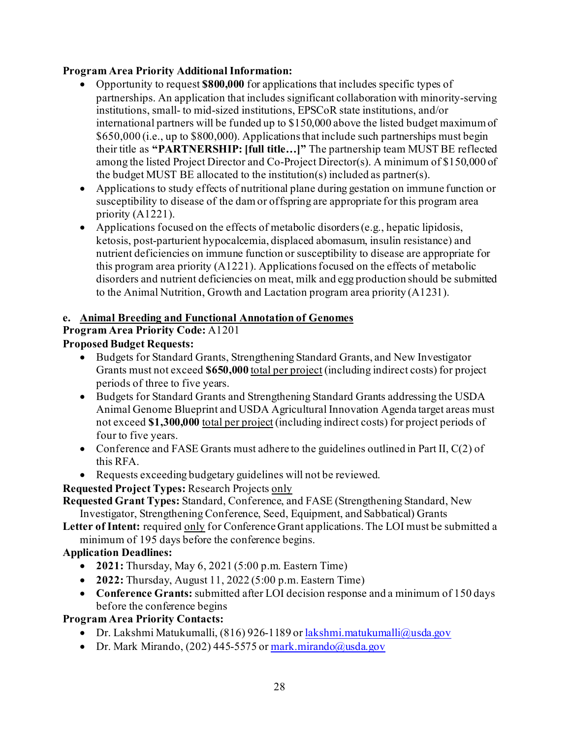## **Program Area Priority Additional Information:**

- Opportunity to request **\$800,000** for applications that includes specific types of partnerships. An application that includes significant collaboration with minority-serving institutions, small- to mid-sized institutions, EPSCoR state institutions, and/or international partners will be funded up to \$150,000 above the listed budget maximum of \$650,000 (i.e., up to \$800,000). Applications that include such partnerships must begin their title as **"PARTNERSHIP: [full title…]"** The partnership team MUST BE reflected among the listed Project Director and Co-Project Director(s). A minimum of \$150,000 of the budget MUST BE allocated to the institution(s) included as partner(s).
- Applications to study effects of nutritional plane during gestation on immune function or susceptibility to disease of the dam or offspring are appropriate for this program area priority (A1221).
- Applications focused on the effects of metabolic disorders (e.g., hepatic lipidosis, ketosis, post-parturient hypocalcemia, displaced abomasum, insulin resistance) and nutrient deficiencies on immune function or susceptibility to disease are appropriate for this program area priority (A1221). Applications focused on the effects of metabolic disorders and nutrient deficiencies on meat, milk and egg production should be submitted to the Animal Nutrition, Growth and Lactation program area priority (A1231).

## **e. Animal Breeding and Functional Annotation of Genomes**

**Program Area Priority Code:** A1201

## **Proposed Budget Requests:**

- Budgets for Standard Grants, Strengthening Standard Grants, and New Investigator Grants must not exceed **\$650,000** total per project (including indirect costs) for project periods of three to five years.
- Budgets for Standard Grants and Strengthening Standard Grants addressing the USDA Animal Genome Blueprint and USDA Agricultural Innovation Agenda target areas must not exceed **\$1,300,000** total per project (including indirect costs) for project periods of four to five years.
- Conference and FASE Grants must adhere to the guidelines outlined in Part II,  $C(2)$  of this RFA.
- Requests exceeding budgetary guidelines will not be reviewed.

## **Requested Project Types:** Research Projects only

**Requested Grant Types:** Standard, Conference, and FASE (Strengthening Standard, New Investigator, Strengthening Conference, Seed, Equipment, and Sabbatical) Grants

**Letter of Intent:** required only for Conference Grant applications. The LOI must be submitted a minimum of 195 days before the conference begins.

#### **Application Deadlines:**

- **2021:** Thursday, May 6, 2021 (5:00 p.m. Eastern Time)
- **2022:** Thursday, August 11, 2022 (5:00 p.m. Eastern Time)
- **Conference Grants:** submitted after LOI decision response and a minimum of 150 days before the conference begins

**Program Area Priority Contacts:**

- Dr. Lakshmi Matukumalli, (816) 926-1189 o[r lakshmi.matukumalli@usda.gov](mailto:lakshmi.matukumalli@usda.gov)
- Dr. Mark Mirando, (202) 445-5575 o[r mark.mirando@usda.gov](mailto:mark.mirando@usda.gov)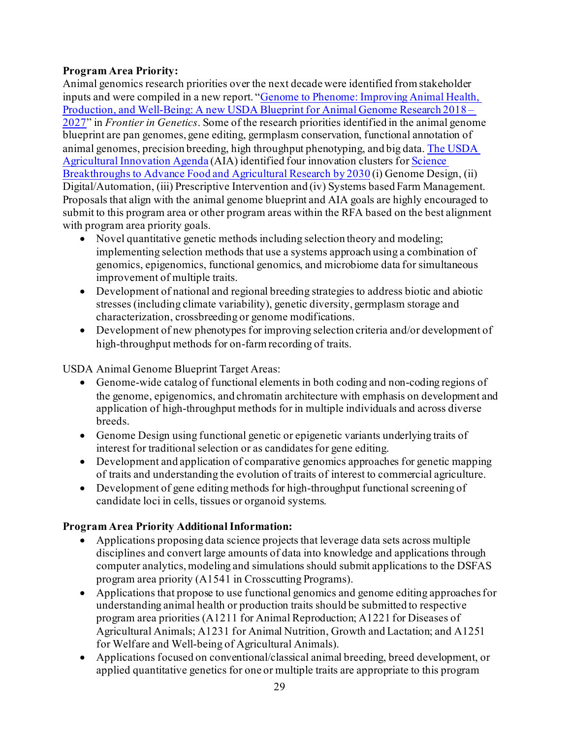## **Program Area Priority:**

Animal genomics research priorities over the next decade were identified from stakeholder inputs and were compiled in a new report. ["Genome to Phenome: Improving Animal Health,](https://www.frontiersin.org/articles/10.3389/fgene.2019.00327/full)  [Production, and Well-Being: A new USDA Blueprint for Animal Genome Research 2018 –](https://www.frontiersin.org/articles/10.3389/fgene.2019.00327/full) [2027"](https://www.frontiersin.org/articles/10.3389/fgene.2019.00327/full) in *Frontier in Genetics*. Some of the research priorities identified in the animal genome blueprint are pan genomes, gene editing, germplasm conservation, functional annotation of animal genomes, precision breeding, high throughput phenotyping, and big data. The USDA [Agricultural Innovation Agenda](https://www.govinfo.gov/content/pkg/FR-2020-04-01/pdf/2020-06825.pdf) (AIA) identified four innovation clusters fo[r Science](https://www.nationalacademies.org/our-work/science-breakthroughs-2030-a-strategy-for-food-and-agricultural-research)  [Breakthroughs to Advance Food and Agricultural Research by 2030](https://www.nationalacademies.org/our-work/science-breakthroughs-2030-a-strategy-for-food-and-agricultural-research) (i) Genome Design, (ii) Digital/Automation, (iii) Prescriptive Intervention and (iv) Systems based Farm Management. Proposals that align with the animal genome blueprint and AIA goals are highly encouraged to submit to this program area or other program areas within the RFA based on the best alignment with program area priority goals.

- Novel quantitative genetic methods including selection theory and modeling; implementing selection methods that use a systems approach using a combination of genomics, epigenomics, functional genomics, and microbiome data for simultaneous improvement of multiple traits.
- Development of national and regional breeding strategies to address biotic and abiotic stresses (including climate variability), genetic diversity, germplasm storage and characterization, crossbreeding or genome modifications.
- Development of new phenotypes for improving selection criteria and/or development of high-throughput methods for on-farm recording of traits.

USDA Animal Genome Blueprint Target Areas:

- Genome-wide catalog of functional elements in both coding and non-coding regions of the genome, epigenomics, and chromatin architecture with emphasis on development and application of high-throughput methods for in multiple individuals and across diverse breeds.
- Genome Design using functional genetic or epigenetic variants underlying traits of interest for traditional selection or as candidates for gene editing.
- Development and application of comparative genomics approaches for genetic mapping of traits and understanding the evolution of traits of interest to commercial agriculture.
- Development of gene editing methods for high-throughput functional screening of candidate loci in cells, tissues or organoid systems.

- Applications proposing data science projects that leverage data sets across multiple disciplines and convert large amounts of data into knowledge and applications through computer analytics, modeling and simulations should submit applications to the DSFAS program area priority (A1541 in Crosscutting Programs).
- Applications that propose to use functional genomics and genome editing approaches for understanding animal health or production traits should be submitted to respective program area priorities (A1211 for Animal Reproduction; A1221 for Diseases of Agricultural Animals; A1231 for Animal Nutrition, Growth and Lactation; and A1251 for Welfare and Well-being of Agricultural Animals).
- Applications focused on conventional/classical animal breeding, breed development, or applied quantitative genetics for one or multiple traits are appropriate to this program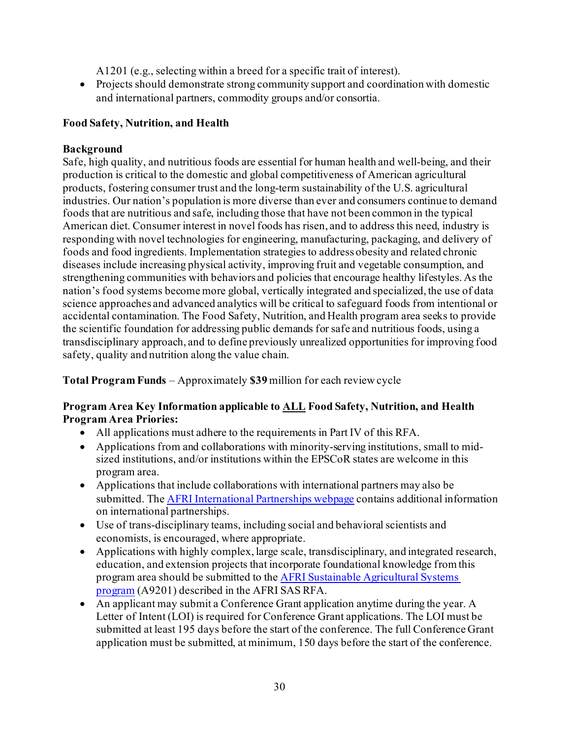A1201 (e.g., selecting within a breed for a specific trait of interest).

• Projects should demonstrate strong community support and coordination with domestic and international partners, commodity groups and/or consortia.

## **Food Safety, Nutrition, and Health**

## **Background**

Safe, high quality, and nutritious foods are essential for human health and well-being, and their production is critical to the domestic and global competitiveness of American agricultural products, fostering consumer trust and the long-term sustainability of the U.S. agricultural industries. Our nation's population is more diverse than ever and consumers continue to demand foods that are nutritious and safe, including those that have not been common in the typical American diet. Consumer interest in novel foods has risen, and to address this need, industry is responding with novel technologies for engineering, manufacturing, packaging, and delivery of foods and food ingredients. Implementation strategies to address obesity and related chronic diseases include increasing physical activity, improving fruit and vegetable consumption, and strengthening communities with behaviors and policies that encourage healthy lifestyles. As the nation's food systems become more global, vertically integrated and specialized, the use of data science approaches and advanced analytics will be critical to safeguard foods from intentional or accidental contamination. The Food Safety, Nutrition, and Health program area seeks to provide the scientific foundation for addressing public demands for safe and nutritious foods, using a transdisciplinary approach, and to define previously unrealized opportunities for improving food safety, quality and nutrition along the value chain.

**Total Program Funds** – Approximately **\$39** million for each review cycle

#### **Program Area Key Information applicable to ALL Food Safety, Nutrition, and Health Program Area Priories:**

- All applications must adhere to the requirements in Part IV of this RFA.
- Applications from and collaborations with minority-serving institutions, small to midsized institutions, and/or institutions within the EPSCoR states are welcome in this program area.
- Applications that include collaborations with international partners may also be submitted. Th[e AFRI International Partnerships webpage](https://nifa.usda.gov/resource/afri-international-partnerships) contains additional information on international partnerships.
- Use of trans-disciplinary teams, including social and behavioral scientists and economists, is encouraged, where appropriate.
- Applications with highly complex, large scale, transdisciplinary, and integrated research, education, and extension projects that incorporate foundational knowledge from this program area should be submitted to th[e AFRI Sustainable Agricultural Systems](https://nifa.usda.gov/program/afri-sas)  [program](https://nifa.usda.gov/program/afri-sas) (A9201) described in the AFRI SAS RFA.
- An applicant may submit a Conference Grant application anytime during the year. A Letter of Intent (LOI) is required for Conference Grant applications. The LOI must be submitted at least 195 days before the start of the conference. The full Conference Grant application must be submitted, at minimum, 150 days before the start of the conference.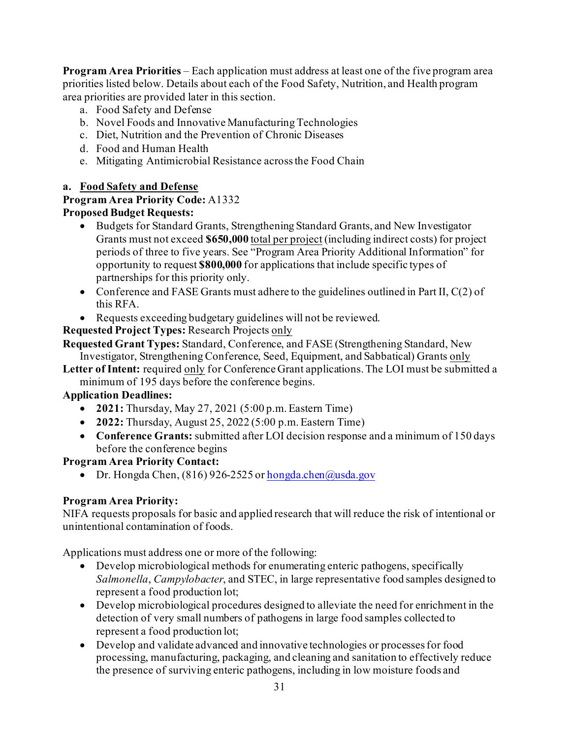**Program Area Priorities** – Each application must address at least one of the five program area priorities listed below. Details about each of the Food Safety, Nutrition, and Health program area priorities are provided later in this section.

- a. Food Safety and Defense
- b. Novel Foods and Innovative Manufacturing Technologies
- c. Diet, Nutrition and the Prevention of Chronic Diseases
- d. Food and Human Health
- e. Mitigating Antimicrobial Resistance across the Food Chain

## **a. Food Safety and Defense**

#### **Program Area Priority Code:** A1332 **Proposed Budget Requests:**

- Budgets for Standard Grants, Strengthening Standard Grants, and New Investigator Grants must not exceed **\$650,000** total per project (including indirect costs) for project periods of three to five years. See "Program Area Priority Additional Information" for opportunity to request **\$800,000** for applications that include specific types of partnerships for this priority only.
- Conference and FASE Grants must adhere to the guidelines outlined in Part II,  $C(2)$  of this RFA.
- Requests exceeding budgetary guidelines will not be reviewed.

**Requested Project Types:** Research Projects only

**Requested Grant Types:** Standard, Conference, and FASE (Strengthening Standard, New Investigator, Strengthening Conference, Seed, Equipment, and Sabbatical) Grants only

**Letter of Intent:** required only for Conference Grant applications. The LOI must be submitted a minimum of 195 days before the conference begins.

## **Application Deadlines:**

- **2021:** Thursday, May 27, 2021 (5:00 p.m. Eastern Time)
- **2022:** Thursday, August 25, 2022 (5:00 p.m. Eastern Time)
- **Conference Grants:** submitted after LOI decision response and a minimum of 150 days before the conference begins

#### **Program Area Priority Contact:**

• Dr. Hongda Chen,  $(816)$  926-2525 o[r hongda.chen@usda.gov](mailto:hongda.chen@usda.gov)

## **Program Area Priority:**

NIFA requests proposals for basic and applied research that will reduce the risk of intentional or unintentional contamination of foods.

Applications must address one or more of the following:

- Develop microbiological methods for enumerating enteric pathogens, specifically *Salmonella*, *Campylobacter*, and STEC, in large representative food samples designed to represent a food production lot;
- Develop microbiological procedures designed to alleviate the need for enrichment in the detection of very small numbers of pathogens in large food samples collected to represent a food production lot;
- Develop and validate advanced and innovative technologies or processes for food processing, manufacturing, packaging, and cleaning and sanitation to effectively reduce the presence of surviving enteric pathogens, including in low moisture foods and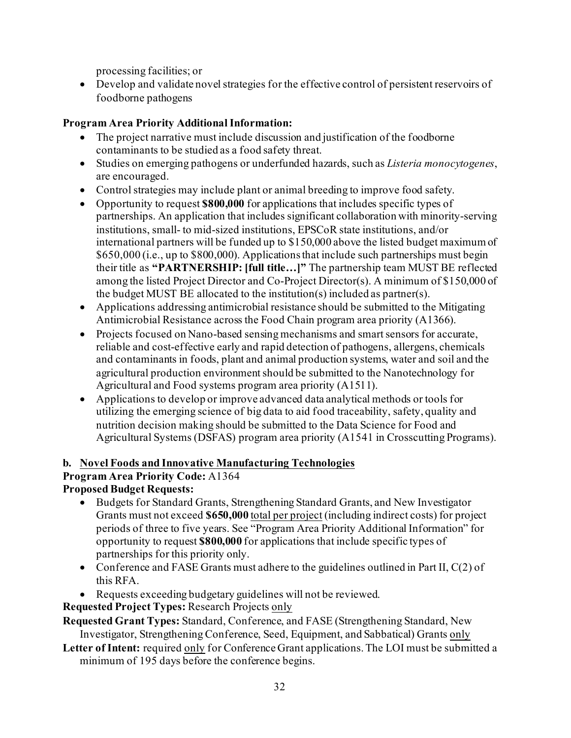processing facilities; or

• Develop and validate novel strategies for the effective control of persistent reservoirs of foodborne pathogens

## **Program Area Priority Additional Information:**

- The project narrative must include discussion and justification of the foodborne contaminants to be studied as a food safety threat.
- Studies on emerging pathogens or underfunded hazards, such as *Listeria monocytogenes*, are encouraged.
- Control strategies may include plant or animal breeding to improve food safety.
- Opportunity to request **\$800,000** for applications that includes specific types of partnerships. An application that includes significant collaboration with minority-serving institutions, small- to mid-sized institutions, EPSCoR state institutions, and/or international partners will be funded up to \$150,000 above the listed budget maximum of \$650,000 (i.e., up to \$800,000). Applications that include such partnerships must begin their title as **"PARTNERSHIP: [full title…]"** The partnership team MUST BE reflected among the listed Project Director and Co-Project Director(s). A minimum of \$150,000 of the budget MUST BE allocated to the institution(s) included as partner(s).
- Applications addressing antimicrobial resistance should be submitted to the Mitigating Antimicrobial Resistance across the Food Chain program area priority (A1366).
- Projects focused on Nano-based sensing mechanisms and smart sensors for accurate, reliable and cost-effective early and rapid detection of pathogens, allergens, chemicals and contaminants in foods, plant and animal production systems, water and soil and the agricultural production environment should be submitted to the Nanotechnology for Agricultural and Food systems program area priority (A1511).
- Applications to develop or improve advanced data analytical methods or tools for utilizing the emerging science of big data to aid food traceability, safety, quality and nutrition decision making should be submitted to the Data Science for Food and Agricultural Systems (DSFAS) program area priority (A1541 in Crosscutting Programs).

## **b. Novel Foods and Innovative Manufacturing Technologies**

## **Program Area Priority Code:** A1364

## **Proposed Budget Requests:**

- Budgets for Standard Grants, Strengthening Standard Grants, and New Investigator Grants must not exceed **\$650,000** total per project (including indirect costs) for project periods of three to five years. See "Program Area Priority Additional Information" for opportunity to request **\$800,000** for applications that include specific types of partnerships for this priority only.
- Conference and FASE Grants must adhere to the guidelines outlined in Part II, C(2) of this RFA.
- Requests exceeding budgetary guidelines will not be reviewed.
- **Requested Project Types:** Research Projects only

**Requested Grant Types:** Standard, Conference, and FASE (Strengthening Standard, New Investigator, Strengthening Conference, Seed, Equipment, and Sabbatical) Grants only

**Letter of Intent:** required only for Conference Grant applications. The LOI must be submitted a minimum of 195 days before the conference begins.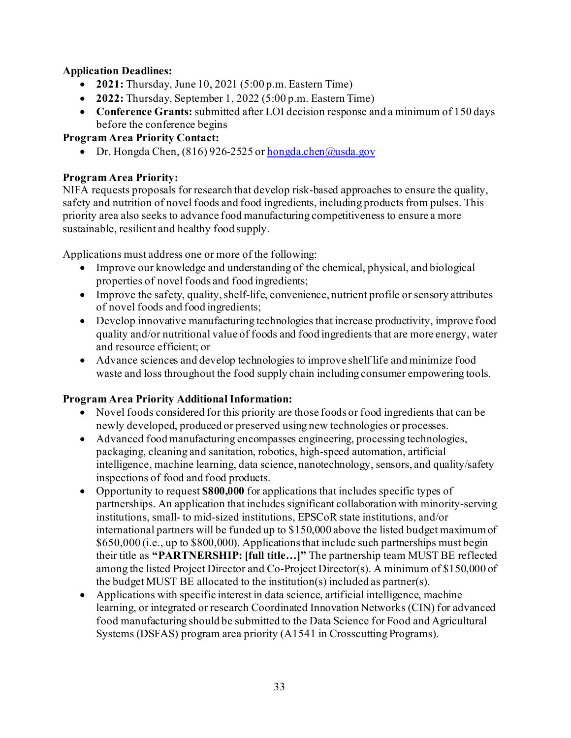## **Application Deadlines:**

- **2021:** Thursday, June 10, 2021 (5:00 p.m. Eastern Time)
- **2022:** Thursday, September 1, 2022 (5:00 p.m. Eastern Time)
- **Conference Grants:** submitted after LOI decision response and a minimum of 150 days before the conference begins

## **Program Area Priority Contact:**

• Dr. Hongda Chen, (816) 926-2525 o[r hongda.chen@usda.gov](mailto:hongda.chen@usda.gov)

## **Program Area Priority:**

NIFA requests proposals for research that develop risk-based approaches to ensure the quality, safety and nutrition of novel foods and food ingredients, including products from pulses. This priority area also seeks to advance food manufacturing competitiveness to ensure a more sustainable, resilient and healthy food supply.

Applications must address one or more of the following:

- Improve our knowledge and understanding of the chemical, physical, and biological properties of novel foods and food ingredients;
- Improve the safety, quality, shelf-life, convenience, nutrient profile or sensory attributes of novel foods and food ingredients;
- Develop innovative manufacturing technologies that increase productivity, improve food quality and/or nutritional value of foods and food ingredients that are more energy, water and resource efficient; or
- Advance sciences and develop technologies to improve shelf life and minimize food waste and loss throughout the food supply chain including consumer empowering tools.

- Novel foods considered for this priority are those foods or food ingredients that can be newly developed, produced or preserved using new technologies or processes.
- Advanced food manufacturing encompasses engineering, processing technologies, packaging, cleaning and sanitation, robotics, high-speed automation, artificial intelligence, machine learning, data science, nanotechnology, sensors, and quality/safety inspections of food and food products.
- Opportunity to request **\$800,000** for applications that includes specific types of partnerships. An application that includes significant collaboration with minority-serving institutions, small- to mid-sized institutions, EPSCoR state institutions, and/or international partners will be funded up to \$150,000 above the listed budget maximum of \$650,000 (i.e., up to \$800,000). Applications that include such partnerships must begin their title as **"PARTNERSHIP: [full title…]"** The partnership team MUST BE reflected among the listed Project Director and Co-Project Director(s). A minimum of \$150,000 of the budget MUST BE allocated to the institution(s) included as partner(s).
- Applications with specific interest in data science, artificial intelligence, machine learning, or integrated or research Coordinated Innovation Networks (CIN) for advanced food manufacturing should be submitted to the Data Science for Food and Agricultural Systems (DSFAS) program area priority (A1541 in Crosscutting Programs).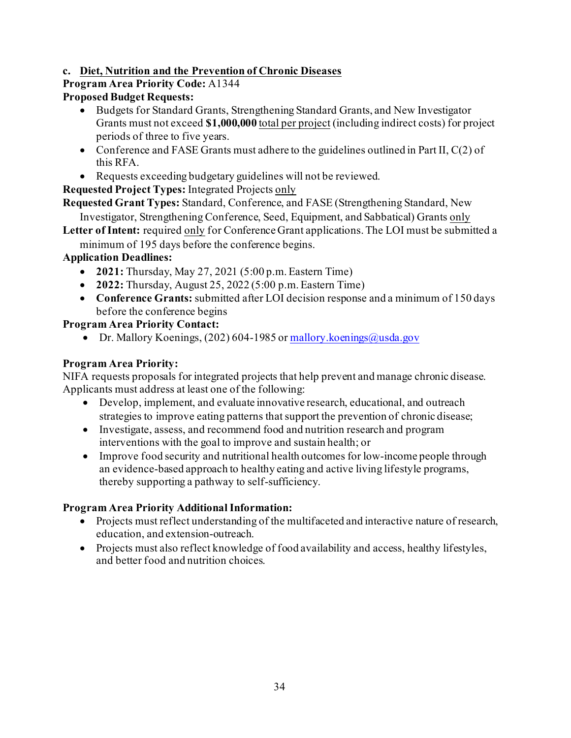## **c. Diet, Nutrition and the Prevention of Chronic Diseases**

## **Program Area Priority Code:** A1344

## **Proposed Budget Requests:**

- Budgets for Standard Grants, Strengthening Standard Grants, and New Investigator Grants must not exceed **\$1,000,000** total per project (including indirect costs) for project periods of three to five years.
- Conference and FASE Grants must adhere to the guidelines outlined in Part II,  $C(2)$  of this RFA.
- Requests exceeding budgetary guidelines will not be reviewed.

**Requested Project Types:** Integrated Projects only

**Requested Grant Types:** Standard, Conference, and FASE (Strengthening Standard, New

Investigator, Strengthening Conference, Seed, Equipment, and Sabbatical) Grants only

- **Letter of Intent:** required only for Conference Grant applications. The LOI must be submitted a
	- minimum of 195 days before the conference begins.

## **Application Deadlines:**

- **2021:** Thursday, May 27, 2021 (5:00 p.m. Eastern Time)
- **2022:** Thursday, August 25, 2022 (5:00 p.m. Eastern Time)
- **Conference Grants:** submitted after LOI decision response and a minimum of 150 days before the conference begins

## **Program Area Priority Contact:**

• Dr. Mallory Koenings, (202) 604-1985 o[r mallory.koenings@usda.gov](mailto:mallory.koenings@usda.gov)

## **Program Area Priority:**

NIFA requests proposals for integrated projects that help prevent and manage chronic disease. Applicants must address at least one of the following:

- Develop, implement, and evaluate innovative research, educational, and outreach strategies to improve eating patterns that support the prevention of chronic disease;
- Investigate, assess, and recommend food and nutrition research and program interventions with the goal to improve and sustain health; or
- Improve food security and nutritional health outcomes for low-income people through an evidence-based approach to healthy eating and active living lifestyle programs, thereby supporting a pathway to self-sufficiency.

- Projects must reflect understanding of the multifaceted and interactive nature of research, education, and extension-outreach.
- Projects must also reflect knowledge of food availability and access, healthy lifestyles, and better food and nutrition choices.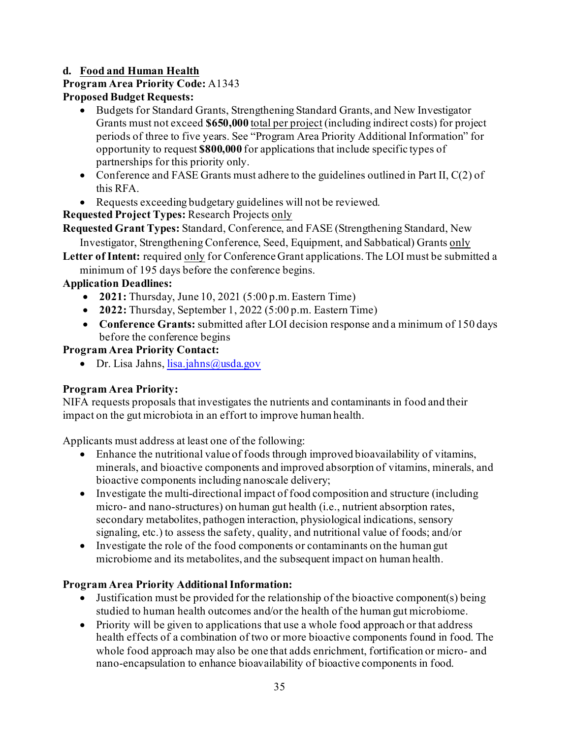## **d. Food and Human Health**

## **Program Area Priority Code:** A1343

## **Proposed Budget Requests:**

- Budgets for Standard Grants, Strengthening Standard Grants, and New Investigator Grants must not exceed **\$650,000** total per project (including indirect costs) for project periods of three to five years. See "Program Area Priority Additional Information" for opportunity to request **\$800,000** for applications that include specific types of partnerships for this priority only.
- Conference and FASE Grants must adhere to the guidelines outlined in Part II, C(2) of this RFA.
- Requests exceeding budgetary guidelines will not be reviewed.

## **Requested Project Types:** Research Projects only

**Requested Grant Types:** Standard, Conference, and FASE (Strengthening Standard, New Investigator, Strengthening Conference, Seed, Equipment, and Sabbatical) Grants only

**Letter of Intent:** required only for Conference Grant applications. The LOI must be submitted a minimum of 195 days before the conference begins.

## **Application Deadlines:**

- **2021:** Thursday, June 10, 2021 (5:00 p.m. Eastern Time)
- **2022:** Thursday, September 1, 2022 (5:00 p.m. Eastern Time)
- **Conference Grants:** submitted after LOI decision response and a minimum of 150 days before the conference begins

## **Program Area Priority Contact:**

• Dr. Lisa Jahns[, lisa.jahns@usda.gov](mailto:lisa.jahns@usda.gov)

## **Program Area Priority:**

NIFA requests proposals that investigates the nutrients and contaminants in food and their impact on the gut microbiota in an effort to improve human health.

Applicants must address at least one of the following:

- Enhance the nutritional value of foods through improved bioavailability of vitamins, minerals, and bioactive components and improved absorption of vitamins, minerals, and bioactive components including nanoscale delivery;
- Investigate the multi-directional impact of food composition and structure (including micro- and nano-structures) on human gut health (i.e., nutrient absorption rates, secondary metabolites, pathogen interaction, physiological indications, sensory signaling, etc.) to assess the safety, quality, and nutritional value of foods; and/or
- Investigate the role of the food components or contaminants on the human gut microbiome and its metabolites, and the subsequent impact on human health.

- Justification must be provided for the relationship of the bioactive component(s) being studied to human health outcomes and/or the health of the human gut microbiome.
- Priority will be given to applications that use a whole food approach or that address health effects of a combination of two or more bioactive components found in food. The whole food approach may also be one that adds enrichment, fortification or micro- and nano-encapsulation to enhance bioavailability of bioactive components in food.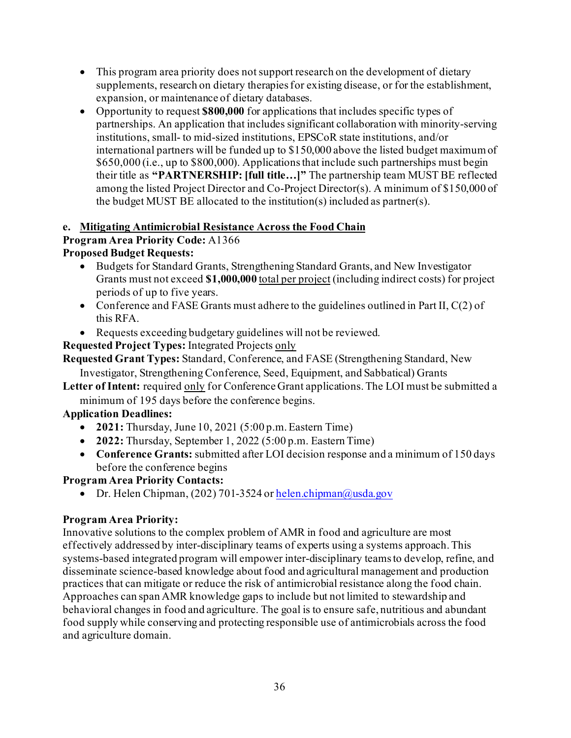- This program area priority does not support research on the development of dietary supplements, research on dietary therapies for existing disease, or for the establishment, expansion, or maintenance of dietary databases.
- Opportunity to request **\$800,000** for applications that includes specific types of partnerships. An application that includes significant collaboration with minority-serving institutions, small- to mid-sized institutions, EPSCoR state institutions, and/or international partners will be funded up to \$150,000 above the listed budget maximum of \$650,000 (i.e., up to \$800,000). Applications that include such partnerships must begin their title as **"PARTNERSHIP: [full title…]"** The partnership team MUST BE reflected among the listed Project Director and Co-Project Director(s). A minimum of \$150,000 of the budget MUST BE allocated to the institution(s) included as partner(s).

## **e. Mitigating Antimicrobial Resistance Across the Food Chain**

## **Program Area Priority Code:** A1366

## **Proposed Budget Requests:**

- Budgets for Standard Grants, Strengthening Standard Grants, and New Investigator Grants must not exceed **\$1,000,000** total per project (including indirect costs) for project periods of up to five years.
- Conference and FASE Grants must adhere to the guidelines outlined in Part II, C(2) of this RFA.
- Requests exceeding budgetary guidelines will not be reviewed.

**Requested Project Types:** Integrated Projects only

**Requested Grant Types:** Standard, Conference, and FASE (Strengthening Standard, New

Investigator, Strengthening Conference, Seed, Equipment, and Sabbatical) Grants

**Letter of Intent:** required only for Conference Grant applications. The LOI must be submitted a minimum of 195 days before the conference begins.

## **Application Deadlines:**

- **2021:** Thursday, June 10, 2021 (5:00 p.m. Eastern Time)
- **2022:** Thursday, September 1, 2022 (5:00 p.m. Eastern Time)
- **Conference Grants:** submitted after LOI decision response and a minimum of 150 days before the conference begins

## **Program Area Priority Contacts:**

• Dr. Helen Chipman, (202) 701-3524 o[r helen.chipman@usda.gov](mailto:helen.chipman@usda.gov)

## **Program Area Priority:**

Innovative solutions to the complex problem of AMR in food and agriculture are most effectively addressed by inter-disciplinary teams of experts using a systems approach. This systems-based integrated program will empower inter-disciplinary teams to develop, refine, and disseminate science-based knowledge about food and agricultural management and production practices that can mitigate or reduce the risk of antimicrobial resistance along the food chain. Approaches can span AMR knowledge gaps to include but not limited to stewardship and behavioral changes in food and agriculture. The goal is to ensure safe, nutritious and abundant food supply while conserving and protecting responsible use of antimicrobials across the food and agriculture domain.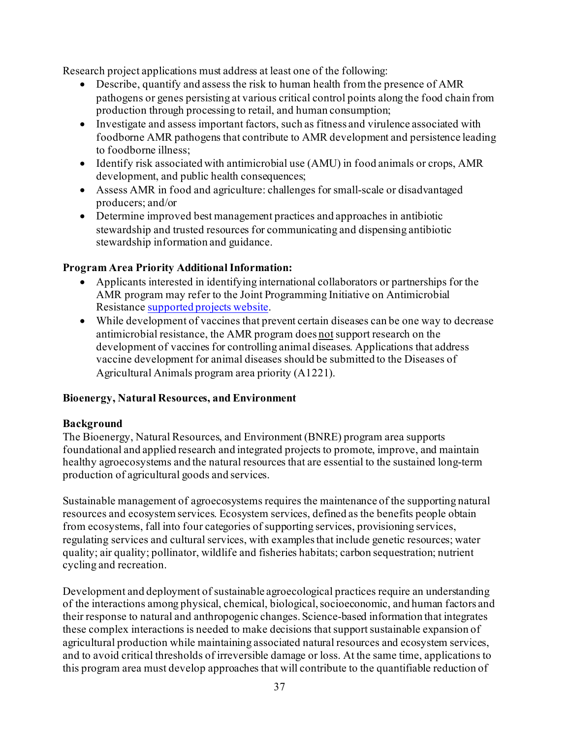Research project applications must address at least one of the following:

- Describe, quantify and assess the risk to human health from the presence of AMR pathogens or genes persisting at various critical control points along the food chain from production through processing to retail, and human consumption;
- Investigate and assess important factors, such as fitness and virulence associated with foodborne AMR pathogens that contribute to AMR development and persistence leading to foodborne illness;
- Identify risk associated with antimicrobial use (AMU) in food animals or crops, AMR development, and public health consequences;
- Assess AMR in food and agriculture: challenges for small-scale or disadvantaged producers; and/or
- Determine improved best management practices and approaches in antibiotic stewardship and trusted resources for communicating and dispensing antibiotic stewardship information and guidance.

### **Program Area Priority Additional Information:**

- Applicants interested in identifying international collaborators or partnerships for the AMR program may refer to the Joint Programming Initiative on Antimicrobial Resistanc[e supported projects website](http://www.jpiamr.eu/supportedprojects/).
- While development of vaccines that prevent certain diseases can be one way to decrease antimicrobial resistance, the AMR program does notsupport research on the development of vaccines for controlling animal diseases. Applications that address vaccine development for animal diseases should be submitted to the Diseases of Agricultural Animals program area priority (A1221).

### **Bioenergy, Natural Resources, and Environment**

### **Background**

The Bioenergy, Natural Resources, and Environment (BNRE) program area supports foundational and applied research and integrated projects to promote, improve, and maintain healthy agroecosystems and the natural resources that are essential to the sustained long-term production of agricultural goods and services.

Sustainable management of agroecosystems requires the maintenance of the supporting natural resources and ecosystem services. Ecosystem services, defined as the benefits people obtain from ecosystems, fall into four categories of supporting services, provisioning services, regulating services and cultural services, with examples that include genetic resources; water quality; air quality; pollinator, wildlife and fisheries habitats; carbon sequestration; nutrient cycling and recreation.

Development and deployment of sustainable agroecological practices require an understanding of the interactions among physical, chemical, biological, socioeconomic, and human factors and their response to natural and anthropogenic changes. Science-based information that integrates these complex interactions is needed to make decisions that support sustainable expansion of agricultural production while maintaining associated natural resources and ecosystem services, and to avoid critical thresholds of irreversible damage or loss. At the same time, applications to this program area must develop approaches that will contribute to the quantifiable reduction of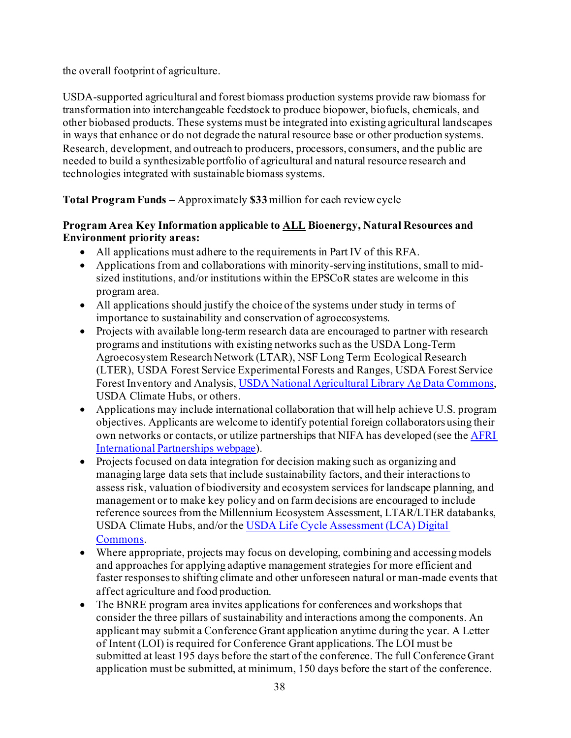the overall footprint of agriculture.

USDA-supported agricultural and forest biomass production systems provide raw biomass for transformation into interchangeable feedstock to produce biopower, biofuels, chemicals, and other biobased products. These systems must be integrated into existing agricultural landscapes in ways that enhance or do not degrade the natural resource base or other production systems. Research, development, and outreach to producers, processors, consumers, and the public are needed to build a synthesizable portfolio of agricultural and natural resource research and technologies integrated with sustainable biomass systems.

**Total Program Funds –** Approximately **\$33** million for each review cycle

### **Program Area Key Information applicable to ALL Bioenergy, Natural Resources and Environment priority areas:**

- All applications must adhere to the requirements in Part IV of this RFA.
- Applications from and collaborations with minority-serving institutions, small to midsized institutions, and/or institutions within the EPSCoR states are welcome in this program area.
- All applications should justify the choice of the systems under study in terms of importance to sustainability and conservation of agroecosystems.
- Projects with available long-term research data are encouraged to partner with research programs and institutions with existing networks such as the USDA Long-Term Agroecosystem Research Network (LTAR), NSF Long Term Ecological Research (LTER), USDA Forest Service Experimental Forests and Ranges, USDA Forest Service Forest Inventory and Analysis[, USDA National Agricultural Library Ag Data Commons,](https://data.nal.usda.gov/about-ag-data-commons) USDA Climate Hubs, or others.
- Applications may include international collaboration that will help achieve U.S. program objectives. Applicants are welcome to identify potential foreign collaborators using their own networks or contacts, or utilize partnerships that NIFA has developed (see th[e AFRI](https://nifa.usda.gov/resource/afri-international-partnerships)  [International Partnerships webpage\)](https://nifa.usda.gov/resource/afri-international-partnerships).
- Projects focused on data integration for decision making such as organizing and managing large data sets that include sustainability factors, and their interactions to assess risk, valuation of biodiversity and ecosystem services for landscape planning, and management or to make key policy and on farm decisions are encouraged to include reference sources from the Millennium Ecosystem Assessment, LTAR/LTER databanks, USDA Climate Hubs, and/or th[e USDA Life Cycle Assessment \(LCA\) Digital](http://www.lcacommons.gov/)  [Commons.](http://www.lcacommons.gov/)
- Where appropriate, projects may focus on developing, combining and accessing models and approaches for applying adaptive management strategies for more efficient and faster responses to shifting climate and other unforeseen natural or man-made events that affect agriculture and food production.
- The BNRE program area invites applications for conferences and workshops that consider the three pillars of sustainability and interactions among the components. An applicant may submit a Conference Grant application anytime during the year. A Letter of Intent (LOI) is required for Conference Grant applications. The LOI must be submitted at least 195 days before the start of the conference. The full Conference Grant application must be submitted, at minimum, 150 days before the start of the conference.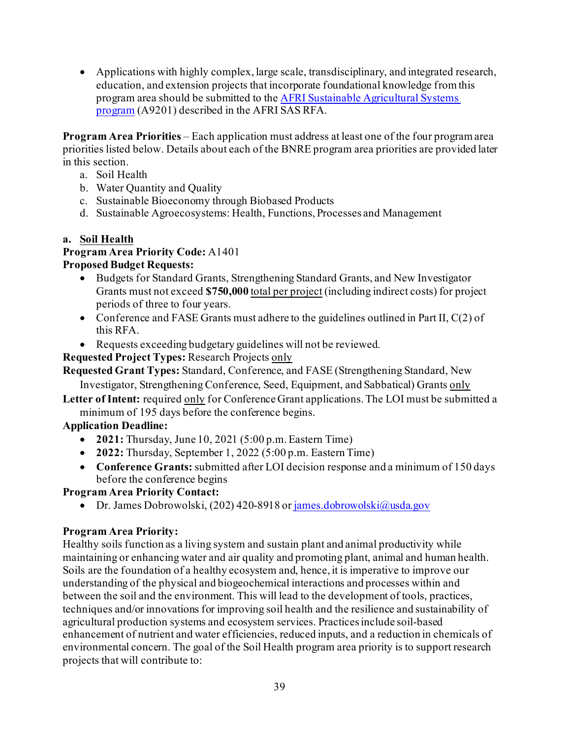• Applications with highly complex, large scale, transdisciplinary, and integrated research, education, and extension projects that incorporate foundational knowledge from this program area should be submitted to th[e AFRI Sustainable Agricultural Systems](https://nifa.usda.gov/program/afri-sas)  [program](https://nifa.usda.gov/program/afri-sas) (A9201) described in the AFRI SAS RFA.

**Program Area Priorities** – Each application must address at least one of the four program area priorities listed below. Details about each of the BNRE program area priorities are provided later in this section.

- a. Soil Health
- b. Water Quantity and Quality
- c. Sustainable Bioeconomy through Biobased Products
- d. Sustainable Agroecosystems: Health, Functions, Processes and Management

### **a. Soil Health**

#### **Program Area Priority Code:** A1401 **Proposed Budget Requests:**

- Budgets for Standard Grants, Strengthening Standard Grants, and New Investigator Grants must not exceed **\$750,000** total per project (including indirect costs) for project periods of three to four years.
- Conference and FASE Grants must adhere to the guidelines outlined in Part II, C(2) of this RFA.
- Requests exceeding budgetary guidelines will not be reviewed.

### **Requested Project Types:** Research Projects only

**Requested Grant Types:** Standard, Conference, and FASE (Strengthening Standard, New

Investigator, Strengthening Conference, Seed, Equipment, and Sabbatical) Grants only

**Letter of Intent:** required only for Conference Grant applications. The LOI must be submitted a minimum of 195 days before the conference begins.

### **Application Deadline:**

- **2021:** Thursday, June 10, 2021 (5:00 p.m. Eastern Time)
- **2022:** Thursday, September 1, 2022 (5:00 p.m. Eastern Time)
- **Conference Grants:** submitted after LOI decision response and a minimum of 150 days before the conference begins

### **Program Area Priority Contact:**

• Dr. James Dobrowolski, (202) 420-8918 o[r james.dobrowolski@usda.gov](mailto:james.dobrowolski@usda.gov)

### **Program Area Priority:**

Healthy soils function as a living system and sustain plant and animal productivity while maintaining or enhancing water and air quality and promoting plant, animal and human health. Soils are the foundation of a healthy ecosystem and, hence, it is imperative to improve our understanding of the physical and biogeochemical interactions and processes within and between the soil and the environment. This will lead to the development of tools, practices, techniques and/or innovations for improving soil health and the resilience and sustainability of agricultural production systems and ecosystem services. Practices include soil-based enhancement of nutrient and water efficiencies, reduced inputs, and a reduction in chemicals of environmental concern. The goal of the Soil Health program area priority is to support research projects that will contribute to: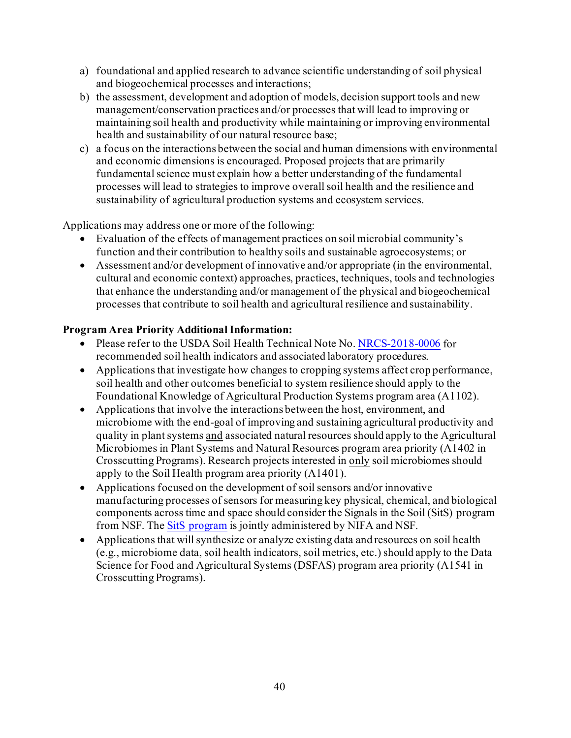- a) foundational and applied research to advance scientific understanding of soil physical and biogeochemical processes and interactions;
- b) the assessment, development and adoption of models, decision support tools and new management/conservation practices and/or processes that will lead to improving or maintaining soil health and productivity while maintaining or improving environmental health and sustainability of our natural resource base;
- c) a focus on the interactions between the social and human dimensions with environmental and economic dimensions is encouraged. Proposed projects that are primarily fundamental science must explain how a better understanding of the fundamental processes will lead to strategies to improve overall soil health and the resilience and sustainability of agricultural production systems and ecosystem services.

Applications may address one or more of the following:

- Evaluation of the effects of management practices on soil microbial community's function and their contribution to healthy soils and sustainable agroecosystems; or
- Assessment and/or development of innovative and/or appropriate (in the environmental, cultural and economic context) approaches, practices, techniques, tools and technologies that enhance the understanding and/or management of the physical and biogeochemical processes that contribute to soil health and agricultural resilience and sustainability.

### **Program Area Priority Additional Information:**

- Please refer to the USDA Soil Health Technical Note No[. NRCS-2018-0006](https://go.usa.gov/xUFJE) for recommended soil health indicators and associated laboratory procedures.
- Applications that investigate how changes to cropping systems affect crop performance, soil health and other outcomes beneficial to system resilience should apply to the Foundational Knowledge of Agricultural Production Systems program area (A1102).
- Applications that involve the interactions between the host, environment, and microbiome with the end-goal of improving and sustaining agricultural productivity and quality in plant systems and associated natural resources should apply to the Agricultural Microbiomes in Plant Systems and Natural Resources program area priority (A1402 in Crosscutting Programs). Research projects interested in only soil microbiomes should apply to the Soil Health program area priority (A1401).
- Applications focused on the development of soil sensors and/or innovative manufacturing processes of sensors for measuring key physical, chemical, and biological components across time and space should consider the Signals in the Soil (SitS) program from NSF. The [SitS program](https://www.nifa.usda.gov/funding-opportunity/signals-soil-sits) is jointly administered by NIFA and NSF.
- Applications that will synthesize or analyze existing data and resources on soil health (e.g., microbiome data, soil health indicators, soil metrics, etc.) should apply to the Data Science for Food and Agricultural Systems (DSFAS) program area priority (A1541 in Crosscutting Programs).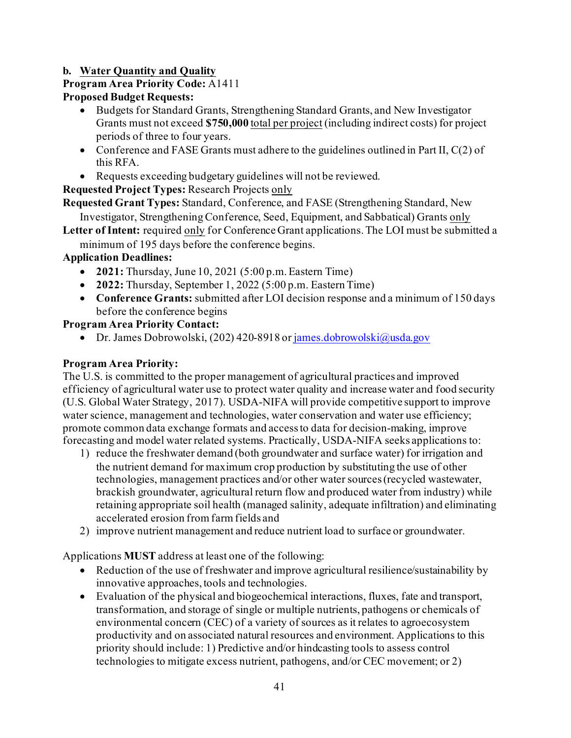## **b. Water Quantity and Quality**

## **Program Area Priority Code:** A1411

## **Proposed Budget Requests:**

- Budgets for Standard Grants, Strengthening Standard Grants, and New Investigator Grants must not exceed **\$750,000** total per project (including indirect costs) for project periods of three to four years.
- Conference and FASE Grants must adhere to the guidelines outlined in Part II,  $C(2)$  of this RFA.
- Requests exceeding budgetary guidelines will not be reviewed.

**Requested Project Types:** Research Projects only

**Requested Grant Types:** Standard, Conference, and FASE (Strengthening Standard, New

Investigator, Strengthening Conference, Seed, Equipment, and Sabbatical) Grants only

- **Letter of Intent:** required only for Conference Grant applications. The LOI must be submitted a
	- minimum of 195 days before the conference begins.

## **Application Deadlines:**

- **2021:** Thursday, June 10, 2021 (5:00 p.m. Eastern Time)
- **2022:** Thursday, September 1, 2022 (5:00 p.m. Eastern Time)
- **Conference Grants:** submitted after LOI decision response and a minimum of 150 days before the conference begins

## **Program Area Priority Contact:**

• Dr. James Dobrowolski, (202) 420-8918 o[r james.dobrowolski@usda.gov](mailto:james.dobrowolski@usda.gov)

## **Program Area Priority:**

The U.S. is committed to the proper management of agricultural practices and improved efficiency of agricultural water use to protect water quality and increase water and food security (U.S. Global Water Strategy, 2017). USDA-NIFA will provide competitive support to improve water science, management and technologies, water conservation and water use efficiency; promote common data exchange formats and access to data for decision-making, improve forecasting and model water related systems. Practically, USDA-NIFA seeks applications to:

- 1) reduce the freshwater demand (both groundwater and surface water) for irrigation and the nutrient demand for maximum crop production by substituting the use of other technologies, management practices and/or other water sources (recycled wastewater, brackish groundwater, agricultural return flow and produced water from industry) while retaining appropriate soil health (managed salinity, adequate infiltration) and eliminating accelerated erosion from farm fields and
- 2) improve nutrient management and reduce nutrient load to surface or groundwater.

Applications **MUST** address at least one of the following:

- Reduction of the use of freshwater and improve agricultural resilience/sustainability by innovative approaches, tools and technologies.
- Evaluation of the physical and biogeochemical interactions, fluxes, fate and transport, transformation, and storage of single or multiple nutrients, pathogens or chemicals of environmental concern (CEC) of a variety of sources as it relates to agroecosystem productivity and on associated natural resources and environment. Applications to this priority should include: 1) Predictive and/or hindcasting tools to assess control technologies to mitigate excess nutrient, pathogens, and/or CEC movement; or 2)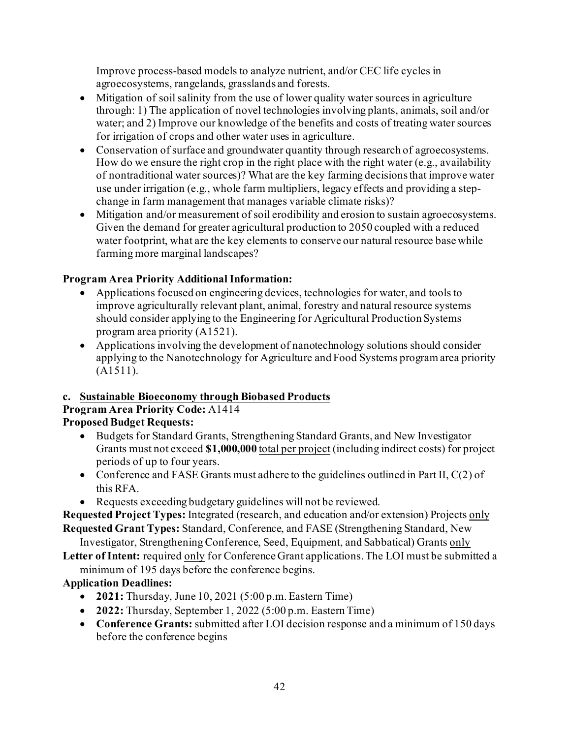Improve process-based models to analyze nutrient, and/or CEC life cycles in agroecosystems, rangelands, grasslands and forests.

- Mitigation of soil salinity from the use of lower quality water sources in agriculture through: 1) The application of novel technologies involving plants, animals, soil and/or water; and 2) Improve our knowledge of the benefits and costs of treating water sources for irrigation of crops and other water uses in agriculture.
- Conservation of surface and groundwater quantity through research of agroecosystems. How do we ensure the right crop in the right place with the right water (e.g., availability of nontraditional water sources)? What are the key farming decisions that improve water use under irrigation (e.g., whole farm multipliers, legacy effects and providing a stepchange in farm management that manages variable climate risks)?
- Mitigation and/or measurement of soil erodibility and erosion to sustain agroecosystems. Given the demand for greater agricultural production to 2050 coupled with a reduced water footprint, what are the key elements to conserve our natural resource base while farming more marginal landscapes?

## **Program Area Priority Additional Information:**

- Applications focused on engineering devices, technologies for water, and tools to improve agriculturally relevant plant, animal, forestry and natural resource systems should consider applying to the Engineering for Agricultural Production Systems program area priority (A1521).
- Applications involving the development of nanotechnology solutions should consider applying to the Nanotechnology for Agriculture and Food Systems program area priority (A1511).

## **c. Sustainable Bioeconomy through Biobased Products**

#### **Program Area Priority Code:** A1414 **Proposed Budget Requests:**

- Budgets for Standard Grants, Strengthening Standard Grants, and New Investigator Grants must not exceed **\$1,000,000** total per project (including indirect costs) for project periods of up to four years.
- Conference and FASE Grants must adhere to the guidelines outlined in Part II,  $C(2)$  of this RFA.
- Requests exceeding budgetary guidelines will not be reviewed.

**Requested Project Types:** Integrated (research, and education and/or extension) Projects only **Requested Grant Types:** Standard, Conference, and FASE (Strengthening Standard, New

Investigator, Strengthening Conference, Seed, Equipment, and Sabbatical) Grants only

**Letter of Intent:** required only for Conference Grant applications. The LOI must be submitted a minimum of 195 days before the conference begins.

## **Application Deadlines:**

- **2021:** Thursday, June 10, 2021 (5:00 p.m. Eastern Time)
- **2022:** Thursday, September 1, 2022 (5:00 p.m. Eastern Time)
- **Conference Grants:** submitted after LOI decision response and a minimum of 150 days before the conference begins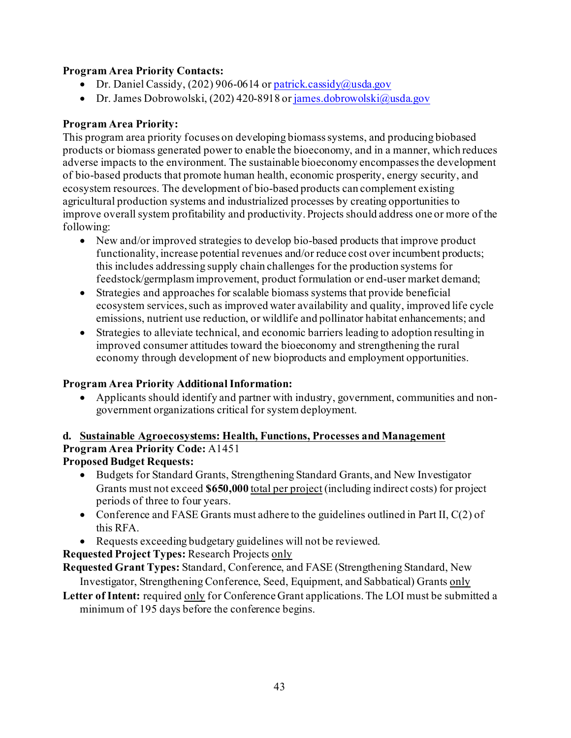### **Program Area Priority Contacts:**

- Dr. Daniel Cassidy, (202) 906-0614 o[r patrick.cassidy@usda.gov](mailto:patrick.cassidy@usda.gov)
- Dr. James Dobrowolski, (202) 420-8918 o[r james.dobrowolski@usda.gov](mailto:james.dobrowolski@usda.gov)

### **Program Area Priority:**

This program area priority focuses on developing biomass systems, and producing biobased products or biomass generated power to enable the bioeconomy, and in a manner, which reduces adverse impacts to the environment. The sustainable bioeconomy encompasses the development of bio-based products that promote human health, economic prosperity, energy security, and ecosystem resources. The development of bio-based products can complement existing agricultural production systems and industrialized processes by creating opportunities to improve overall system profitability and productivity. Projects should address one or more of the following:

- New and/or improved strategies to develop bio-based products that improve product functionality, increase potential revenues and/or reduce cost over incumbent products; this includes addressing supply chain challenges for the production systems for feedstock/germplasm improvement, product formulation or end-user market demand;
- Strategies and approaches for scalable biomass systems that provide beneficial ecosystem services, such as improved water availability and quality, improved life cycle emissions, nutrient use reduction, or wildlife and pollinator habitat enhancements; and
- Strategies to alleviate technical, and economic barriers leading to adoption resulting in improved consumer attitudes toward the bioeconomy and strengthening the rural economy through development of new bioproducts and employment opportunities.

## **Program Area Priority Additional Information:**

• Applicants should identify and partner with industry, government, communities and nongovernment organizations critical for system deployment.

## **d. Sustainable Agroecosystems: Health, Functions, Processes and Management Program Area Priority Code:** A1451

## **Proposed Budget Requests:**

- Budgets for Standard Grants, Strengthening Standard Grants, and New Investigator Grants must not exceed **\$650,000** total per project (including indirect costs) for project periods of three to four years.
- Conference and FASE Grants must adhere to the guidelines outlined in Part II,  $C(2)$  of this RFA.
- Requests exceeding budgetary guidelines will not be reviewed.

## **Requested Project Types:** Research Projects only

- **Requested Grant Types:** Standard, Conference, and FASE (Strengthening Standard, New Investigator, Strengthening Conference, Seed, Equipment, and Sabbatical) Grants only
- **Letter of Intent:** required only for Conference Grant applications.The LOI must be submitted a minimum of 195 days before the conference begins.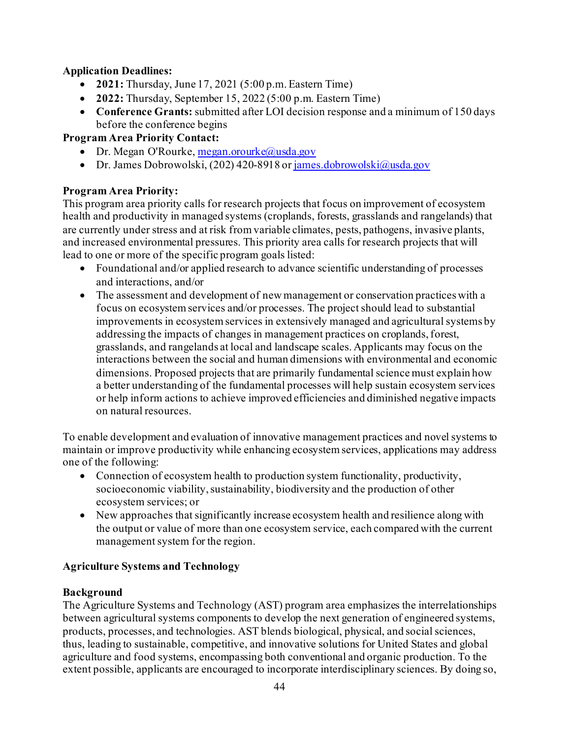### **Application Deadlines:**

- **2021:** Thursday, June 17, 2021 (5:00 p.m. Eastern Time)
- **2022:** Thursday, September 15, 2022 (5:00 p.m. Eastern Time)
- **Conference Grants:** submitted after LOI decision response and a minimum of 150 days before the conference begins

### **Program Area Priority Contact:**

- Dr. Megan O'Rourke[, megan.orourke@usda.gov](mailto:megan.orourke@usda.gov)
- Dr. James Dobrowolski, (202) 420-8918 o[r james.dobrowolski@usda.gov](mailto:james.dobrowolski@usda.gov)

### **Program Area Priority:**

This program area priority calls for research projects that focus on improvement of ecosystem health and productivity in managed systems (croplands, forests, grasslands and rangelands) that are currently under stress and at risk from variable climates, pests, pathogens, invasive plants, and increased environmental pressures. This priority area calls for research projects that will lead to one or more of the specific program goals listed:

- Foundational and/or applied research to advance scientific understanding of processes and interactions, and/or
- The assessment and development of new management or conservation practices with a focus on ecosystem services and/or processes. The project should lead to substantial improvements in ecosystem services in extensively managed and agricultural systems by addressing the impacts of changes in management practices on croplands, forest, grasslands, and rangelands at local and landscape scales. Applicants may focus on the interactions between the social and human dimensions with environmental and economic dimensions. Proposed projects that are primarily fundamental science must explain how a better understanding of the fundamental processes will help sustain ecosystem services or help inform actions to achieve improved efficiencies and diminished negative impacts on natural resources.

To enable development and evaluation of innovative management practices and novel systems to maintain or improve productivity while enhancing ecosystem services, applications may address one of the following:

- Connection of ecosystem health to production system functionality, productivity, socioeconomic viability, sustainability, biodiversity and the production of other ecosystem services; or
- New approaches that significantly increase ecosystem health and resilience along with the output or value of more than one ecosystem service, each compared with the current management system for the region.

## **Agriculture Systems and Technology**

### **Background**

The Agriculture Systems and Technology (AST) program area emphasizes the interrelationships between agricultural systems components to develop the next generation of engineered systems, products, processes, and technologies. AST blends biological, physical, and social sciences, thus, leading to sustainable, competitive, and innovative solutions for United States and global agriculture and food systems, encompassing both conventional and organic production. To the extent possible, applicants are encouraged to incorporate interdisciplinary sciences. By doing so,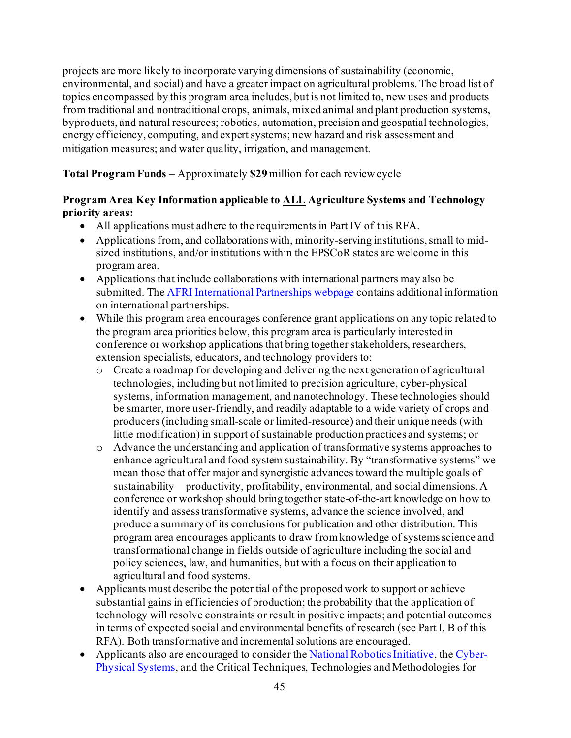projects are more likely to incorporate varying dimensions of sustainability (economic, environmental, and social) and have a greater impact on agricultural problems. The broad list of topics encompassed by this program area includes, but is not limited to, new uses and products from traditional and nontraditional crops, animals, mixed animal and plant production systems, byproducts, and natural resources; robotics, automation, precision and geospatial technologies, energy efficiency, computing, and expert systems; new hazard and risk assessment and mitigation measures; and water quality, irrigation, and management.

**Total Program Funds** – Approximately **\$29** million for each review cycle

### **Program Area Key Information applicable to ALL Agriculture Systems and Technology priority areas:**

- All applications must adhere to the requirements in Part IV of this RFA.
- Applications from, and collaborations with, minority-serving institutions, small to midsized institutions, and/or institutions within the EPSCoR states are welcome in this program area.
- Applications that include collaborations with international partners may also be submitted. Th[e AFRI International Partnerships webpage](https://nifa.usda.gov/resource/afri-international-partnerships) contains additional information on international partnerships.
- While this program area encourages conference grant applications on any topic related to the program area priorities below, this program area is particularly interested in conference or workshop applications that bring together stakeholders, researchers, extension specialists, educators, and technology providers to:
	- o Create a roadmap for developing and delivering the next generation of agricultural technologies, including but not limited to precision agriculture, cyber-physical systems, information management, and nanotechnology. These technologies should be smarter, more user-friendly, and readily adaptable to a wide variety of crops and producers (including small-scale or limited-resource) and their unique needs (with little modification) in support of sustainable production practices and systems; or
	- o Advance the understanding and application of transformative systems approaches to enhance agricultural and food system sustainability. By "transformative systems" we mean those that offer major and synergistic advances toward the multiple goals of sustainability—productivity, profitability, environmental, and social dimensions. A conference or workshop should bring together state-of-the-art knowledge on how to identify and assess transformative systems, advance the science involved, and produce a summary of its conclusions for publication and other distribution. This program area encourages applicants to draw from knowledge of systems science and transformational change in fields outside of agriculture including the social and policy sciences, law, and humanities, but with a focus on their application to agricultural and food systems.
- Applicants must describe the potential of the proposed work to support or achieve substantial gains in efficiencies of production; the probability that the application of technology will resolve constraints or result in positive impacts; and potential outcomes in terms of expected social and environmental benefits of research (see Part I, B of this RFA). Both transformative and incremental solutions are encouraged.
- Applicants also are encouraged to consider th[e National Robotics Initiative](https://www.nsf.gov/funding/pgm_summ.jsp?pims_id=503641), th[e Cyber-](https://www.nsf.gov/funding/pgm_summ.jsp?pims_id=503286)[Physical Systems,](https://www.nsf.gov/funding/pgm_summ.jsp?pims_id=503286) and the Critical Techniques, Technologies and Methodologies for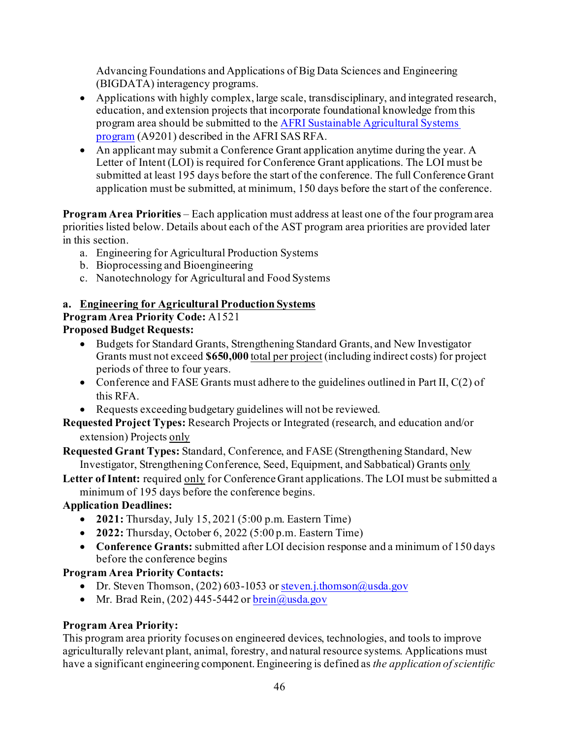Advancing Foundations and Applications of Big Data Sciences and Engineering (BIGDATA) interagency programs.

- Applications with highly complex, large scale, transdisciplinary, and integrated research, education, and extension projects that incorporate foundational knowledge from this program area should be submitted to th[e AFRI Sustainable Agricultural Systems](https://nifa.usda.gov/program/afri-sas)  [program](https://nifa.usda.gov/program/afri-sas) (A9201) described in the AFRI SAS RFA.
- An applicant may submit a Conference Grant application anytime during the year. A Letter of Intent (LOI) is required for Conference Grant applications. The LOI must be submitted at least 195 days before the start of the conference. The full Conference Grant application must be submitted, at minimum, 150 days before the start of the conference.

**Program Area Priorities** – Each application must address at least one of the four program area priorities listed below. Details about each of the AST program area priorities are provided later in this section.

- a. Engineering for Agricultural Production Systems
- b. Bioprocessing and Bioengineering
- c. Nanotechnology for Agricultural and Food Systems

### **a. Engineering for Agricultural Production Systems**

## **Program Area Priority Code:** A1521

## **Proposed Budget Requests:**

- Budgets for Standard Grants, Strengthening Standard Grants, and New Investigator Grants must not exceed **\$650,000** total per project (including indirect costs) for project periods of three to four years.
- Conference and FASE Grants must adhere to the guidelines outlined in Part II, C(2) of this RFA.
- Requests exceeding budgetary guidelines will not be reviewed.

**Requested Project Types:** Research Projects or Integrated (research, and education and/or extension) Projects only

**Requested Grant Types:** Standard, Conference, and FASE (Strengthening Standard, New Investigator, Strengthening Conference, Seed, Equipment, and Sabbatical) Grants only

**Letter of Intent:** required only for Conference Grant applications. The LOI must be submitted a minimum of 195 days before the conference begins.

## **Application Deadlines:**

- **2021:** Thursday, July 15, 2021 (5:00 p.m. Eastern Time)
- **2022:** Thursday, October 6, 2022 (5:00 p.m. Eastern Time)
- **Conference Grants:** submitted after LOI decision response and a minimum of 150 days before the conference begins

### **Program Area Priority Contacts:**

- Dr. Steven Thomson, (202) 603-1053 o[r steven.j.thomson@usda.gov](mailto:steven.j.thomson@usda.gov)
- Mr. Brad Rein,  $(202)$  445-5442 o[r brein@usda.gov](mailto:brein@usda.gov)

## **Program Area Priority:**

This program area priority focuses on engineered devices, technologies, and tools to improve agriculturally relevant plant, animal, forestry, and natural resource systems. Applications must have a significant engineering component. Engineering is defined as *the application of scientific*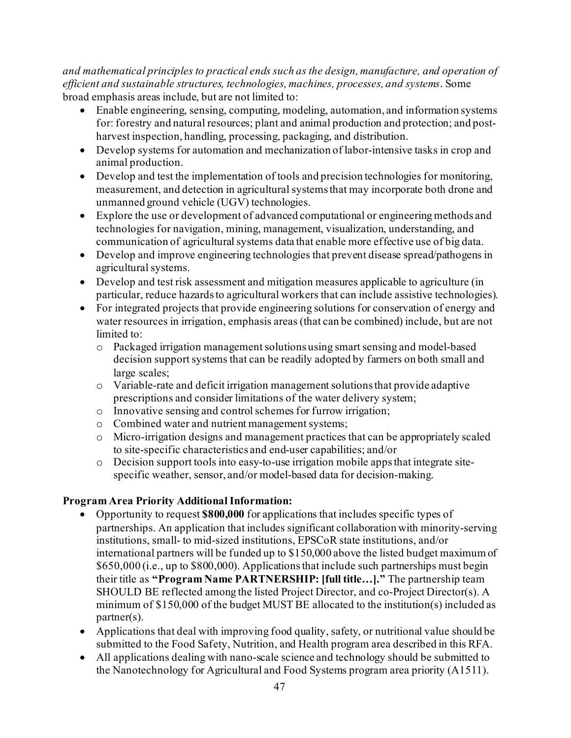*and mathematical principles to practical ends such as the design, manufacture, and operation of efficient and sustainable structures, technologies, machines, processes, and systems*. Some broad emphasis areas include, but are not limited to:

- Enable engineering, sensing, computing, modeling, automation, and information systems for: forestry and natural resources; plant and animal production and protection; and postharvest inspection, handling, processing, packaging, and distribution.
- Develop systems for automation and mechanization of labor-intensive tasks in crop and animal production.
- Develop and test the implementation of tools and precision technologies for monitoring, measurement, and detection in agricultural systems that may incorporate both drone and unmanned ground vehicle (UGV) technologies.
- Explore the use or development of advanced computational or engineering methods and technologies for navigation, mining, management, visualization, understanding, and communication of agricultural systems data that enable more effective use of big data.
- Develop and improve engineering technologies that prevent disease spread/pathogens in agricultural systems.
- Develop and test risk assessment and mitigation measures applicable to agriculture (in particular, reduce hazards to agricultural workers that can include assistive technologies).
- For integrated projects that provide engineering solutions for conservation of energy and water resources in irrigation, emphasis areas (that can be combined) include, but are not limited to:
	- o Packaged irrigation management solutions using smart sensing and model-based decision support systems that can be readily adopted by farmers on both small and large scales;
	- o Variable-rate and deficit irrigation management solutions that provide adaptive prescriptions and consider limitations of the water delivery system;
	- o Innovative sensing and control schemes for furrow irrigation;
	- o Combined water and nutrient management systems;
	- o Micro-irrigation designs and management practices that can be appropriately scaled to site-specific characteristics and end-user capabilities; and/or
	- o Decision support tools into easy-to-use irrigation mobile apps that integrate sitespecific weather, sensor, and/or model-based data for decision-making.

### **Program Area Priority Additional Information:**

- Opportunity to request **\$800,000** for applications that includes specific types of partnerships. An application that includes significant collaboration with minority-serving institutions, small- to mid-sized institutions, EPSCoR state institutions, and/or international partners will be funded up to \$150,000 above the listed budget maximum of \$650,000 (i.e., up to \$800,000). Applications that include such partnerships must begin their title as **"Program Name PARTNERSHIP: [full title…]."** The partnership team SHOULD BE reflected among the listed Project Director, and co-Project Director(s). A minimum of \$150,000 of the budget MUST BE allocated to the institution(s) included as partner(s).
- Applications that deal with improving food quality, safety, or nutritional value should be submitted to the Food Safety, Nutrition, and Health program area described in this RFA.
- All applications dealing with nano-scale science and technology should be submitted to the Nanotechnology for Agricultural and Food Systems program area priority (A1511).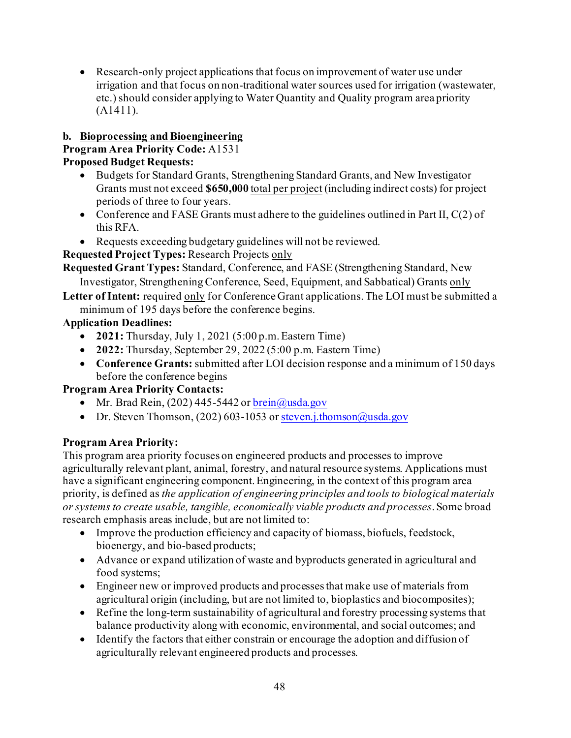• Research-only project applications that focus on improvement of water use under irrigation and that focus on non-traditional water sources used for irrigation (wastewater, etc.) should consider applying to Water Quantity and Quality program area priority (A1411).

## **b. Bioprocessing and Bioengineering**

### **Program Area Priority Code:** A1531

### **Proposed Budget Requests:**

- Budgets for Standard Grants, Strengthening Standard Grants, and New Investigator Grants must not exceed **\$650,000** total per project (including indirect costs) for project periods of three to four years.
- Conference and FASE Grants must adhere to the guidelines outlined in Part II, C(2) of this RFA.
- Requests exceeding budgetary guidelines will not be reviewed.

**Requested Project Types:** Research Projects only

**Requested Grant Types:** Standard, Conference, and FASE (Strengthening Standard, New Investigator, Strengthening Conference, Seed, Equipment, and Sabbatical) Grants only

Letter of Intent: required only for Conference Grant applications. The LOI must be submitted a minimum of 195 days before the conference begins.

## **Application Deadlines:**

- **2021:** Thursday, July 1, 2021 (5:00 p.m. Eastern Time)
- **2022:** Thursday, September 29, 2022 (5:00 p.m. Eastern Time)
- **Conference Grants:** submitted after LOI decision response and a minimum of 150 days before the conference begins

## **Program Area Priority Contacts:**

- Mr. Brad Rein,  $(202)$  445-5442 or  $brein@u$ usda.gov
- Dr. Steven Thomson, (202) 603-1053 o[r steven.j.thomson@usda.gov](mailto:steven.j.thomson@usda.gov)

## **Program Area Priority:**

This program area priority focuses on engineered products and processes to improve agriculturally relevant plant, animal, forestry, and natural resource systems. Applications must have a significant engineering component. Engineering, in the context of this program area priority, is defined as *the application of engineering principles and tools to biological materials or systems to create usable, tangible, economically viable products and processes*. Some broad research emphasis areas include, but are not limited to:

- Improve the production efficiency and capacity of biomass, biofuels, feedstock, bioenergy, and bio-based products;
- Advance or expand utilization of waste and byproducts generated in agricultural and food systems;
- Engineer new or improved products and processes that make use of materials from agricultural origin (including, but are not limited to, bioplastics and biocomposites);
- Refine the long-term sustainability of agricultural and forestry processing systems that balance productivity along with economic, environmental, and social outcomes; and
- Identify the factors that either constrain or encourage the adoption and diffusion of agriculturally relevant engineered products and processes.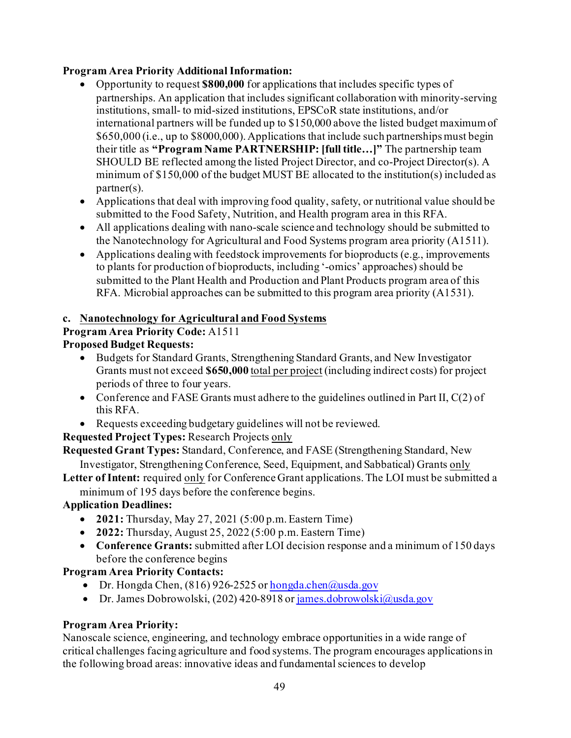## **Program Area Priority Additional Information:**

- Opportunity to request **\$800,000** for applications that includes specific types of partnerships. An application that includes significant collaboration with minority-serving institutions, small- to mid-sized institutions, EPSCoR state institutions, and/or international partners will be funded up to \$150,000 above the listed budget maximum of \$650,000 (i.e., up to \$8000,000). Applications that include such partnerships must begin their title as **"Program Name PARTNERSHIP: [full title…]"** The partnership team SHOULD BE reflected among the listed Project Director, and co-Project Director(s). A minimum of \$150,000 of the budget MUST BE allocated to the institution(s) included as partner(s).
- Applications that deal with improving food quality, safety, or nutritional value should be submitted to the Food Safety, Nutrition, and Health program area in this RFA.
- All applications dealing with nano-scale science and technology should be submitted to the Nanotechnology for Agricultural and Food Systems program area priority (A1511).
- Applications dealing with feedstock improvements for bioproducts (e.g., improvements to plants for production of bioproducts, including '-omics' approaches) should be submitted to the Plant Health and Production and Plant Products program area of this RFA. Microbial approaches can be submitted to this program area priority (A1531).

## **c. Nanotechnology for Agricultural and Food Systems**

## **Program Area Priority Code:** A1511

## **Proposed Budget Requests:**

- Budgets for Standard Grants, Strengthening Standard Grants, and New Investigator Grants must not exceed **\$650,000** total per project (including indirect costs) for project periods of three to four years.
- Conference and FASE Grants must adhere to the guidelines outlined in Part II, C(2) of this RFA.
- Requests exceeding budgetary guidelines will not be reviewed.

**Requested Project Types:** Research Projects only

**Requested Grant Types:** Standard, Conference, and FASE (Strengthening Standard, New Investigator, Strengthening Conference, Seed, Equipment, and Sabbatical) Grants only

Letter of Intent: required only for Conference Grant applications. The LOI must be submitted a minimum of 195 days before the conference begins.

## **Application Deadlines:**

- **2021:** Thursday, May 27, 2021 (5:00 p.m. Eastern Time)
- **2022:** Thursday, August 25, 2022 (5:00 p.m. Eastern Time)
- **Conference Grants:** submitted after LOI decision response and a minimum of 150 days before the conference begins

## **Program Area Priority Contacts:**

- Dr. Hongda Chen,  $(816)$  926-2525 o[r hongda.chen@usda.gov](mailto:hongda.chen@usda.gov)
- Dr. James Dobrowolski, (202) 420-8918 o[r james.dobrowolski@usda.gov](mailto:james.dobrowolski@usda.gov)

## **Program Area Priority:**

Nanoscale science, engineering, and technology embrace opportunities in a wide range of critical challenges facing agriculture and food systems. The program encourages applications in the following broad areas: innovative ideas and fundamental sciences to develop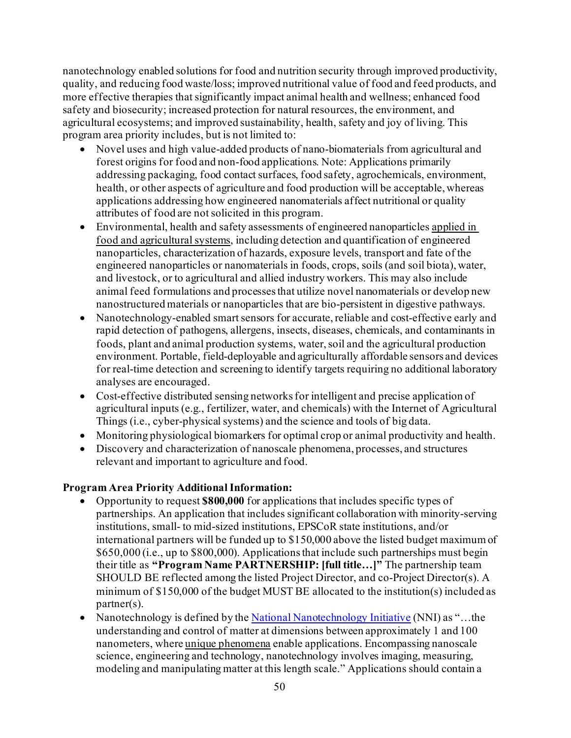nanotechnology enabled solutions for food and nutrition security through improved productivity, quality, and reducing food waste/loss; improved nutritional value of food and feed products, and more effective therapies that significantly impact animal health and wellness; enhanced food safety and biosecurity; increased protection for natural resources, the environment, and agricultural ecosystems; and improved sustainability, health, safety and joy of living. This program area priority includes, but is not limited to:

- Novel uses and high value-added products of nano-biomaterials from agricultural and forest origins for food and non-food applications. Note: Applications primarily addressing packaging, food contact surfaces, food safety, agrochemicals, environment, health, or other aspects of agriculture and food production will be acceptable, whereas applications addressing how engineered nanomaterials affect nutritional or quality attributes of food are not solicited in this program.
- Environmental, health and safety assessments of engineered nanoparticles applied in food and agricultural systems, including detection and quantification of engineered nanoparticles, characterization of hazards, exposure levels, transport and fate of the engineered nanoparticles or nanomaterials in foods, crops, soils (and soil biota), water, and livestock, or to agricultural and allied industry workers. This may also include animal feed formulations and processes that utilize novel nanomaterials or develop new nanostructured materials or nanoparticles that are bio-persistent in digestive pathways.
- Nanotechnology-enabled smart sensors for accurate, reliable and cost-effective early and rapid detection of pathogens, allergens, insects, diseases, chemicals, and contaminants in foods, plant and animal production systems, water, soil and the agricultural production environment. Portable, field-deployable and agriculturally affordable sensors and devices for real-time detection and screening to identify targets requiring no additional laboratory analyses are encouraged.
- Cost-effective distributed sensing networks for intelligent and precise application of agricultural inputs (e.g., fertilizer, water, and chemicals) with the Internet of Agricultural Things (i.e., cyber-physical systems) and the science and tools of big data.
- Monitoring physiological biomarkers for optimal crop or animal productivity and health.
- Discovery and characterization of nanoscale phenomena, processes, and structures relevant and important to agriculture and food.

## **Program Area Priority Additional Information:**

- Opportunity to request **\$800,000** for applications that includes specific types of partnerships. An application that includes significant collaboration with minority-serving institutions, small- to mid-sized institutions, EPSCoR state institutions, and/or international partners will be funded up to \$150,000 above the listed budget maximum of \$650,000 (i.e., up to \$800,000). Applications that include such partnerships must begin their title as **"Program Name PARTNERSHIP: [full title…]"** The partnership team SHOULD BE reflected among the listed Project Director, and co-Project Director(s). A minimum of \$150,000 of the budget MUST BE allocated to the institution(s) included as partner(s).
- Nanotechnology is defined by th[e National Nanotechnology Initiative](http://nano.gov/) (NNI) as "...the understanding and control of matter at dimensions between approximately 1 and 100 nanometers, where unique phenomena enable applications. Encompassing nanoscale science, engineering and technology, nanotechnology involves imaging, measuring, modeling and manipulating matter at this length scale." Applications should contain a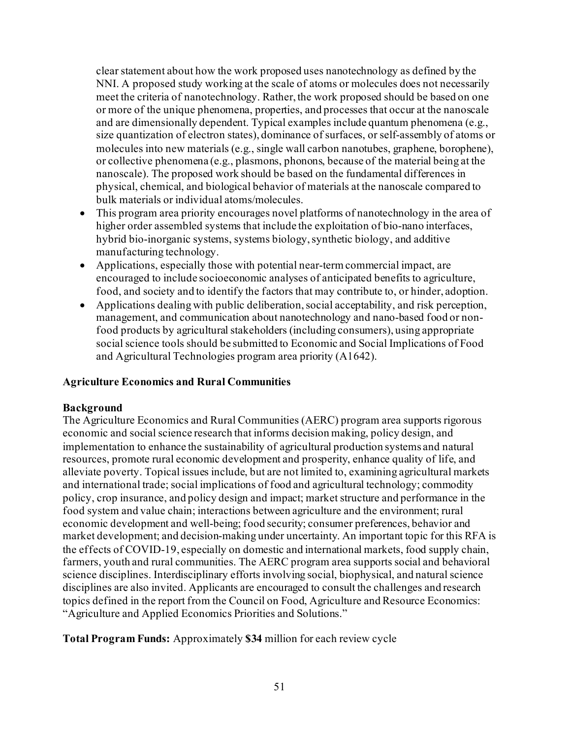clear statement about how the work proposed uses nanotechnology as defined by the NNI. A proposed study working at the scale of atoms or molecules does not necessarily meet the criteria of nanotechnology. Rather, the work proposed should be based on one or more of the unique phenomena, properties, and processes that occur at the nanoscale and are dimensionally dependent. Typical examples include quantum phenomena (e.g., size quantization of electron states), dominance of surfaces, or self-assembly of atoms or molecules into new materials (e.g., single wall carbon nanotubes, graphene, borophene), or collective phenomena (e.g., plasmons, phonons, because of the material being at the nanoscale). The proposed work should be based on the fundamental differences in physical, chemical, and biological behavior of materials at the nanoscale compared to bulk materials or individual atoms/molecules.

- This program area priority encourages novel platforms of nanotechnology in the area of higher order assembled systems that include the exploitation of bio-nano interfaces, hybrid bio-inorganic systems, systems biology, synthetic biology, and additive manufacturing technology.
- Applications, especially those with potential near-term commercial impact, are encouraged to include socioeconomic analyses of anticipated benefits to agriculture, food, and society and to identify the factors that may contribute to, or hinder, adoption.
- Applications dealing with public deliberation, social acceptability, and risk perception, management, and communication about nanotechnology and nano-based food or nonfood products by agricultural stakeholders (including consumers), using appropriate social science tools should be submitted to Economic and Social Implications of Food and Agricultural Technologies program area priority (A1642).

### **Agriculture Economics and Rural Communities**

#### **Background**

The Agriculture Economics and Rural Communities (AERC) program area supports rigorous economic and social science research that informs decision making, policy design, and implementation to enhance the sustainability of agricultural production systems and natural resources, promote rural economic development and prosperity, enhance quality of life, and alleviate poverty. Topical issues include, but are not limited to, examining agricultural markets and international trade; social implications of food and agricultural technology; commodity policy, crop insurance, and policy design and impact; market structure and performance in the food system and value chain; interactions between agriculture and the environment; rural economic development and well-being; food security; consumer preferences, behavior and market development; and decision-making under uncertainty. An important topic for this RFA is the effects of COVID-19, especially on domestic and international markets, food supply chain, farmers, youth and rural communities. The AERC program area supports social and behavioral science disciplines. Interdisciplinary efforts involving social, biophysical, and natural science disciplines are also invited. Applicants are encouraged to consult the challenges and research topics defined in the report from the Council on Food, Agriculture and Resource Economics: "Agriculture and Applied Economics Priorities and Solutions."

**Total Program Funds:** Approximately **\$34** million for each review cycle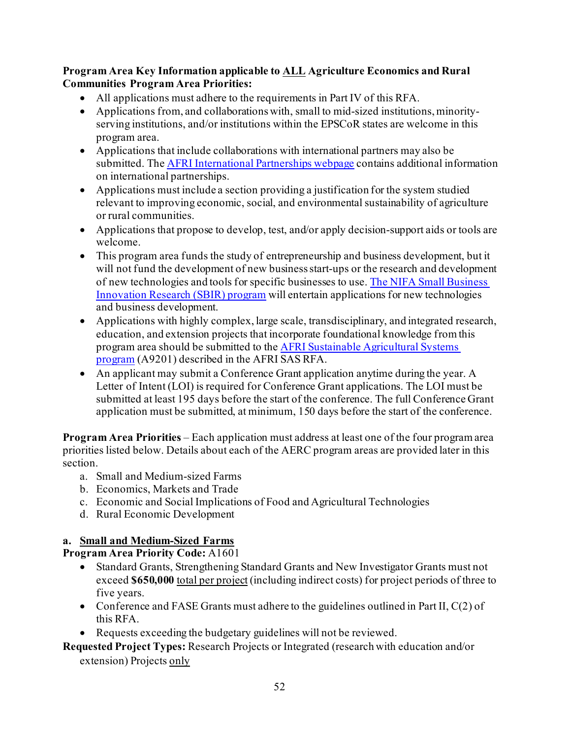### **Program Area Key Information applicable to ALL Agriculture Economics and Rural Communities Program Area Priorities:**

- All applications must adhere to the requirements in Part IV of this RFA.
- Applications from, and collaborations with, small to mid-sized institutions, minorityserving institutions, and/or institutions within the EPSCoR states are welcome in this program area.
- Applications that include collaborations with international partners may also be submitted. Th[e AFRI International Partnerships webpage](https://nifa.usda.gov/resource/afri-international-partnerships) contains additional information on international partnerships.
- Applications must include a section providing a justification for the system studied relevant to improving economic, social, and environmental sustainability of agriculture or rural communities.
- Applications that propose to develop, test, and/or apply decision-support aids or tools are welcome.
- This program area funds the study of entrepreneurship and business development, but it will not fund the development of new business start-ups or the research and development of new technologies and tools for specific businesses to use[. The NIFA Small Business](https://nifa.usda.gov/program/small-business-innovation-research-program-sbir)  [Innovation Research \(SBIR\) program](https://nifa.usda.gov/program/small-business-innovation-research-program-sbir) will entertain applications for new technologies and business development.
- Applications with highly complex, large scale, transdisciplinary, and integrated research, education, and extension projects that incorporate foundational knowledge from this program area should be submitted to th[e AFRI Sustainable Agricultural Systems](https://nifa.usda.gov/program/afri-sas)  [program](https://nifa.usda.gov/program/afri-sas) (A9201) described in the AFRI SAS RFA.
- An applicant may submit a Conference Grant application anytime during the year. A Letter of Intent (LOI) is required for Conference Grant applications. The LOI must be submitted at least 195 days before the start of the conference. The full Conference Grant application must be submitted, at minimum, 150 days before the start of the conference.

**Program Area Priorities** – Each application must address at least one of the four program area priorities listed below. Details about each of the AERC program areas are provided later in this section.

- a. Small and Medium-sized Farms
- b. Economics, Markets and Trade
- c. Economic and Social Implications of Food and Agricultural Technologies
- d. Rural Economic Development

## **a. Small and Medium-Sized Farms**

**Program Area Priority Code:** A1601

- Standard Grants, Strengthening Standard Grants and New Investigator Grants must not exceed **\$650,000** total per project (including indirect costs) for project periods of three to five years.
- Conference and FASE Grants must adhere to the guidelines outlined in Part II,  $C(2)$  of this RFA.
- Requests exceeding the budgetary guidelines will not be reviewed.

**Requested Project Types:** Research Projects or Integrated (research with education and/or

extension) Projects only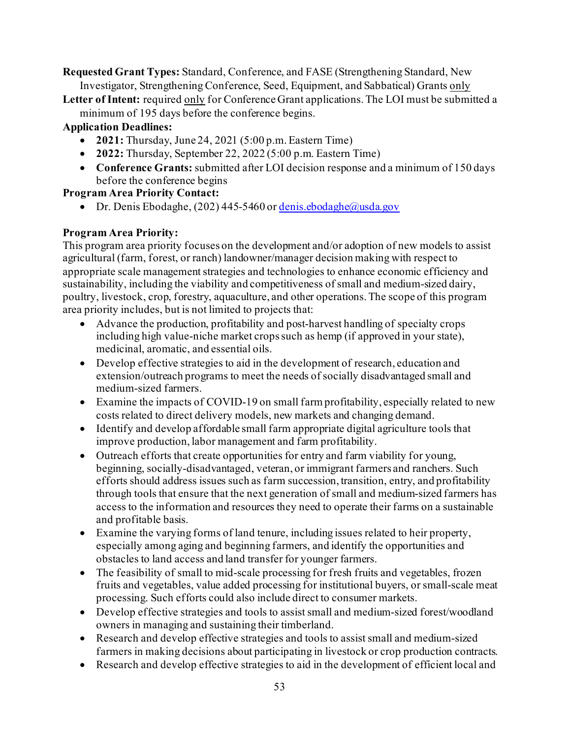**Requested Grant Types:** Standard, Conference, and FASE (Strengthening Standard, New Investigator, Strengthening Conference, Seed, Equipment, and Sabbatical) Grants only

**Letter of Intent:** required only for Conference Grant applications. The LOI must be submitted a minimum of 195 days before the conference begins.

## **Application Deadlines:**

- **2021:** Thursday, June 24, 2021 (5:00 p.m. Eastern Time)
- **2022:** Thursday, September 22, 2022 (5:00 p.m. Eastern Time)
- **Conference Grants:** submitted after LOI decision response and a minimum of 150 days before the conference begins

## **Program Area Priority Contact:**

• Dr. Denis Ebodaghe,  $(202)$  445-5460 o[r denis.ebodaghe@usda.gov](mailto:denis.ebodaghe@usda.gov)

## **Program Area Priority:**

This program area priority focuses on the development and/or adoption of new models to assist agricultural (farm, forest, or ranch) landowner/manager decision making with respect to appropriate scale management strategies and technologies to enhance economic efficiency and sustainability, including the viability and competitiveness of small and medium-sized dairy, poultry, livestock, crop, forestry, aquaculture, and other operations. The scope of this program area priority includes, but is not limited to projects that:

- Advance the production, profitability and post-harvest handling of specialty crops including high value-niche market crops such as hemp (if approved in your state), medicinal, aromatic, and essential oils.
- Develop effective strategies to aid in the development of research, education and extension/outreach programs to meet the needs of socially disadvantaged small and medium-sized farmers.
- Examine the impacts of COVID-19 on small farm profitability, especially related to new costs related to direct delivery models, new markets and changing demand.
- Identify and develop affordable small farm appropriate digital agriculture tools that improve production, labor management and farm profitability.
- Outreach efforts that create opportunities for entry and farm viability for young, beginning, socially-disadvantaged, veteran, or immigrant farmers and ranchers. Such efforts should address issues such as farm succession, transition, entry, and profitability through tools that ensure that the next generation of small and medium-sized farmers has access to the information and resources they need to operate their farms on a sustainable and profitable basis.
- Examine the varying forms of land tenure, including issues related to heir property, especially among aging and beginning farmers, and identify the opportunities and obstacles to land access and land transfer for younger farmers.
- The feasibility of small to mid-scale processing for fresh fruits and vegetables, frozen fruits and vegetables, value added processing for institutional buyers, or small-scale meat processing. Such efforts could also include direct to consumer markets.
- Develop effective strategies and tools to assist small and medium-sized forest/woodland owners in managing and sustaining their timberland.
- Research and develop effective strategies and tools to assist small and medium-sized farmers in making decisions about participating in livestock or crop production contracts.
- Research and develop effective strategies to aid in the development of efficient local and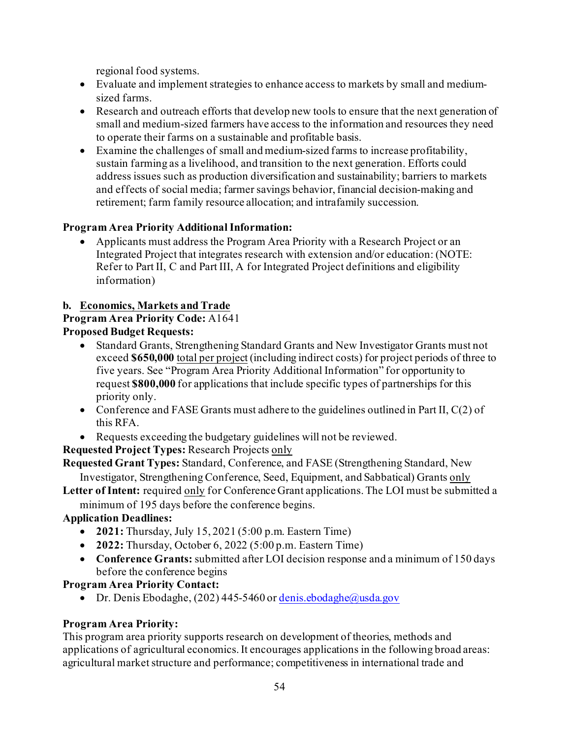regional food systems.

- Evaluate and implement strategies to enhance access to markets by small and mediumsized farms.
- Research and outreach efforts that develop new tools to ensure that the next generation of small and medium-sized farmers have access to the information and resources they need to operate their farms on a sustainable and profitable basis.
- Examine the challenges of small and medium-sized farms to increase profitability, sustain farming as a livelihood, and transition to the next generation. Efforts could address issues such as production diversification and sustainability; barriers to markets and effects of social media; farmer savings behavior, financial decision-making and retirement; farm family resource allocation; and intrafamily succession.

## **Program Area Priority Additional Information:**

• Applicants must address the Program Area Priority with a Research Project or an Integrated Project that integrates research with extension and/or education: (NOTE: Refer to Part II, C and Part III, A for Integrated Project definitions and eligibility information)

## **b. Economics, Markets and Trade**

**Program Area Priority Code:** A1641

## **Proposed Budget Requests:**

- Standard Grants, Strengthening Standard Grants and New Investigator Grants must not exceed **\$650,000** total per project (including indirect costs) for project periods of three to five years. See "Program Area Priority Additional Information" for opportunity to request **\$800,000** for applications that include specific types of partnerships for this priority only.
- Conference and FASE Grants must adhere to the guidelines outlined in Part II, C(2) of this RFA.
- Requests exceeding the budgetary guidelines will not be reviewed.

**Requested Project Types:** Research Projects only

**Requested Grant Types:** Standard, Conference, and FASE (Strengthening Standard, New Investigator, Strengthening Conference, Seed, Equipment, and Sabbatical) Grants only

**Letter of Intent:** required only for Conference Grant applications. The LOI must be submitted a

# minimum of 195 days before the conference begins.

## **Application Deadlines:**

- **2021:** Thursday, July 15, 2021 (5:00 p.m. Eastern Time)
- **2022:** Thursday, October 6, 2022 (5:00 p.m. Eastern Time)
- **Conference Grants:** submitted after LOI decision response and a minimum of 150 days before the conference begins

## **Program Area Priority Contact:**

• Dr. Denis Ebodaghe, (202) 445-5460 o[r denis.ebodaghe@usda.gov](mailto:denis.ebodaghe@usda.gov)

## **Program Area Priority:**

This program area priority supports research on development of theories, methods and applications of agricultural economics. It encourages applications in the following broad areas: agricultural market structure and performance; competitiveness in international trade and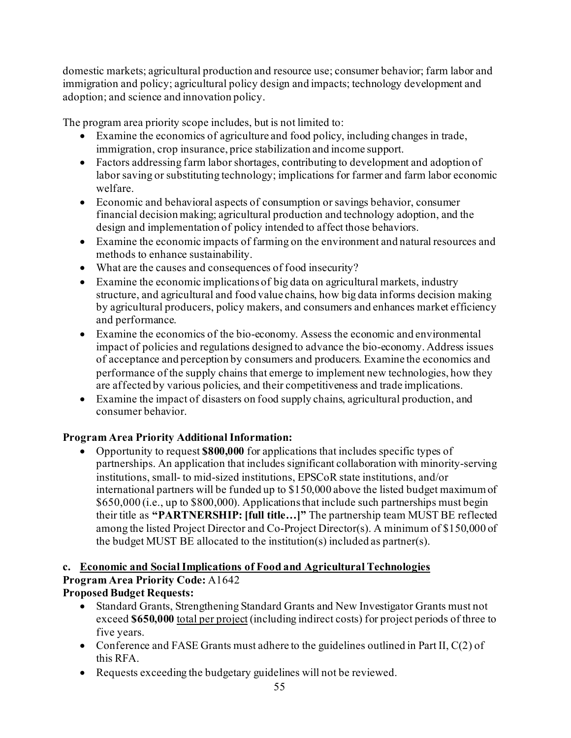domestic markets; agricultural production and resource use; consumer behavior; farm labor and immigration and policy; agricultural policy design and impacts; technology development and adoption; and science and innovation policy.

The program area priority scope includes, but is not limited to:

- Examine the economics of agriculture and food policy, including changes in trade, immigration, crop insurance, price stabilization and income support.
- Factors addressing farm labor shortages, contributing to development and adoption of labor saving or substituting technology; implications for farmer and farm labor economic welfare.
- Economic and behavioral aspects of consumption or savings behavior, consumer financial decision making; agricultural production and technology adoption, and the design and implementation of policy intended to affect those behaviors.
- Examine the economic impacts of farming on the environment and natural resources and methods to enhance sustainability.
- What are the causes and consequences of food insecurity?
- Examine the economic implications of big data on agricultural markets, industry structure, and agricultural and food value chains, how big data informs decision making by agricultural producers, policy makers, and consumers and enhances market efficiency and performance.
- Examine the economics of the bio-economy. Assess the economic and environmental impact of policies and regulations designed to advance the bio-economy. Address issues of acceptance and perception by consumers and producers. Examine the economics and performance of the supply chains that emerge to implement new technologies, how they are affected by various policies, and their competitiveness and trade implications.
- Examine the impact of disasters on food supply chains, agricultural production, and consumer behavior.

## **Program Area Priority Additional Information:**

• Opportunity to request **\$800,000** for applications that includes specific types of partnerships. An application that includes significant collaboration with minority-serving institutions, small- to mid-sized institutions, EPSCoR state institutions, and/or international partners will be funded up to \$150,000 above the listed budget maximum of \$650,000 (i.e., up to \$800,000). Applications that include such partnerships must begin their title as **"PARTNERSHIP: [full title…]"** The partnership team MUST BE reflected among the listed Project Director and Co-Project Director(s). A minimum of \$150,000 of the budget MUST BE allocated to the institution(s) included as partner(s).

#### **c. Economic and Social Implications of Food and Agricultural Technologies Program Area Priority Code:** A1642 **Proposed Budget Requests:**

- Standard Grants, Strengthening Standard Grants and New Investigator Grants must not exceed **\$650,000** total per project (including indirect costs) for project periods of three to five years.
- Conference and FASE Grants must adhere to the guidelines outlined in Part II, C(2) of this RFA.
- Requests exceeding the budgetary guidelines will not be reviewed.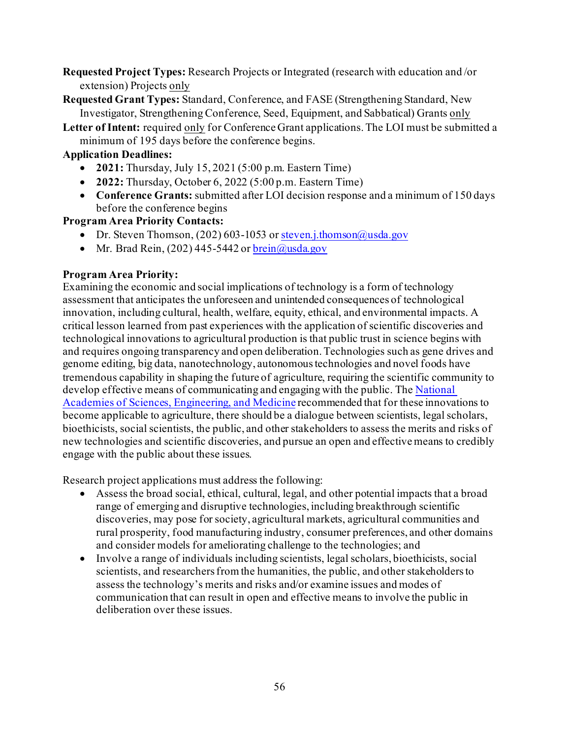- **Requested Project Types:** Research Projects or Integrated (research with education and /or extension) Projects only
- **Requested Grant Types:** Standard, Conference, and FASE (Strengthening Standard, New Investigator, Strengthening Conference, Seed, Equipment, and Sabbatical) Grants only
- **Letter of Intent:** required only for Conference Grant applications. The LOI must be submitted a minimum of 195 days before the conference begins.

## **Application Deadlines:**

- **2021:** Thursday, July 15, 2021 (5:00 p.m. Eastern Time)
- **2022:** Thursday, October 6, 2022 (5:00 p.m. Eastern Time)
- **Conference Grants:** submitted after LOI decision response and a minimum of 150 days before the conference begins

### **Program Area Priority Contacts:**

- Dr. Steven Thomson, (202) 603-1053 o[r steven.j.thomson@usda.gov](mailto:steven.j.thomson@usda.gov)
- Mr. Brad Rein,  $(202)$  445-5442 or  $brein@u$ usda.gov

### **Program Area Priority:**

Examining the economic and social implications of technology is a form of technology assessment that anticipates the unforeseen and unintended consequences of technological innovation, including cultural, health, welfare, equity, ethical, and environmental impacts. A critical lesson learned from past experiences with the application of scientific discoveries and technological innovations to agricultural production is that public trust in science begins with and requires ongoing transparency and open deliberation. Technologies such as gene drives and genome editing, big data, nanotechnology, autonomous technologies and novel foods have tremendous capability in shaping the future of agriculture, requiring the scientific community to develop effective means of communicating and engaging with the public. The National [Academies of Sciences, Engineering, and Medicine](https://www.nap.edu/catalog/23405/gene-drives-on-the-horizon-advancing-science-navigating-uncertainty-and) recommended that for these innovations to become applicable to agriculture, there should be a dialogue between scientists, legal scholars, bioethicists, social scientists, the public, and other stakeholders to assess the merits and risks of new technologies and scientific discoveries, and pursue an open and effective means to credibly engage with the public about these issues.

Research project applications must address the following:

- Assess the broad social, ethical, cultural, legal, and other potential impacts that a broad range of emerging and disruptive technologies, including breakthrough scientific discoveries, may pose for society, agricultural markets, agricultural communities and rural prosperity, food manufacturing industry, consumer preferences, and other domains and consider models for ameliorating challenge to the technologies; and
- Involve a range of individuals including scientists, legal scholars, bioethicists, social scientists, and researchers from the humanities, the public, and other stakeholders to assess the technology's merits and risks and/or examine issues and modes of communication that can result in open and effective means to involve the public in deliberation over these issues.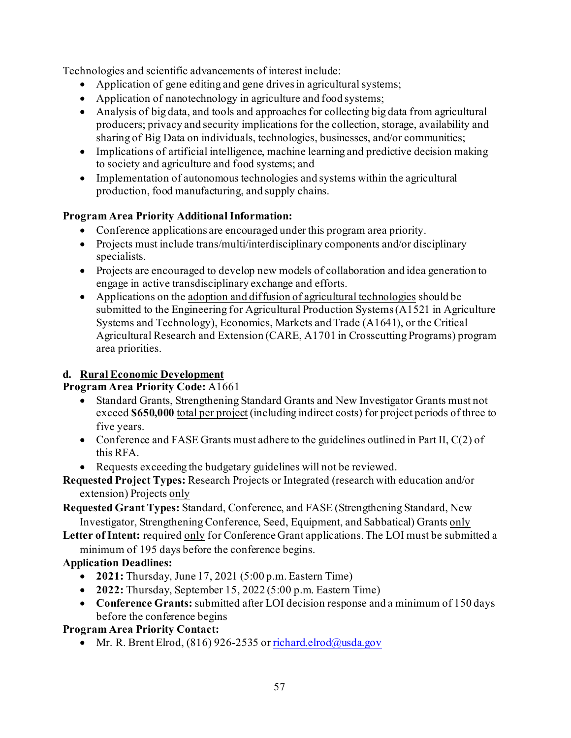Technologies and scientific advancements of interest include:

- Application of gene editing and gene drives in agricultural systems;
- Application of nanotechnology in agriculture and food systems:
- Analysis of big data, and tools and approaches for collecting big data from agricultural producers; privacy and security implications for the collection, storage, availability and sharing of Big Data on individuals, technologies, businesses, and/or communities;
- Implications of artificial intelligence, machine learning and predictive decision making to society and agriculture and food systems; and
- Implementation of autonomous technologies and systems within the agricultural production, food manufacturing, and supply chains.

## **Program Area Priority Additional Information:**

- Conference applications are encouraged under this program area priority.
- Projects must include trans/multi/interdisciplinary components and/or disciplinary specialists.
- Projects are encouraged to develop new models of collaboration and idea generation to engage in active transdisciplinary exchange and efforts.
- Applications on the adoption and diffusion of agricultural technologies should be submitted to the Engineering for Agricultural Production Systems (A1521 in Agriculture Systems and Technology), Economics, Markets and Trade (A1641), or the Critical Agricultural Research and Extension (CARE, A1701 in Crosscutting Programs) program area priorities.

## **d. Rural Economic Development**

## **Program Area Priority Code:** A1661

- Standard Grants, Strengthening Standard Grants and New Investigator Grants must not exceed **\$650,000** total per project (including indirect costs) for project periods of three to five years.
- Conference and FASE Grants must adhere to the guidelines outlined in Part II, C(2) of this RFA.
- Requests exceeding the budgetary guidelines will not be reviewed.

**Requested Project Types:** Research Projects or Integrated (research with education and/or extension) Projects only

**Requested Grant Types:** Standard, Conference, and FASE (Strengthening Standard, New Investigator, Strengthening Conference, Seed, Equipment, and Sabbatical) Grants only

Letter of Intent: required only for Conference Grant applications. The LOI must be submitted a minimum of 195 days before the conference begins.

## **Application Deadlines:**

- **2021:** Thursday, June 17, 2021 (5:00 p.m. Eastern Time)
- **2022:** Thursday, September 15, 2022 (5:00 p.m. Eastern Time)
- **Conference Grants:** submitted after LOI decision response and a minimum of 150 days before the conference begins

## **Program Area Priority Contact:**

• Mr. R. Brent Elrod,  $(816)$  926-2535 o[r richard.elrod@usda.gov](mailto:richard.elrod@usda.gov)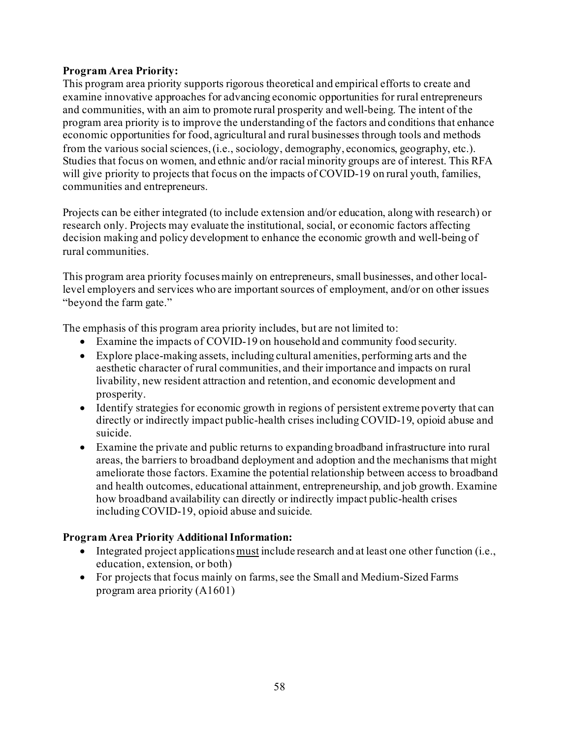### **Program Area Priority:**

This program area priority supports rigorous theoretical and empirical efforts to create and examine innovative approaches for advancing economic opportunities for rural entrepreneurs and communities, with an aim to promote rural prosperity and well-being. The intent of the program area priority is to improve the understanding of the factors and conditions that enhance economic opportunities for food, agricultural and rural businesses through tools and methods from the various social sciences, (i.e., sociology, demography, economics, geography, etc.). Studies that focus on women, and ethnic and/or racial minority groups are of interest. This RFA will give priority to projects that focus on the impacts of COVID-19 on rural youth, families, communities and entrepreneurs.

Projects can be either integrated (to include extension and/or education, along with research) or research only. Projects may evaluate the institutional, social, or economic factors affecting decision making and policy development to enhance the economic growth and well-being of rural communities.

This program area priority focuses mainly on entrepreneurs, small businesses, and other locallevel employers and services who are important sources of employment, and/or on other issues "beyond the farm gate."

The emphasis of this program area priority includes, but are not limited to:

- Examine the impacts of COVID-19 on household and community food security.
- Explore place-making assets, including cultural amenities, performing arts and the aesthetic character of rural communities, and their importance and impacts on rural livability, new resident attraction and retention, and economic development and prosperity.
- Identify strategies for economic growth in regions of persistent extreme poverty that can directly or indirectly impact public-health crises including COVID-19, opioid abuse and suicide.
- Examine the private and public returns to expanding broadband infrastructure into rural areas, the barriers to broadband deployment and adoption and the mechanisms that might ameliorate those factors. Examine the potential relationship between access to broadband and health outcomes, educational attainment, entrepreneurship, and job growth. Examine how broadband availability can directly or indirectly impact public-health crises including COVID-19, opioid abuse and suicide.

## **Program Area Priority Additional Information:**

- Integrated project applications must include research and at least one other function (i.e., education, extension, or both)
- For projects that focus mainly on farms, see the Small and Medium-Sized Farms program area priority (A1601)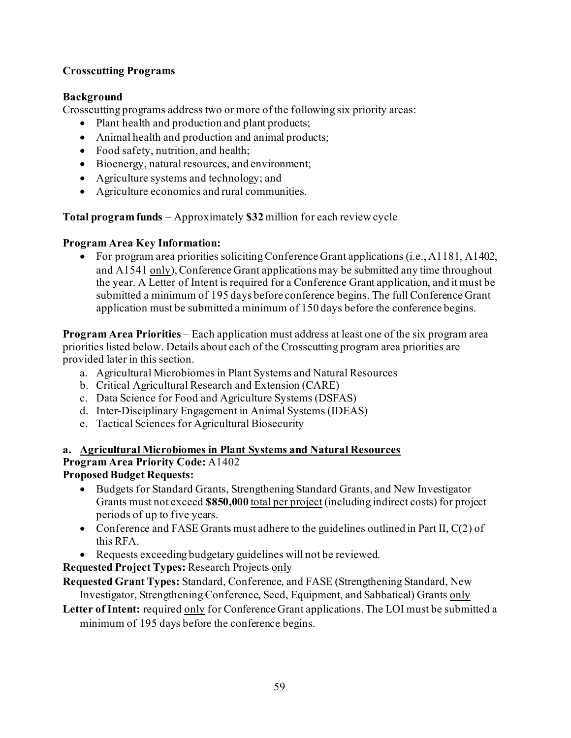## **Crosscutting Programs**

### **Background**

Crosscutting programs address two or more of the following six priority areas:

- Plant health and production and plant products;
- Animal health and production and animal products;
- Food safety, nutrition, and health;
- Bioenergy, natural resources, and environment;
- Agriculture systems and technology; and
- Agriculture economics and rural communities.

**Total program funds** – Approximately **\$32** million for each review cycle

### **Program Area Key Information:**

• For program area priorities soliciting Conference Grant applications (i.e., A1181, A1402, and A1541 only), Conference Grant applications may be submitted any time throughout the year. A Letter of Intent is required for a Conference Grant application, and it must be submitted a minimum of 195 days before conference begins. The full Conference Grant application must be submitted a minimum of 150 days before the conference begins.

**Program Area Priorities** – Each application must address at least one of the six program area priorities listed below. Details about each of the Crosscutting program area priorities are provided later in this section.

- a. Agricultural Microbiomes in Plant Systems and Natural Resources
- b. Critical Agricultural Research and Extension (CARE)
- c. Data Science for Food and Agriculture Systems (DSFAS)
- d. Inter-Disciplinary Engagement in Animal Systems (IDEAS)
- e. Tactical Sciences for Agricultural Biosecurity

#### **a. Agricultural Microbiomes in Plant Systems and Natural Resources Program Area Priority Code:** A1402 **Proposed Budget Requests:**

- Budgets for Standard Grants, Strengthening Standard Grants, and New Investigator Grants must not exceed **\$850,000** total per project (including indirect costs) for project periods of up to five years.
- Conference and FASE Grants must adhere to the guidelines outlined in Part II,  $C(2)$  of this RFA.
- Requests exceeding budgetary guidelines will not be reviewed.

**Requested Project Types:** Research Projects only

**Requested Grant Types:** Standard, Conference, and FASE (Strengthening Standard, New Investigator, Strengthening Conference, Seed, Equipment, and Sabbatical) Grants only

Letter of Intent: required only for Conference Grant applications. The LOI must be submitted a minimum of 195 days before the conference begins.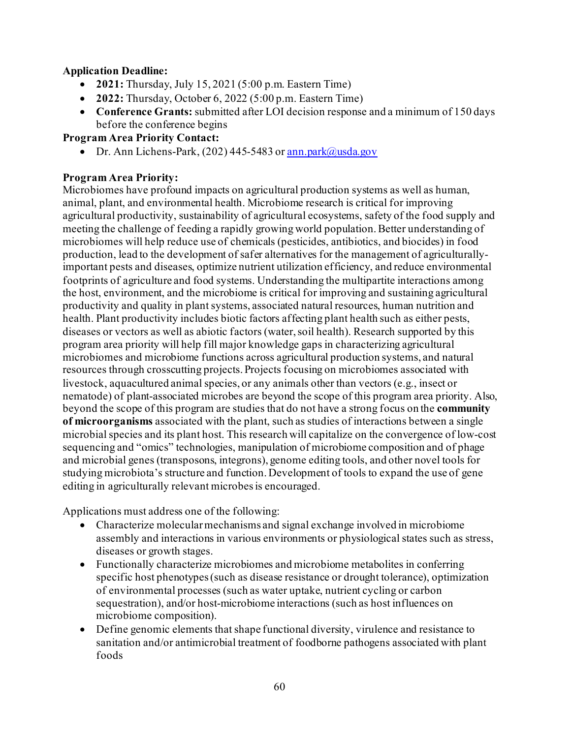### **Application Deadline:**

- **2021:** Thursday, July 15, 2021 (5:00 p.m. Eastern Time)
- **2022:** Thursday, October 6, 2022 (5:00 p.m. Eastern Time)
- **Conference Grants:** submitted after LOI decision response and a minimum of 150 days before the conference begins

### **Program Area Priority Contact:**

• Dr. Ann Lichens-Park, (202) 445-5483 o[r ann.park@usda.gov](mailto:ann.park@usda.gov)

### **Program Area Priority:**

Microbiomes have profound impacts on agricultural production systems as well as human, animal, plant, and environmental health. Microbiome research is critical for improving agricultural productivity, sustainability of agricultural ecosystems, safety of the food supply and meeting the challenge of feeding a rapidly growing world population. Better understanding of microbiomes will help reduce use of chemicals (pesticides, antibiotics, and biocides) in food production, lead to the development of safer alternatives for the management of agriculturallyimportant pests and diseases, optimize nutrient utilization efficiency, and reduce environmental footprints of agriculture and food systems. Understanding the multipartite interactions among the host, environment, and the microbiome is critical for improving and sustaining agricultural productivity and quality in plant systems, associated natural resources, human nutrition and health. Plant productivity includes biotic factors affecting plant health such as either pests, diseases or vectors as well as abiotic factors (water, soil health). Research supported by this program area priority will help fill major knowledge gaps in characterizing agricultural microbiomes and microbiome functions across agricultural production systems, and natural resources through crosscutting projects. Projects focusing on microbiomes associated with livestock, aquacultured animal species, or any animals other than vectors (e.g., insect or nematode) of plant-associated microbes are beyond the scope of this program area priority. Also, beyond the scope of this program are studies that do not have a strong focus on the **community of microorganisms** associated with the plant, such as studies of interactions between a single microbial species and its plant host. This research will capitalize on the convergence of low-cost sequencing and "omics" technologies, manipulation of microbiome composition and of phage and microbial genes (transposons, integrons), genome editing tools, and other novel tools for studying microbiota's structure and function. Development of tools to expand the use of gene editing in agriculturally relevant microbes is encouraged.

Applications must address one of the following:

- Characterize molecular mechanisms and signal exchange involved in microbiome assembly and interactions in various environments or physiological states such as stress, diseases or growth stages.
- Functionally characterize microbiomes and microbiome metabolites in conferring specific host phenotypes (such as disease resistance or drought tolerance), optimization of environmental processes (such as water uptake, nutrient cycling or carbon sequestration), and/or host-microbiome interactions (such as host influences on microbiome composition).
- Define genomic elements that shape functional diversity, virulence and resistance to sanitation and/or antimicrobial treatment of foodborne pathogens associated with plant foods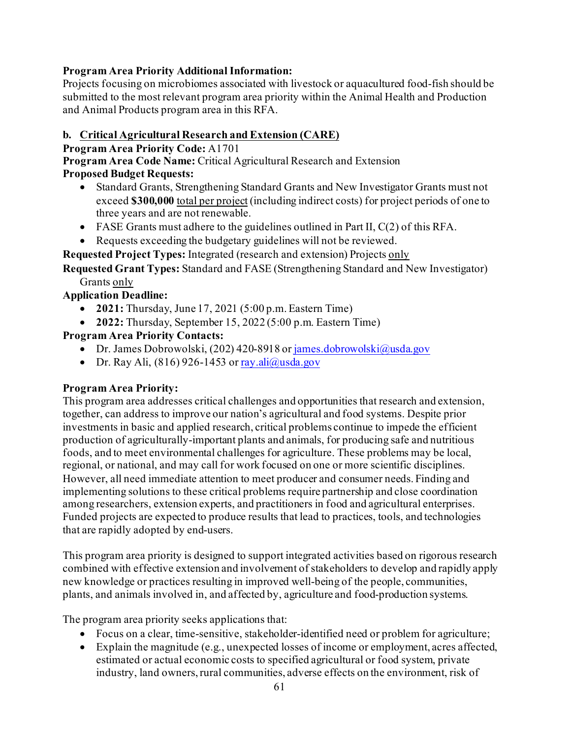## **Program Area Priority Additional Information:**

Projects focusing on microbiomes associated with livestock or aquacultured food-fish should be submitted to the most relevant program area priority within the Animal Health and Production and Animal Products program area in this RFA.

### **b. Critical Agricultural Research and Extension (CARE)**

**Program Area Priority Code:** A1701

**Program Area Code Name:** Critical Agricultural Research and Extension

### **Proposed Budget Requests:**

- Standard Grants, Strengthening Standard Grants and New Investigator Grants must not exceed **\$300,000** total per project (including indirect costs) for project periods of one to three years and are not renewable.
- FASE Grants must adhere to the guidelines outlined in Part II, C(2) of this RFA.
- Requests exceeding the budgetary guidelines will not be reviewed.

**Requested Project Types:** Integrated (research and extension) Projects only

**Requested Grant Types:** Standard and FASE (Strengthening Standard and New Investigator) Grants only

### **Application Deadline:**

- **2021:** Thursday, June 17, 2021 (5:00 p.m. Eastern Time)
- **2022:** Thursday, September 15, 2022 (5:00 p.m. Eastern Time)

## **Program Area Priority Contacts:**

- Dr. James Dobrowolski, (202) 420-8918 o[r james.dobrowolski@usda.gov](mailto:james.dobrowolski@usda.gov)
- Dr. Ray Ali,  $(816)$  926-1453 or ray.ali $@$ usda.gov

## **Program Area Priority:**

This program area addresses critical challenges and opportunities that research and extension, together, can address to improve our nation's agricultural and food systems. Despite prior investments in basic and applied research, critical problems continue to impede the efficient production of agriculturally-important plants and animals, for producing safe and nutritious foods, and to meet environmental challenges for agriculture. These problems may be local, regional, or national, and may call for work focused on one or more scientific disciplines. However, all need immediate attention to meet producer and consumer needs. Finding and implementing solutions to these critical problems require partnership and close coordination among researchers, extension experts, and practitioners in food and agricultural enterprises. Funded projects are expected to produce results that lead to practices, tools, and technologies that are rapidly adopted by end-users.

This program area priority is designed to support integrated activities based on rigorous research combined with effective extension and involvement of stakeholders to develop and rapidly apply new knowledge or practices resulting in improved well-being of the people, communities, plants, and animals involved in, and affected by, agriculture and food-production systems.

The program area priority seeks applications that:

- Focus on a clear, time-sensitive, stakeholder-identified need or problem for agriculture;
- Explain the magnitude (e.g., unexpected losses of income or employment, acres affected, estimated or actual economic costs to specified agricultural or food system, private industry, land owners, rural communities, adverse effects on the environment, risk of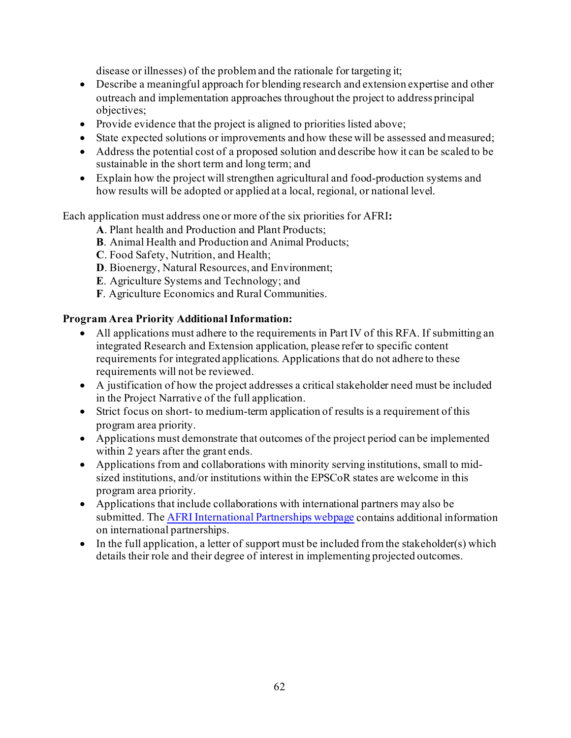disease or illnesses) of the problem and the rationale for targeting it;

- Describe a meaningful approach for blending research and extension expertise and other outreach and implementation approaches throughout the project to address principal objectives;
- Provide evidence that the project is aligned to priorities listed above;
- State expected solutions or improvements and how these will be assessed and measured;
- Address the potential cost of a proposed solution and describe how it can be scaled to be sustainable in the short term and long term; and
- Explain how the project will strengthen agricultural and food-production systems and how results will be adopted or applied at a local, regional, or national level.

Each application must address one or more of the six priorities for AFRI**:**

- **A**. Plant health and Production and Plant Products;
- **B**. Animal Health and Production and Animal Products;
- **C**. Food Safety, Nutrition, and Health;
- **D**. Bioenergy, Natural Resources, and Environment;
- **E**. Agriculture Systems and Technology; and
- **F**. Agriculture Economics and Rural Communities.

### **Program Area Priority Additional Information:**

- All applications must adhere to the requirements in Part IV of this RFA. If submitting an integrated Research and Extension application, please refer to specific content requirements for integrated applications. Applications that do not adhere to these requirements will not be reviewed.
- A justification of how the project addresses a critical stakeholder need must be included in the Project Narrative of the full application.
- Strict focus on short- to medium-term application of results is a requirement of this program area priority.
- Applications must demonstrate that outcomes of the project period can be implemented within 2 years after the grant ends.
- Applications from and collaborations with minority serving institutions, small to midsized institutions, and/or institutions within the EPSCoR states are welcome in this program area priority.
- Applications that include collaborations with international partners may also be submitted. Th[e AFRI International Partnerships webpage](https://nifa.usda.gov/resource/afri-international-partnerships) contains additional information on international partnerships.
- In the full application, a letter of support must be included from the stakeholder(s) which details their role and their degree of interest in implementing projected outcomes.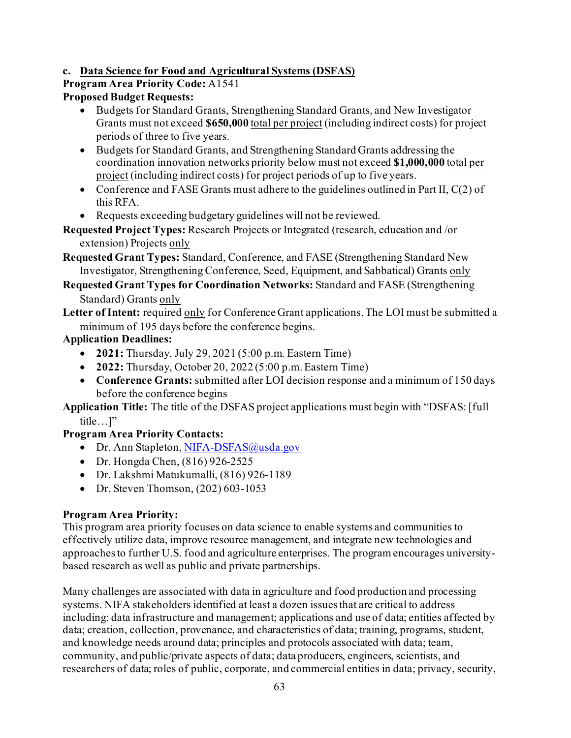## **c. Data Science for Food and Agricultural Systems (DSFAS)**

# **Program Area Priority Code:** A1541

## **Proposed Budget Requests:**

- Budgets for Standard Grants, Strengthening Standard Grants, and New Investigator Grants must not exceed **\$650,000** total per project (including indirect costs) for project periods of three to five years.
- Budgets for Standard Grants, and Strengthening Standard Grants addressing the coordination innovation networks priority below must not exceed **\$1,000,000** total per project (including indirect costs) for project periods of up to five years.
- Conference and FASE Grants must adhere to the guidelines outlined in Part II,  $C(2)$  of this RFA.
- Requests exceeding budgetary guidelines will not be reviewed.

#### **Requested Project Types:** Research Projects or Integrated (research, education and /or extension) Projects only

**Requested Grant Types:** Standard, Conference, and FASE (Strengthening Standard New Investigator, Strengthening Conference, Seed, Equipment, and Sabbatical) Grants only

**Requested Grant Types for Coordination Networks:** Standard and FASE (Strengthening Standard) Grants only

**Letter of Intent:** required only for Conference Grant applications. The LOI must be submitted a minimum of 195 days before the conference begins.

## **Application Deadlines:**

- **2021:** Thursday, July 29, 2021 (5:00 p.m. Eastern Time)
- **2022:** Thursday, October 20, 2022 (5:00 p.m. Eastern Time)
- **Conference Grants:** submitted after LOI decision response and a minimum of 150 days before the conference begins

**Application Title:** The title of the DSFAS project applications must begin with "DSFAS: [full title…]"

## **Program Area Priority Contacts:**

- Dr. Ann Stapleton, [NIFA-DSFAS@usda.gov](mailto:NIFA-DSFAS@usda.gov)
- Dr. Hongda Chen, (816) 926-2525
- Dr. Lakshmi Matukumalli, (816) 926-1189
- Dr. Steven Thomson, (202) 603-1053

## **Program Area Priority:**

This program area priority focuses on data science to enable systems and communities to effectively utilize data, improve resource management, and integrate new technologies and approaches to further U.S. food and agriculture enterprises. The program encourages universitybased research as well as public and private partnerships.

Many challenges are associated with data in agriculture and food production and processing systems. NIFA stakeholders identified at least a dozen issues that are critical to address including: data infrastructure and management; applications and use of data; entities affected by data; creation, collection, provenance, and characteristics of data; training, programs, student, and knowledge needs around data; principles and protocols associated with data; team, community, and public/private aspects of data; data producers, engineers, scientists, and researchers of data; roles of public, corporate, and commercial entities in data; privacy, security,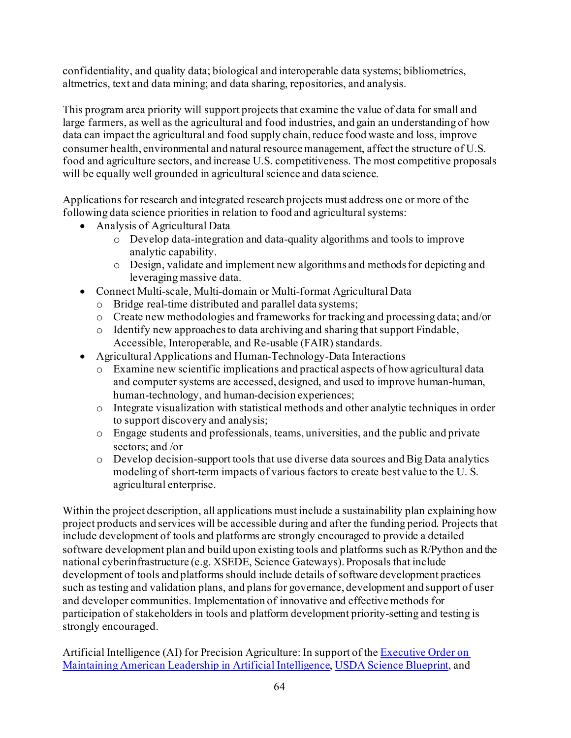confidentiality, and quality data; biological and interoperable data systems; bibliometrics, altmetrics, text and data mining; and data sharing, repositories, and analysis.

This program area priority will support projects that examine the value of data for small and large farmers, as well as the agricultural and food industries, and gain an understanding of how data can impact the agricultural and food supply chain, reduce food waste and loss, improve consumer health, environmental and natural resource management, affect the structure of U.S. food and agriculture sectors, and increase U.S. competitiveness. The most competitive proposals will be equally well grounded in agricultural science and data science.

Applications for research and integrated research projects must address one or more of the following data science priorities in relation to food and agricultural systems:

- Analysis of Agricultural Data
	- o Develop data-integration and data-quality algorithms and tools to improve analytic capability.
	- o Design, validate and implement new algorithms and methods for depicting and leveraging massive data.
- Connect Multi-scale, Multi-domain or Multi-format Agricultural Data
	- o Bridge real-time distributed and parallel data systems;
	- o Create new methodologies and frameworks for tracking and processing data; and/or
	- o Identify new approaches to data archiving and sharing that support Findable, Accessible, Interoperable, and Re-usable (FAIR) standards.
- Agricultural Applications and Human-Technology-Data Interactions
	- o Examine new scientific implications and practical aspects of how agricultural data and computer systems are accessed, designed, and used to improve human-human, human-technology, and human-decision experiences;
	- o Integrate visualization with statistical methods and other analytic techniques in order to support discovery and analysis;
	- o Engage students and professionals, teams, universities, and the public and private sectors; and /or
	- $\circ$  Develop decision-support tools that use diverse data sources and Big Data analytics modeling of short-term impacts of various factors to create best value to the U. S. agricultural enterprise.

Within the project description, all applications must include a sustainability plan explaining how project products and services will be accessible during and after the funding period. Projects that include development of tools and platforms are strongly encouraged to provide a detailed software development plan and build upon existing tools and platforms such as R/Python and the national cyberinfrastructure (e.g. XSEDE, Science Gateways). Proposals that include development of tools and platforms should include details of software development practices such as testing and validation plans, and plans for governance, development and support of user and developer communities. Implementation of innovative and effective methods for participation of stakeholders in tools and platform development priority-setting and testing is strongly encouraged.

Artificial Intelligence (AI) for Precision Agriculture: In support of th[e Executive Order on](https://www.whitehouse.gov/presidential-actions/executive-order-maintaining-american-leadership-artificial-intelligence/)  [Maintaining American Leadership in Artificial Intelligence](https://www.whitehouse.gov/presidential-actions/executive-order-maintaining-american-leadership-artificial-intelligence/)[, USDA Science Blueprint,](https://www.usda.gov/sites/default/files/documents/usda-science-blueprint.pdf) and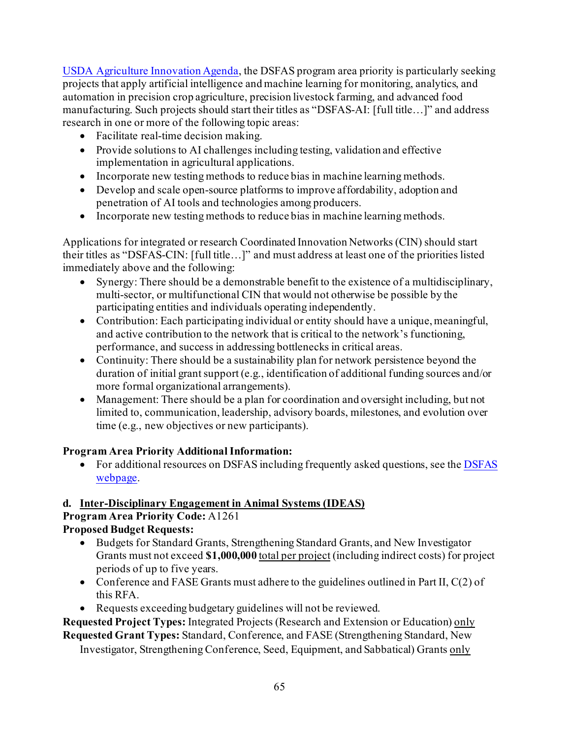[USDA Agriculture Innovation Agenda](https://www.usda.gov/sites/default/files/documents/agriculture-innovation-agenda-vision-statement.pdf), the DSFAS program area priority is particularly seeking projects that apply artificial intelligence and machine learning for monitoring, analytics, and automation in precision crop agriculture, precision livestock farming, and advanced food manufacturing. Such projects should start their titles as "DSFAS-AI: [full title…]" and address research in one or more of the following topic areas:

- Facilitate real-time decision making.
- Provide solutions to AI challenges including testing, validation and effective implementation in agricultural applications.
- Incorporate new testing methods to reduce bias in machine learning methods.
- Develop and scale open-source platforms to improve affordability, adoption and penetration of AI tools and technologies among producers.
- Incorporate new testing methods to reduce bias in machine learning methods.

Applications for integrated or research Coordinated Innovation Networks (CIN) should start their titles as "DSFAS-CIN: [full title…]" and must address at least one of the priorities listed immediately above and the following:

- Synergy: There should be a demonstrable benefit to the existence of a multidisciplinary, multi-sector, or multifunctional CIN that would not otherwise be possible by the participating entities and individuals operating independently.
- Contribution: Each participating individual or entity should have a unique, meaningful, and active contribution to the network that is critical to the network's functioning, performance, and success in addressing bottlenecks in critical areas.
- Continuity: There should be a sustainability plan for network persistence beyond the duration of initial grant support (e.g., identification of additional funding sources and/or more formal organizational arrangements).
- Management: There should be a plan for coordination and oversight including, but not limited to, communication, leadership, advisory boards, milestones, and evolution over time (e.g., new objectives or new participants).

## **Program Area Priority Additional Information:**

• For additional resources on DSFAS including frequently asked questions, see the DSFAS [webpage.](https://nifa.usda.gov/program/dsfas)

## **d. Inter-Disciplinary Engagement in Animal Systems (IDEAS)**

**Program Area Priority Code:** A1261

## **Proposed Budget Requests:**

- Budgets for Standard Grants, Strengthening Standard Grants, and New Investigator Grants must not exceed **\$1,000,000** total per project (including indirect costs) for project periods of up to five years.
- Conference and FASE Grants must adhere to the guidelines outlined in Part II,  $C(2)$  of this RFA.
- Requests exceeding budgetary guidelines will not be reviewed.

**Requested Project Types:** Integrated Projects (Research and Extension or Education) only **Requested Grant Types:** Standard, Conference, and FASE (Strengthening Standard, New

Investigator, Strengthening Conference, Seed, Equipment, and Sabbatical) Grants only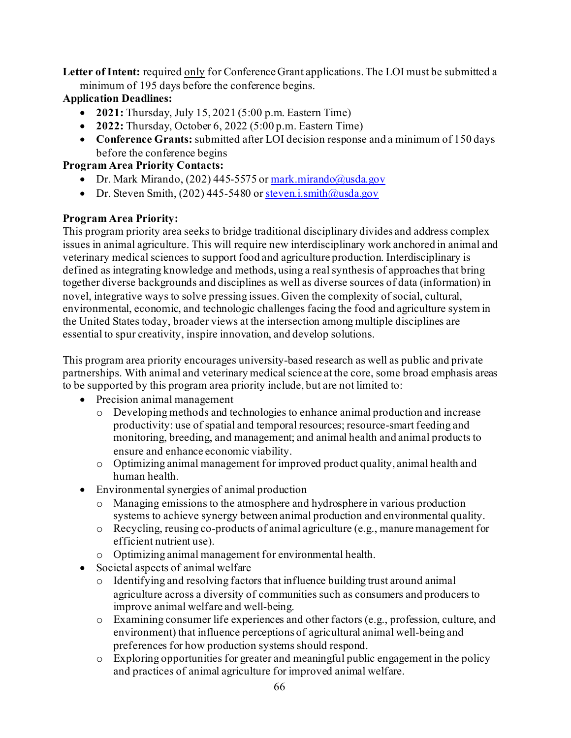Letter of Intent: required only for Conference Grant applications. The LOI must be submitted a minimum of 195 days before the conference begins.

## **Application Deadlines:**

- **2021:** Thursday, July 15, 2021 (5:00 p.m. Eastern Time)
- **2022:** Thursday, October 6, 2022 (5:00 p.m. Eastern Time)
- **Conference Grants:** submitted after LOI decision response and a minimum of 150 days before the conference begins

## **Program Area Priority Contacts:**

- Dr. Mark Mirando, (202) 445-5575 o[r mark.mirando@usda.gov](mailto:mark.mirando@usda.gov)
- Dr. Steven Smith,  $(202)$  445-5480 o[r steven.i.smith@usda.gov](mailto:steven.i.smith@usda.gov)

## **Program Area Priority:**

This program priority area seeks to bridge traditional disciplinary divides and address complex issues in animal agriculture. This will require new interdisciplinary work anchored in animal and veterinary medical sciences to support food and agriculture production. Interdisciplinary is defined as integrating knowledge and methods, using a real synthesis of approaches that bring together diverse backgrounds and disciplines as well as diverse sources of data (information) in novel, integrative ways to solve pressing issues. Given the complexity of social, cultural, environmental, economic, and technologic challenges facing the food and agriculture system in the United States today, broader views at the intersection among multiple disciplines are essential to spur creativity, inspire innovation, and develop solutions.

This program area priority encourages university-based research as well as public and private partnerships. With animal and veterinary medical science at the core, some broad emphasis areas to be supported by this program area priority include, but are not limited to:

- Precision animal management
	- o Developing methods and technologies to enhance animal production and increase productivity: use of spatial and temporal resources; resource-smart feeding and monitoring, breeding, and management; and animal health and animal products to ensure and enhance economic viability.
	- o Optimizing animal management for improved product quality, animal health and human health.
- Environmental synergies of animal production
	- o Managing emissions to the atmosphere and hydrosphere in various production systems to achieve synergy between animal production and environmental quality.
	- o Recycling, reusing co-products of animal agriculture (e.g., manure management for efficient nutrient use).
	- o Optimizing animal management for environmental health.
- Societal aspects of animal welfare
	- o Identifying and resolving factors that influence building trust around animal agriculture across a diversity of communities such as consumers and producers to improve animal welfare and well-being.
	- o Examining consumer life experiences and other factors (e.g., profession, culture, and environment) that influence perceptions of agricultural animal well-being and preferences for how production systems should respond.
	- o Exploring opportunities for greater and meaningful public engagement in the policy and practices of animal agriculture for improved animal welfare.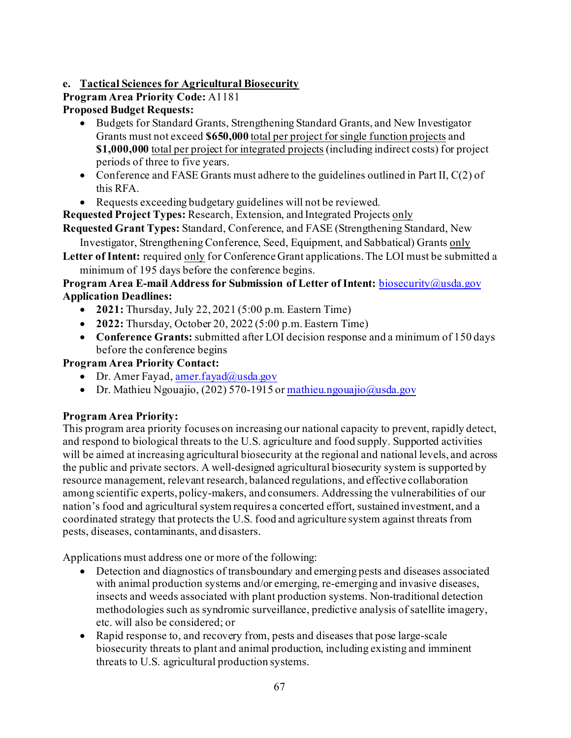## **e. Tactical Sciences for Agricultural Biosecurity**

# **Program Area Priority Code:** A1181

## **Proposed Budget Requests:**

- Budgets for Standard Grants, Strengthening Standard Grants, and New Investigator Grants must not exceed **\$650,000** total per project for single function projects and **\$1,000,000** total per project for integrated projects (including indirect costs) for project periods of three to five years.
- Conference and FASE Grants must adhere to the guidelines outlined in Part II,  $C(2)$  of this RFA.
- Requests exceeding budgetary guidelines will not be reviewed.

**Requested Project Types:** Research, Extension, and Integrated Projects only

**Requested Grant Types:** Standard, Conference, and FASE (Strengthening Standard, New Investigator, Strengthening Conference, Seed, Equipment, and Sabbatical) Grants only

**Letter of Intent:** required only for Conference Grant applications. The LOI must be submitted a minimum of 195 days before the conference begins.

### **Program Area E-mail Address for Submission of Letter of Intent:** [biosecurity@usda.gov](mailto:biosecurity@usda.gov) **Application Deadlines:**

- **2021:** Thursday, July 22, 2021 (5:00 p.m. Eastern Time)
- **2022:** Thursday, October 20, 2022 (5:00 p.m. Eastern Time)
- **Conference Grants:** submitted after LOI decision response and a minimum of 150 days before the conference begins

## **Program Area Priority Contact:**

- Dr. Amer Fayad[, amer.fayad@usda.gov](mailto:amer.fayad@usda.gov)
- Dr. Mathieu Ngouajio, (202) 570-1915 o[r mathieu.ngouajio@usda.gov](mailto:mathieu.ngouajio@usda.gov)

## **Program Area Priority:**

This program area priority focuses on increasing our national capacity to prevent, rapidly detect, and respond to biological threats to the U.S. agriculture and food supply. Supported activities will be aimed at increasing agricultural biosecurity at the regional and national levels, and across the public and private sectors. A well-designed agricultural biosecurity system is supported by resource management, relevant research, balanced regulations, and effective collaboration among scientific experts, policy-makers, and consumers. Addressing the vulnerabilities of our nation's food and agricultural system requires a concerted effort, sustained investment, and a coordinated strategy that protects the U.S. food and agriculture system against threats from pests, diseases, contaminants, and disasters.

Applications must address one or more of the following:

- Detection and diagnostics of transboundary and emerging pests and diseases associated with animal production systems and/or emerging, re-emerging and invasive diseases, insects and weeds associated with plant production systems. Non-traditional detection methodologies such as syndromic surveillance, predictive analysis of satellite imagery, etc. will also be considered; or
- Rapid response to, and recovery from, pests and diseases that pose large-scale biosecurity threats to plant and animal production, including existing and imminent threats to U.S. agricultural production systems.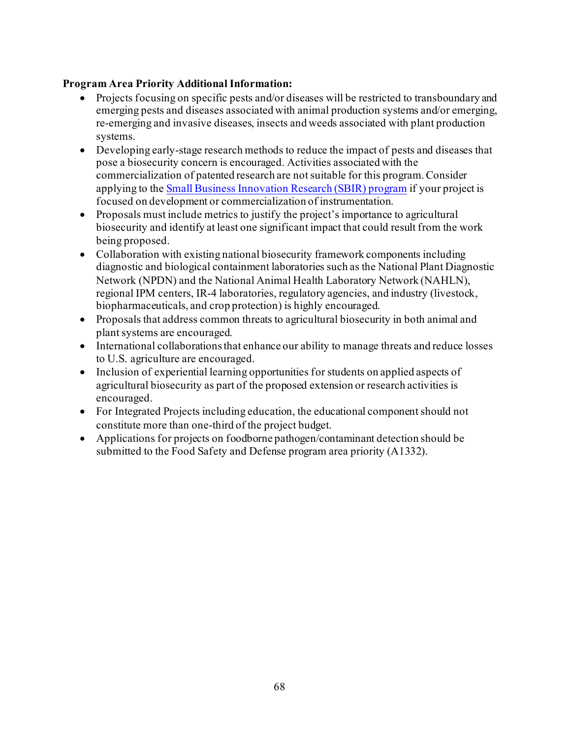### **Program Area Priority Additional Information:**

- Projects focusing on specific pests and/or diseases will be restricted to transboundary and emerging pests and diseases associated with animal production systems and/or emerging, re-emerging and invasive diseases, insects and weeds associated with plant production systems.
- Developing early-stage research methods to reduce the impact of pests and diseases that pose a biosecurity concern is encouraged. Activities associated with the commercialization of patented research are not suitable for this program. Consider applying to the [Small Business Innovation Research \(SBIR\) program](https://nifa.usda.gov/program/small-business-innovation-research-program-sbir) if your project is focused on development or commercialization of instrumentation.
- Proposals must include metrics to justify the project's importance to agricultural biosecurity and identify at least one significant impact that could result from the work being proposed.
- Collaboration with existing national biosecurity framework components including diagnostic and biological containment laboratories such as the National Plant Diagnostic Network (NPDN) and the National Animal Health Laboratory Network (NAHLN), regional IPM centers, IR-4 laboratories, regulatory agencies, and industry (livestock, biopharmaceuticals, and crop protection) is highly encouraged.
- Proposals that address common threats to agricultural biosecurity in both animal and plant systems are encouraged.
- International collaborations that enhance our ability to manage threats and reduce losses to U.S. agriculture are encouraged.
- Inclusion of experiential learning opportunities for students on applied aspects of agricultural biosecurity as part of the proposed extension or research activities is encouraged.
- For Integrated Projects including education, the educational component should not constitute more than one-third of the project budget.
- Applications for projects on foodborne pathogen/contaminant detection should be submitted to the Food Safety and Defense program area priority (A1332).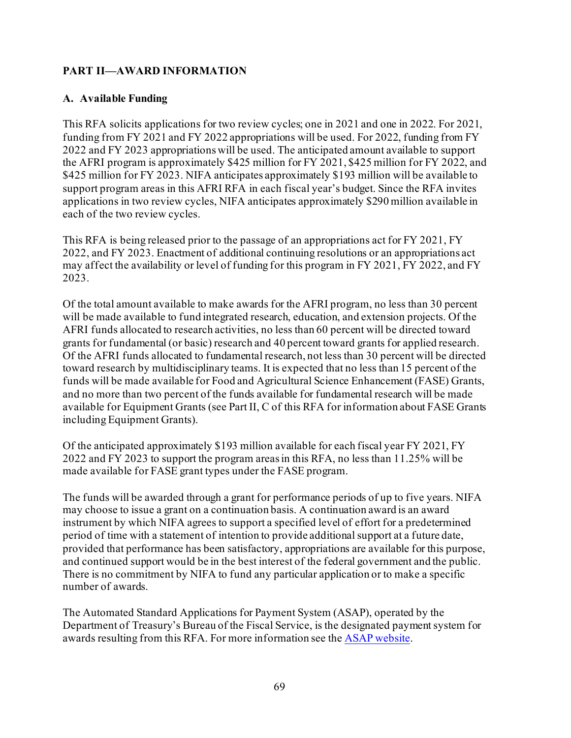### **PART II—AWARD INFORMATION**

### **A. Available Funding**

This RFA solicits applications for two review cycles; one in 2021 and one in 2022. For 2021, funding from FY 2021 and FY 2022 appropriations will be used. For 2022, funding from FY 2022 and FY 2023 appropriations will be used. The anticipated amount available to support the AFRI program is approximately \$425 million for FY 2021, \$425 million for FY 2022, and \$425 million for FY 2023. NIFA anticipates approximately \$193 million will be available to support program areas in this AFRI RFA in each fiscal year's budget. Since the RFA invites applications in two review cycles, NIFA anticipates approximately \$290 million available in each of the two review cycles.

This RFA is being released prior to the passage of an appropriations act for FY 2021, FY 2022, and FY 2023. Enactment of additional continuing resolutions or an appropriations act may affect the availability or level of funding for this program in FY 2021, FY 2022, and FY 2023.

Of the total amount available to make awards for the AFRI program, no less than 30 percent will be made available to fund integrated research, education, and extension projects. Of the AFRI funds allocated to research activities, no less than 60 percent will be directed toward grants for fundamental (or basic) research and 40 percent toward grants for applied research. Of the AFRI funds allocated to fundamental research, not less than 30 percent will be directed toward research by multidisciplinary teams. It is expected that no less than 15 percent of the funds will be made available for Food and Agricultural Science Enhancement (FASE) Grants, and no more than two percent of the funds available for fundamental research will be made available for Equipment Grants (see Part II, C of this RFA for information about FASE Grants including Equipment Grants).

Of the anticipated approximately \$193 million available for each fiscal year FY 2021, FY 2022 and FY 2023 to support the program areas in this RFA, no less than 11.25% will be made available for FASE grant types under the FASE program.

The funds will be awarded through a grant for performance periods of up to five years. NIFA may choose to issue a grant on a continuation basis. A continuation award is an award instrument by which NIFA agrees to support a specified level of effort for a predetermined period of time with a statement of intention to provide additional support at a future date, provided that performance has been satisfactory, appropriations are available for this purpose, and continued support would be in the best interest of the federal government and the public. There is no commitment by NIFA to fund any particular application or to make a specific number of awards.

The Automated Standard Applications for Payment System (ASAP), operated by the Department of Treasury's Bureau of the Fiscal Service, is the designated payment system for awards resulting from this RFA. For more information see the [ASAP website.](https://www.fiscal.treasury.gov/fsservices/gov/pmt/asap/asap_home.htm)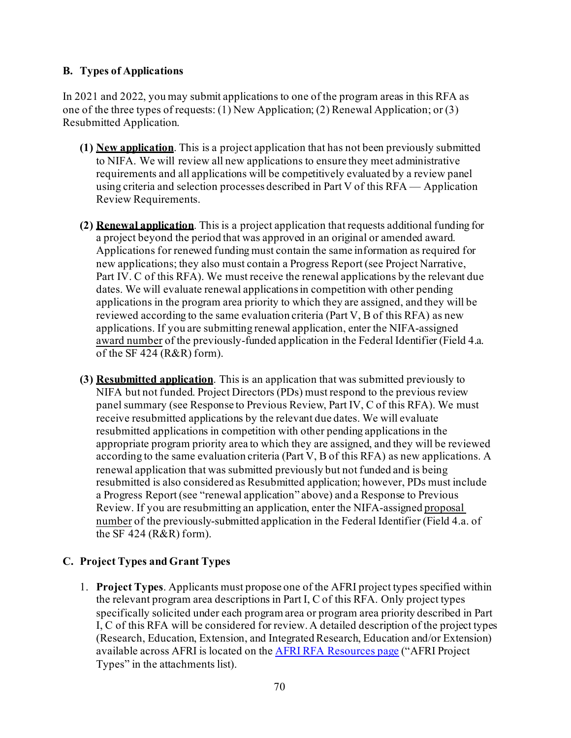### **B. Types of Applications**

In 2021 and 2022, you may submit applications to one of the program areas in this RFA as one of the three types of requests: (1) New Application; (2) Renewal Application; or (3) Resubmitted Application.

- **(1) New application**. This is a project application that has not been previously submitted to NIFA. We will review all new applications to ensure they meet administrative requirements and all applications will be competitively evaluated by a review panel using criteria and selection processes described in Part V of this RFA — Application Review Requirements.
- **(2) Renewal application**. This is a project application that requests additional funding for a project beyond the period that was approved in an original or amended award. Applications for renewed funding must contain the same information as required for new applications; they also must contain a Progress Report (see Project Narrative, Part IV. C of this RFA). We must receive the renewal applications by the relevant due dates. We will evaluate renewal applications in competition with other pending applications in the program area priority to which they are assigned, and they will be reviewed according to the same evaluation criteria (Part V, B of this RFA) as new applications. If you are submitting renewal application, enter the NIFA-assigned award number of the previously-funded application in the Federal Identifier (Field 4.a. of the SF 424 (R&R) form).
- **(3) Resubmitted application**. This is an application that was submitted previously to NIFA but not funded. Project Directors (PDs) must respond to the previous review panel summary (see Response to Previous Review, Part IV, C of this RFA). We must receive resubmitted applications by the relevant due dates. We will evaluate resubmitted applications in competition with other pending applications in the appropriate program priority area to which they are assigned, and they will be reviewed according to the same evaluation criteria (Part V, B of this RFA) as new applications. A renewal application that was submitted previously but not funded and is being resubmitted is also considered as Resubmitted application; however, PDs must include a Progress Report (see "renewal application" above) and a Response to Previous Review. If you are resubmitting an application, enter the NIFA-assigned proposal number of the previously-submitted application in the Federal Identifier (Field 4.a. of the SF 424 (R&R) form).

### **C. Project Types and Grant Types**

1. **Project Types**. Applicants must propose one of the AFRI project types specified within the relevant program area descriptions in Part I, C of this RFA. Only project types specifically solicited under each program area or program area priority described in Part I, C of this RFA will be considered for review. A detailed description of the project types (Research, Education, Extension, and Integrated Research, Education and/or Extension) available across AFRI is located on th[e AFRI RFA Resources page](https://nifa.usda.gov/resource/afri-request-applications-resources) ("AFRI Project Types" in the attachments list).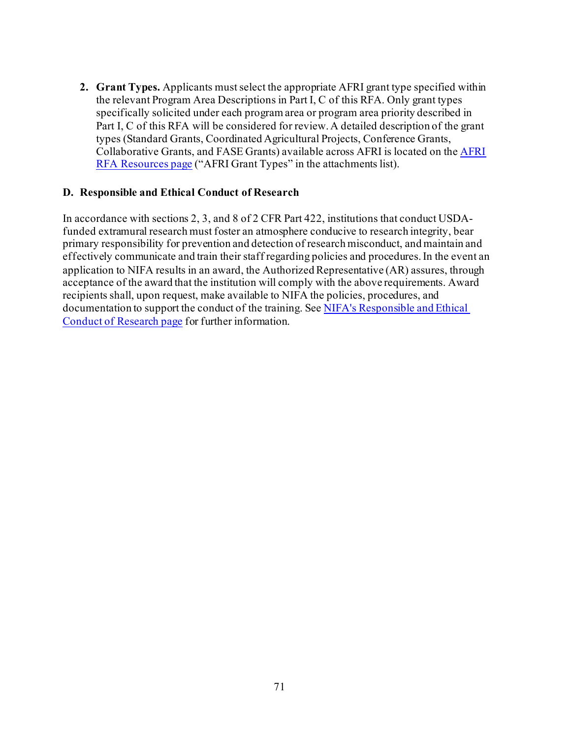**2. Grant Types.** Applicants must select the appropriate AFRI grant type specified within the relevant Program Area Descriptions in Part I, C of this RFA. Only grant types specifically solicited under each program area or program area priority described in Part I, C of this RFA will be considered for review. A detailed description of the grant types (Standard Grants, Coordinated Agricultural Projects, Conference Grants, Collaborative Grants, and FASE Grants) available across AFRI is located on th[e AFRI](https://nifa.usda.gov/resource/afri-request-applications-resources)  [RFA Resources page](https://nifa.usda.gov/resource/afri-request-applications-resources) ("AFRI Grant Types" in the attachments list).

#### **D. Responsible and Ethical Conduct of Research**

In accordance with sections 2, 3, and 8 of 2 CFR Part 422, institutions that conduct USDAfunded extramural research must foster an atmosphere conducive to research integrity, bear primary responsibility for prevention and detection of research misconduct, and maintain and effectively communicate and train their staff regarding policies and procedures.In the event an application to NIFA results in an award, the Authorized Representative (AR) assures, through acceptance of the award that the institution will comply with the above requirements. Award recipients shall, upon request, make available to NIFA the policies, procedures, and documentation to support the conduct of the training. Se[e NIFA's Responsible and Ethical](https://nifa.usda.gov/responsible-and-ethical-conduct-research)  [Conduct of Research page](https://nifa.usda.gov/responsible-and-ethical-conduct-research) for further information.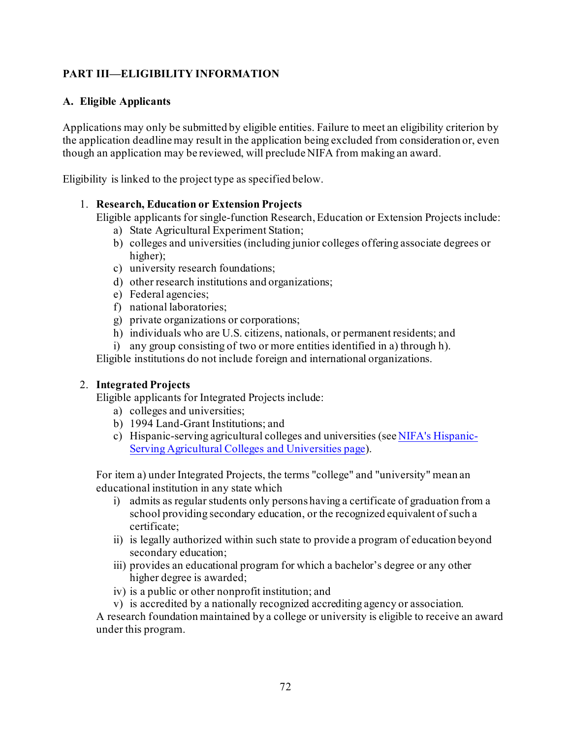## **PART III—ELIGIBILITY INFORMATION**

#### **A. Eligible Applicants**

Applications may only be submitted by eligible entities. Failure to meet an eligibility criterion by the application deadline may result in the application being excluded from consideration or, even though an application may be reviewed, will preclude NIFA from making an award.

Eligibility is linked to the project type as specified below.

#### 1. **Research, Education or Extension Projects**

Eligible applicants for single-function Research, Education or Extension Projects include:

- a) State Agricultural Experiment Station;
- b) colleges and universities (including junior colleges offering associate degrees or higher);
- c) university research foundations;
- d) other research institutions and organizations;
- e) Federal agencies;
- f) national laboratories;
- g) private organizations or corporations;
- h) individuals who are U.S. citizens, nationals, or permanent residents; and
- i) any group consisting of two or more entities identified in a) through h).

Eligible institutions do not include foreign and international organizations.

### 2. **Integrated Projects**

Eligible applicants for Integrated Projects include:

- a) colleges and universities;
- b) 1994 Land-Grant Institutions; and
- c) Hispanic-serving agricultural colleges and universities (se[e NIFA's Hispanic-](https://nifa.usda.gov/hispanic-serving-agricultural-colleges-and-universities-hsacu)[Serving Agricultural Colleges and Universities page](https://nifa.usda.gov/hispanic-serving-agricultural-colleges-and-universities-hsacu)).

For item a) under Integrated Projects, the terms "college" and "university" mean an educational institution in any state which

- i) admits as regular students only persons having a certificate of graduation from a school providing secondary education, or the recognized equivalent of such a certificate;
- ii) is legally authorized within such state to provide a program of education beyond secondary education;
- iii) provides an educational program for which a bachelor's degree or any other higher degree is awarded;
- iv) is a public or other nonprofit institution; and
- v) is accredited by a nationally recognized accrediting agency or association.

A research foundation maintained by a college or university is eligible to receive an award under this program.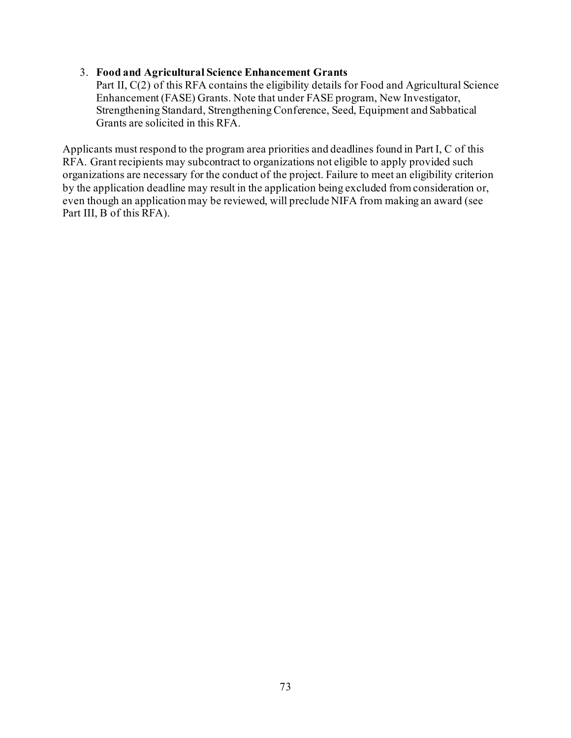#### 3. **Food and Agricultural Science Enhancement Grants**

Part II, C(2) of this RFA contains the eligibility details for Food and Agricultural Science Enhancement (FASE) Grants. Note that under FASE program, New Investigator, Strengthening Standard, Strengthening Conference, Seed, Equipment and Sabbatical Grants are solicited in this RFA.

Applicants must respond to the program area priorities and deadlines found in Part I, C of this RFA. Grant recipients may subcontract to organizations not eligible to apply provided such organizations are necessary for the conduct of the project. Failure to meet an eligibility criterion by the application deadline may result in the application being excluded from consideration or, even though an application may be reviewed, will preclude NIFA from making an award (see Part III, B of this RFA).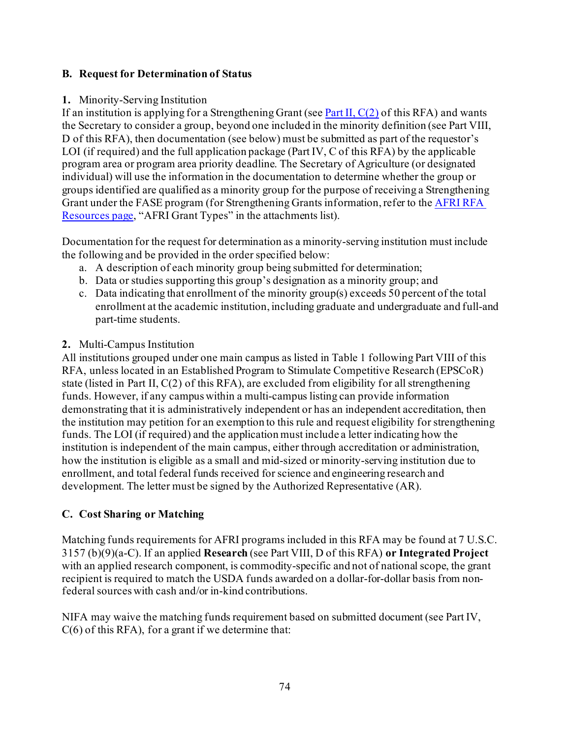### **B. Request for Determination of Status**

### **1.** Minority-Serving Institution

If an institution is applying for a Strengthening Grant (see Part II,  $C(2)$  of this RFA) and wants the Secretary to consider a group, beyond one included in the minority definition (see Part VIII, D of this RFA), then documentation (see below) must be submitted as part of the requestor's LOI (if required) and the full application package (Part IV, C of this RFA) by the applicable program area or program area priority deadline. The Secretary of Agriculture (or designated individual) will use the information in the documentation to determine whether the group or groups identified are qualified as a minority group for the purpose of receiving a Strengthening Grant under the FASE program (for Strengthening Grants information, refer to the [AFRI RFA](https://nifa.usda.gov/resource/afri-request-applications-resources)  [Resources page](https://nifa.usda.gov/resource/afri-request-applications-resources), "AFRI Grant Types" in the attachments list).

Documentation for the request for determination as a minority-serving institution must include the following and be provided in the order specified below:

- a. A description of each minority group being submitted for determination;
- b. Data or studies supporting this group's designation as a minority group; and
- c. Data indicating that enrollment of the minority group(s) exceeds 50 percent of the total enrollment at the academic institution, including graduate and undergraduate and full-and part-time students.

### **2.** Multi-Campus Institution

All institutions grouped under one main campus as listed in Table 1 following Part VIII of this RFA, unless located in an Established Program to Stimulate Competitive Research (EPSCoR) state (listed in Part II, C(2) of this RFA), are excluded from eligibility for all strengthening funds. However, if any campus within a multi-campus listing can provide information demonstrating that it is administratively independent or has an independent accreditation, then the institution may petition for an exemption to this rule and request eligibility for strengthening funds. The LOI (if required) and the application must include a letter indicating how the institution is independent of the main campus, either through accreditation or administration, how the institution is eligible as a small and mid-sized or minority-serving institution due to enrollment, and total federal funds received for science and engineering research and development. The letter must be signed by the Authorized Representative (AR).

# **C. Cost Sharing or Matching**

Matching funds requirements for AFRI programs included in this RFA may be found at 7 U.S.C. 3157 (b)(9)(a-C). If an applied **Research** (see Part VIII, D of this RFA) **or Integrated Project**  with an applied research component, is commodity-specific and not of national scope, the grant recipient is required to match the USDA funds awarded on a dollar-for-dollar basis from nonfederal sources with cash and/or in-kind contributions.

NIFA may waive the matching funds requirement based on submitted document (see Part IV,  $C(6)$  of this RFA), for a grant if we determine that: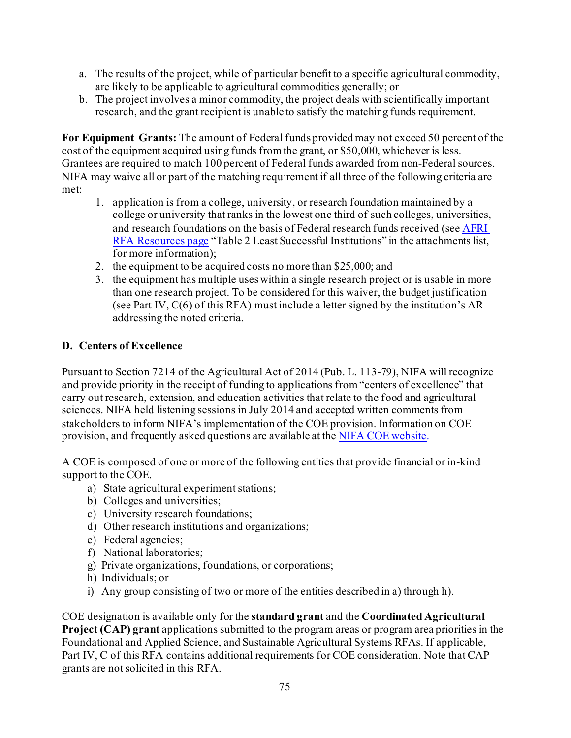- a. The results of the project, while of particular benefit to a specific agricultural commodity, are likely to be applicable to agricultural commodities generally; or
- b. The project involves a minor commodity, the project deals with scientifically important research, and the grant recipient is unable to satisfy the matching funds requirement.

**For Equipment Grants:** The amount of Federal funds provided may not exceed 50 percent of the cost of the equipment acquired using funds from the grant, or \$50,000, whichever is less. Grantees are required to match 100 percent of Federal funds awarded from non-Federal sources. NIFA may waive all or part of the matching requirement if all three of the following criteria are met:

- 1. application is from a college, university, or research foundation maintained by a college or university that ranks in the lowest one third of such colleges, universities, and research foundations on the basis of Federal research funds received (se[e AFRI](https://nifa.usda.gov/resource/afri-request-applications-resources)  [RFA Resources page](https://nifa.usda.gov/resource/afri-request-applications-resources) "Table 2 Least Successful Institutions" in the attachments list, for more information);
- 2. the equipment to be acquired costs no more than \$25,000; and
- 3. the equipment has multiple uses within a single research project or is usable in more than one research project. To be considered for this waiver, the budget justification (see Part IV, C(6) of this RFA) must include a letter signed by the institution's AR addressing the noted criteria.

# **D. Centers of Excellence**

Pursuant to Section 7214 of the Agricultural Act of 2014 (Pub. L. 113-79), NIFA will recognize and provide priority in the receipt of funding to applications from "centers of excellence" that carry out research, extension, and education activities that relate to the food and agricultural sciences. NIFA held listening sessions in July 2014 and accepted written comments from stakeholders to inform NIFA's implementation of the COE provision. Information on COE provision, and frequently asked questions are available at th[e NIFA COE website.](https://nifa.usda.gov/centers-excellence)

A COE is composed of one or more of the following entities that provide financial or in-kind support to the COE.

- a) State agricultural experiment stations;
- b) Colleges and universities;
- c) University research foundations;
- d) Other research institutions and organizations;
- e) Federal agencies;
- f) National laboratories;
- g) Private organizations, foundations, or corporations;
- h) Individuals; or
- i) Any group consisting of two or more of the entities described in a) through h).

COE designation is available only for the **standard grant** and the **Coordinated Agricultural Project (CAP) grant** applications submitted to the program areas or program area priorities in the Foundational and Applied Science, and Sustainable Agricultural Systems RFAs. If applicable, Part IV, C of this RFA contains additional requirements for COE consideration. Note that CAP grants are not solicited in this RFA.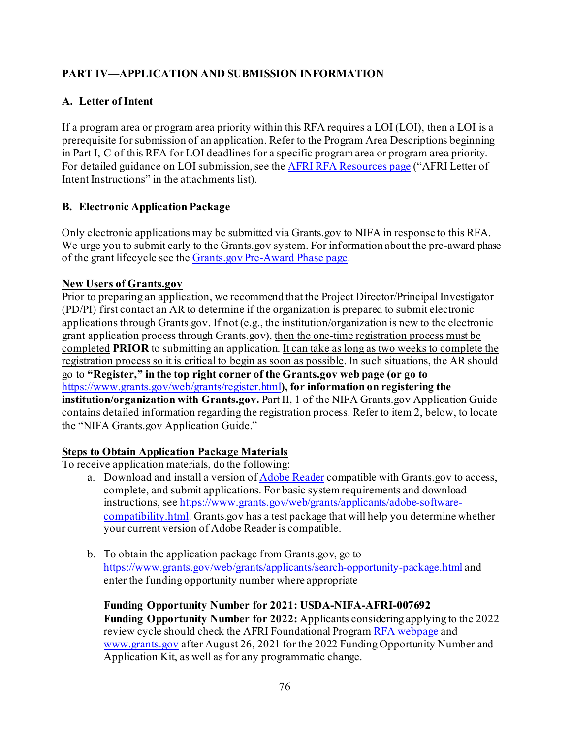# **PART IV—APPLICATION AND SUBMISSION INFORMATION**

### **A. Letter of Intent**

If a program area or program area priority within this RFA requires a LOI (LOI), then a LOI is a prerequisite for submission of an application. Refer to the Program Area Descriptions beginning in Part I, C of this RFA for LOI deadlines for a specific program area or program area priority. For detailed guidance on LOI submission, se[e the AFRI RFA Resources page](https://nifa.usda.gov/sites/default/files/resource/AFRI-Letter-of-Intent-Instructions.pdf) ("AFRI Letter of [Intent Instructions" in the attachments list\).](https://nifa.usda.gov/sites/default/files/resource/AFRI-Letter-of-Intent-Instructions.pdf)

### **B. Electronic Application Package**

Only electronic applications may be submitted via Grants.gov to NIFA in response to this RFA. We urge you to submit early to the Grants.gov system. For information about the pre-award phase of the grant lifecycle see the [Grants.gov Pre-Award Phase page](https://www.grants.gov/web/grants/learn-grants/grants-101/pre-award-phase.html).

### **New Users of Grants.gov**

Prior to preparing an application, we recommend that the Project Director/Principal Investigator (PD/PI) first contact an AR to determine if the organization is prepared to submit electronic applications through Grants.gov. If not (e.g., the institution/organization is new to the electronic grant application process through Grants.gov), then the one-time registration process must be completed **PRIOR** to submitting an application. It can take as long as two weeks to complete the registration process so it is critical to begin as soon as possible. In such situations, the AR should go to **"Register," in the top right corner of the Grants.gov web page (or go to** <https://www.grants.gov/web/grants/register.html>**), for information on registering the institution/organization with Grants.gov.** Part II, 1 of the NIFA Grants.gov Application Guide contains detailed information regarding the registration process. Refer to item 2, below, to locate the "NIFA Grants.gov Application Guide."

### **Steps to Obtain Application Package Materials**

To receive application materials, do the following:

- a. Download and install a version o[f Adobe Reader](https://get.adobe.com/reader/) compatible with Grants.gov to access, complete, and submit applications. For basic system requirements and download instructions, se[e https://www.grants.gov/web/grants/applicants/adobe-software](https://www.grants.gov/web/grants/applicants/adobe-software-compatibility.html)[compatibility.html](https://www.grants.gov/web/grants/applicants/adobe-software-compatibility.html). Grants.gov has a test package that will help you determine whether your current version of Adobe Reader is compatible.
- b. To obtain the application package from Grants.gov, go to <https://www.grants.gov/web/grants/applicants/search-opportunity-package.html> and enter the funding opportunity number where appropriate

**Funding Opportunity Number for 2021: USDA-NIFA-AFRI-007692 Funding Opportunity Number for 2022:** Applicants considering applying to the 2022 review cycle should check the AFRI Foundational Program [RFA webpage](https://www.nifa.usda.gov/funding-opportunity/methyl-bromide-transition) and [www.grants.gov](http://www.grants.gov/) after August 26, 2021 for the 2022 Funding Opportunity Number and Application Kit, as well as for any programmatic change.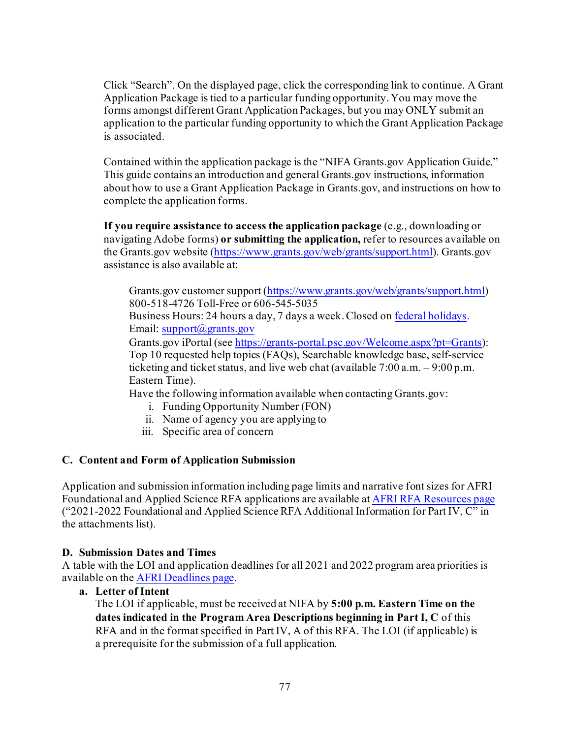Click "Search". On the displayed page, click the corresponding link to continue. A Grant Application Package is tied to a particular funding opportunity. You may move the forms amongst different Grant Application Packages, but you may ONLY submit an application to the particular funding opportunity to which the Grant Application Package is associated.

Contained within the application package is the "NIFA Grants.gov Application Guide." This guide contains an introduction and general Grants.gov instructions, information about how to use a Grant Application Package in Grants.gov, and instructions on how to complete the application forms.

**If you require assistance to access the application package** (e.g., downloading or navigating Adobe forms) **or submitting the application,** refer to resources available on the Grants.gov website [\(https://www.grants.gov/web/grants/support.html](https://www.grants.gov/web/grants/support.html)). Grants.gov assistance is also available at:

Grants.gov customer support [\(https://www.grants.gov/web/grants/support.html](https://www.grants.gov/web/grants/support.html)) 800-518-4726 Toll-Free or 606-545-5035

Business Hours: 24 hours a day, 7 days a week. Closed o[n federal holidays](https://www.opm.gov/policy-data-oversight/snow-dismissal-procedures/federal-holidays/). Email: [support@grants.gov](mailto:support@grants.gov)

Grants.gov iPortal (se[e https://grants-portal.psc.gov/Welcome.aspx?pt=Grants](https://grants-portal.psc.gov/Welcome.aspx?pt=Grants)): Top 10 requested help topics (FAQs), Searchable knowledge base, self-service ticketing and ticket status, and live web chat (available 7:00 a.m. – 9:00 p.m. Eastern Time).

Have the following information available when contacting Grants.gov:

- i. Funding Opportunity Number (FON)
- ii. Name of agency you are applying to
- iii. Specific area of concern

### **C. Content and Form of Application Submission**

Application and submission information including page limits and narrative font sizes for AFRI Foundational and Applied Science RFA applications are available at [AFRI RFA Resources page](https://nifa.usda.gov/resource/afri-request-applications-resources) ("2021-2022 Foundational and Applied Science RFA Additional Information for Part IV, C" in the attachments list).

#### **D. Submission Dates and Times**

A table with the LOI and application deadlines for all 2021 and 2022 program area priorities is available on th[e AFRI Deadlines page](https://nifa.usda.gov/afri-deadlines).

**a. Letter of Intent**

The LOI if applicable, must be received at NIFA by **5:00 p.m. Eastern Time on the dates indicated in the Program Area Descriptions beginning in Part I, C** of this RFA and in the format specified in Part IV, A of this RFA. The LOI (if applicable) is a prerequisite for the submission of a full application.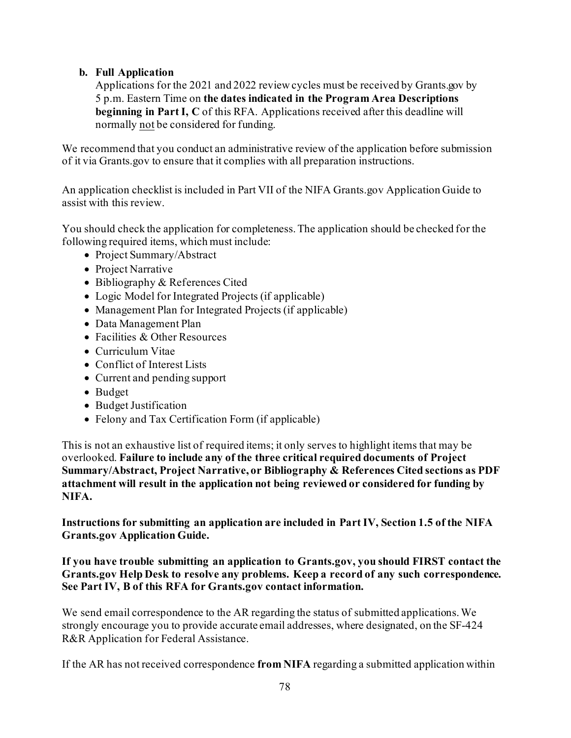### **b. Full Application**

Applications for the 2021 and 2022 reviewcycles must be received by Grants.gov by 5 p.m. Eastern Time on **the dates indicated in the Program Area Descriptions beginning in Part I, C** of this RFA. Applications received after this deadline will normally not be considered for funding.

We recommend that you conduct an administrative review of the application before submission of it via Grants.gov to ensure that it complies with all preparation instructions.

An application checklist is included in Part VII of the NIFA Grants.gov Application Guide to assist with this review.

You should check the application for completeness. The application should be checked for the following required items, which must include:

- Project Summary/Abstract
- Project Narrative
- Bibliography & References Cited
- Logic Model for Integrated Projects (if applicable)
- Management Plan for Integrated Projects (if applicable)
- Data Management Plan
- Facilities & Other Resources
- Curriculum Vitae
- Conflict of Interest Lists
- Current and pending support
- Budget
- Budget Justification
- Felony and Tax Certification Form (if applicable)

This is not an exhaustive list of required items; it only serves to highlight items that may be overlooked. **Failure to include any of the three critical required documents of Project Summary/Abstract, Project Narrative, or Bibliography & References Cited sections as PDF attachment will result in the application not being reviewed or considered for funding by NIFA.**

**Instructions for submitting an application are included in Part IV, Section 1.5 of the NIFA Grants.gov Application Guide.**

**If you have trouble submitting an application to Grants.gov, you should FIRST contact the Grants.gov Help Desk to resolve any problems. Keep a record of any such correspondence. See Part IV, B of this RFA for Grants.gov contact information.**

We send email correspondence to the AR regarding the status of submitted applications. We strongly encourage you to provide accurate email addresses, where designated, on the SF-424 R&R Application for Federal Assistance.

If the AR has not received correspondence **from NIFA** regarding a submitted application within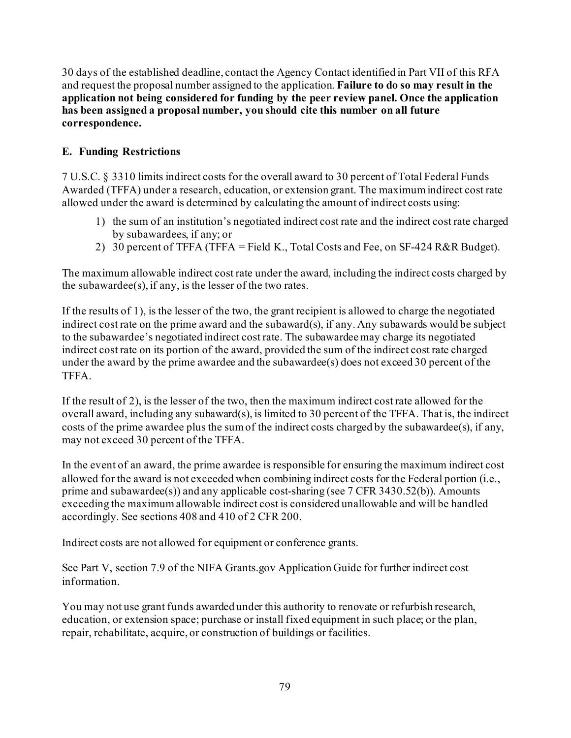30 days of the established deadline, contact the Agency Contact identified in Part VII of this RFA and request the proposal number assigned to the application. **Failure to do so may result in the application not being considered for funding by the peer review panel. Once the application has been assigned a proposal number, you should cite this number on all future correspondence.**

### **E. Funding Restrictions**

7 U.S.C. § 3310 limits indirect costs for the overall award to 30 percent of Total Federal Funds Awarded (TFFA) under a research, education, or extension grant. The maximum indirect cost rate allowed under the award is determined by calculating the amount of indirect costs using:

- 1) the sum of an institution's negotiated indirect cost rate and the indirect cost rate charged by subawardees, if any; or
- 2) 30 percent of TFFA (TFFA = Field K., Total Costs and Fee, on SF-424 R&R Budget).

The maximum allowable indirect cost rate under the award, including the indirect costs charged by the subawardee $(s)$ , if any, is the lesser of the two rates.

If the results of 1), is the lesser of the two, the grant recipient is allowed to charge the negotiated indirect cost rate on the prime award and the subaward(s), if any. Any subawards would be subject to the subawardee's negotiated indirect cost rate. The subawardee may charge its negotiated indirect cost rate on its portion of the award, provided the sum of the indirect cost rate charged under the award by the prime awardee and the subawardee(s) does not exceed 30 percent of the TFFA.

If the result of 2), is the lesser of the two, then the maximum indirect cost rate allowed for the overall award, including any subaward(s), is limited to 30 percent of the TFFA. That is, the indirect costs of the prime awardee plus the sum of the indirect costs charged by the subawardee(s), if any, may not exceed 30 percent of the TFFA.

In the event of an award, the prime awardee is responsible for ensuring the maximum indirect cost allowed for the award is not exceeded when combining indirect costs for the Federal portion (i.e., prime and subawardee(s)) and any applicable cost-sharing (see 7 CFR 3430.52(b)). Amounts exceeding the maximum allowable indirect cost is considered unallowable and will be handled accordingly. See sections 408 and 410 of 2 CFR 200.

Indirect costs are not allowed for equipment or conference grants.

See Part V, section 7.9 of the NIFA Grants.gov Application Guide for further indirect cost information.

You may not use grant funds awarded under this authority to renovate or refurbish research, education, or extension space; purchase or install fixed equipment in such place; or the plan, repair, rehabilitate, acquire, or construction of buildings or facilities.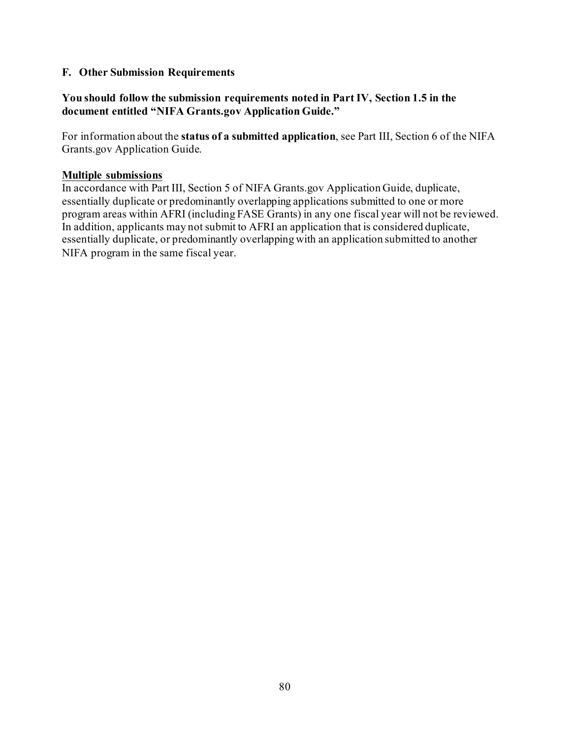#### **F. Other Submission Requirements**

#### **You should follow the submission requirements noted in Part IV, Section 1.5 in the document entitled "NIFA Grants.gov Application Guide."**

For information about the **status of a submitted application**, see Part III, Section 6 of the NIFA Grants.gov Application Guide.

#### **Multiple submissions**

In accordance with Part III, Section 5 of NIFA Grants.gov Application Guide, duplicate, essentially duplicate or predominantly overlapping applications submitted to one or more program areas within AFRI (including FASE Grants) in any one fiscal year will not be reviewed. In addition, applicants may not submit to AFRI an application that is considered duplicate, essentially duplicate, or predominantly overlapping with an application submitted to another NIFA program in the same fiscal year.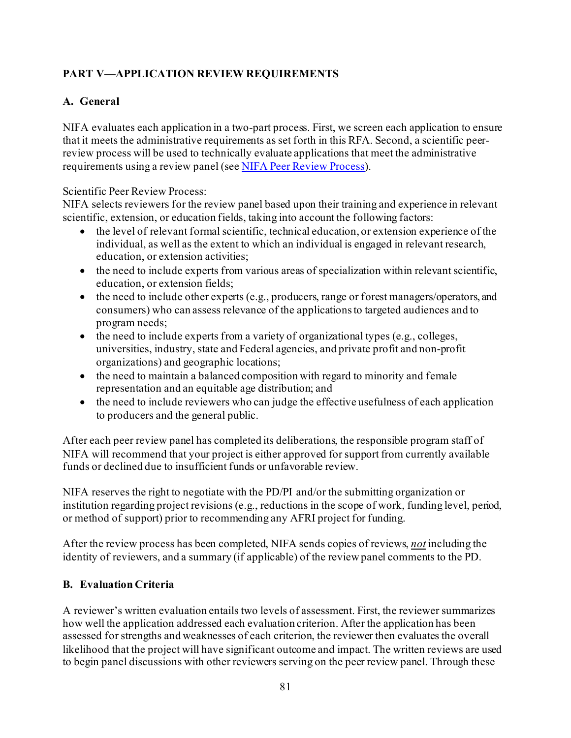# **PART V—APPLICATION REVIEW REQUIREMENTS**

# **A. General**

NIFA evaluates each application in a two-part process. First, we screen each application to ensure that it meets the administrative requirements as set forth in this RFA. Second, a scientific peerreview process will be used to technically evaluate applications that meet the administrative requirements using a review panel (se[e NIFA Peer Review Process](https://nifa.usda.gov/resource/nifa-peer-review-process-competitive-grant-applications)).

### Scientific Peer Review Process:

NIFA selects reviewers for the review panel based upon their training and experience in relevant scientific, extension, or education fields, taking into account the following factors:

- the level of relevant formal scientific, technical education, or extension experience of the individual, as well as the extent to which an individual is engaged in relevant research, education, or extension activities;
- the need to include experts from various areas of specialization within relevant scientific, education, or extension fields;
- the need to include other experts (e.g., producers, range or forest managers/operators, and consumers) who can assess relevance of the applications to targeted audiences and to program needs;
- the need to include experts from a variety of organizational types (e.g., colleges, universities, industry, state and Federal agencies, and private profit and non-profit organizations) and geographic locations;
- the need to maintain a balanced composition with regard to minority and female representation and an equitable age distribution; and
- the need to include reviewers who can judge the effective usefulness of each application to producers and the general public.

After each peer review panel has completed its deliberations, the responsible program staff of NIFA will recommend that your project is either approved for support from currently available funds or declined due to insufficient funds or unfavorable review.

NIFA reserves the right to negotiate with the PD/PI and/or the submitting organization or institution regarding project revisions (e.g., reductions in the scope of work, funding level, period, or method of support) prior to recommending any AFRI project for funding.

After the review process has been completed, NIFA sends copies of reviews, *not* including the identity of reviewers, and a summary (if applicable) of the review panel comments to the PD.

# **B. Evaluation Criteria**

A reviewer's written evaluation entails two levels of assessment. First, the reviewer summarizes how well the application addressed each evaluation criterion. After the application has been assessed for strengths and weaknesses of each criterion, the reviewer then evaluates the overall likelihood that the project will have significant outcome and impact. The written reviews are used to begin panel discussions with other reviewers serving on the peer review panel. Through these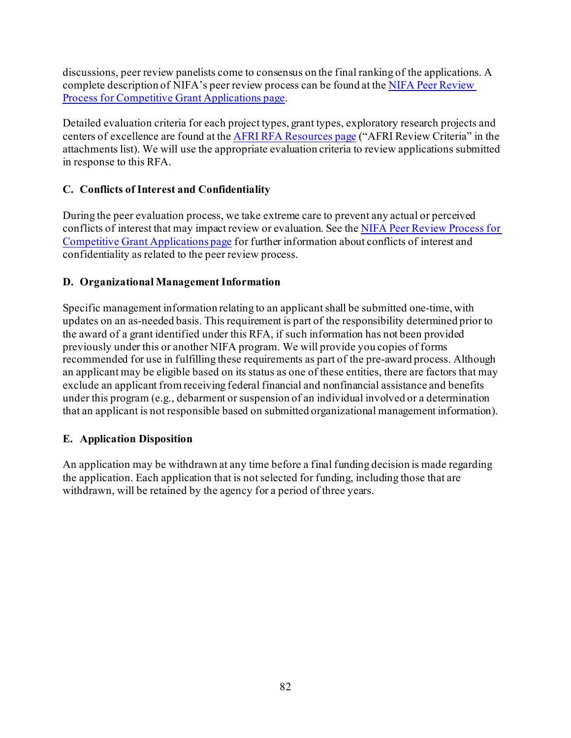discussions, peer review panelists come to consensus on the final ranking of the applications. A complete description of NIFA's peer review process can be found at the NIFA Peer Review [Process for Competitive Grant Applications page.](https://nifa.usda.gov/resource/nifa-peer-review-process-competitive-grant-applications)

Detailed evaluation criteria for each project types, grant types, exploratory research projects and centers of excellence are found at th[e AFRI RFA Resources page](https://nifa.usda.gov/resource/afri-request-applications-resources) ("AFRI Review Criteria" in the attachments list). We will use the appropriate evaluation criteria to review applications submitted in response to this RFA.

# **C. Conflicts of Interest and Confidentiality**

During the peer evaluation process, we take extreme care to prevent any actual or perceived conflicts of interest that may impact review or evaluation. See the NIFA Peer Review Process for [Competitive Grant Applications page](https://nifa.usda.gov/resource/nifa-peer-review-process-competitive-grant-applications) for further information about conflicts of interest and confidentiality as related to the peer review process.

### **D. Organizational Management Information**

Specific management information relating to an applicant shall be submitted one-time, with updates on an as-needed basis. This requirement is part of the responsibility determined prior to the award of a grant identified under this RFA, if such information has not been provided previously under this or another NIFA program. We will provide you copies of forms recommended for use in fulfilling these requirements as part of the pre-award process. Although an applicant may be eligible based on its status as one of these entities, there are factors that may exclude an applicant from receiving federal financial and nonfinancial assistance and benefits under this program (e.g., debarment or suspension of an individual involved or a determination that an applicant is not responsible based on submitted organizational management information).

### **E. Application Disposition**

An application may be withdrawn at any time before a final funding decision is made regarding the application. Each application that is not selected for funding, including those that are withdrawn, will be retained by the agency for a period of three years.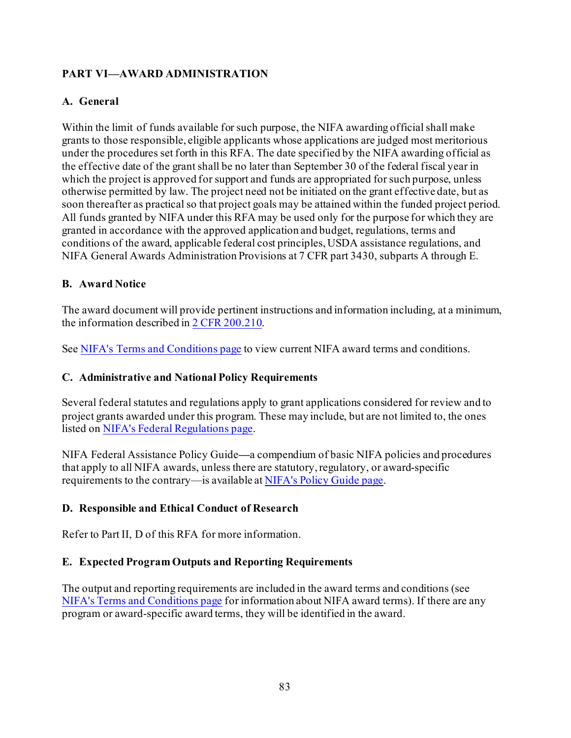# **PART VI—AWARD ADMINISTRATION**

### **A. General**

Within the limit of funds available for such purpose, the NIFA awarding official shall make grants to those responsible, eligible applicants whose applications are judged most meritorious under the procedures set forth in this RFA. The date specified by the NIFA awarding official as the effective date of the grant shall be no later than September 30 of the federal fiscal year in which the project is approved for support and funds are appropriated for such purpose, unless otherwise permitted by law. The project need not be initiated on the grant effective date, but as soon thereafter as practical so that project goals may be attained within the funded project period. All funds granted by NIFA under this RFA may be used only for the purpose for which they are granted in accordance with the approved application and budget, regulations, terms and conditions of the award, applicable federal cost principles, USDA assistance regulations, and NIFA General Awards Administration Provisions at 7 CFR part 3430, subparts A through E.

### **B. Award Notice**

The award document will provide pertinent instructions and information including, at a minimum, the information described i[n 2 CFR 200.210.](http://www.ecfr.gov/cgi-bin/text-idx?SID=70b44cfc44976f4a7742464f7cfbb37e&mc=true&node=se2.1.200_1210&rgn=div8)

See NIFA's [Terms and Conditions page](https://nifa.usda.gov/terms-and-conditions) to view current NIFA award terms and conditions.

### **C. Administrative and National Policy Requirements**

Several federal statutes and regulations apply to grant applications considered for review and to project grants awarded under this program. These may include, but are not limited to, the ones listed on [NIFA's Federal Regulations page.](https://nifa.usda.gov/federal-regulations)

NIFA Federal Assistance Policy Guide**—**a compendium of basic NIFA policies and procedures that apply to all NIFA awards, unless there are statutory, regulatory, or award-specific requirements to the contrary—is available a[t NIFA's Policy Guide page](https://nifa.usda.gov/policy-guide).

### **D. Responsible and Ethical Conduct of Research**

Refer to Part II, D of this RFA for more information.

### **E. Expected Program Outputs and Reporting Requirements**

The output and reporting requirements are included in the award terms and conditions (see [NIFA's Terms and Conditions page](https://nifa.usda.gov/terms-and-conditions) for information about NIFA award terms). If there are any program or award-specific award terms, they will be identified in the award.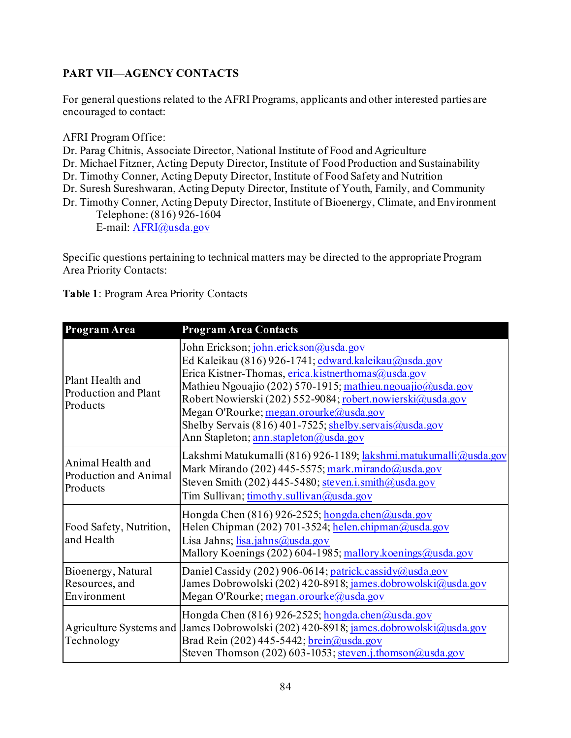# **PART VII—AGENCY CONTACTS**

For general questions related to the AFRI Programs, applicants and other interested parties are encouraged to contact:

AFRI Program Office:

Dr. Parag Chitnis, Associate Director, National Institute of Food and Agriculture

Dr. Michael Fitzner, Acting Deputy Director, Institute of Food Production and Sustainability

Dr. Timothy Conner, Acting Deputy Director, Institute of Food Safety and Nutrition

Dr. Suresh Sureshwaran, Acting Deputy Director, Institute of Youth, Family, and Community

Dr. Timothy Conner, Acting Deputy Director, Institute of Bioenergy, Climate, and Environment Telephone: (816) 926-1604

E-mail: [AFRI@usda.gov](mailto:AFRI@usda.gov)

Specific questions pertaining to technical matters may be directed to the appropriate Program Area Priority Contacts:

| Program Area                                           | <b>Program Area Contacts</b>                                                                                                                                                                                                                                                                                                                                                                                                  |
|--------------------------------------------------------|-------------------------------------------------------------------------------------------------------------------------------------------------------------------------------------------------------------------------------------------------------------------------------------------------------------------------------------------------------------------------------------------------------------------------------|
| Plant Health and<br>Production and Plant<br>Products   | John Erickson; john.erickson@usda.gov<br>Ed Kaleikau (816) 926-1741; edward.kaleikau@usda.gov<br>Erica Kistner-Thomas, erica.kistnerthomas@usda.gov<br>Mathieu Ngouajio (202) 570-1915; mathieu.ngouajio@usda.gov<br>Robert Nowierski (202) 552-9084; robert.nowierski@usda.gov<br>Megan O'Rourke; megan.orourke@usda.gov<br>Shelby Servais (816) 401-7525; shelby servais @usda.gov<br>Ann Stapleton; ann.stapleton@usda.gov |
| Animal Health and<br>Production and Animal<br>Products | Lakshmi Matukumalli (816) 926-1189; lakshmi.matukumalli@usda.gov<br>Mark Mirando (202) 445-5575; mark.mirando@usda.gov<br>Steven Smith (202) 445-5480; steven.i.smith@usda.gov<br>Tim Sullivan; timothy.sullivan@usda.gov                                                                                                                                                                                                     |
| Food Safety, Nutrition,<br>and Health                  | Hongda Chen (816) 926-2525; hongda.chen@usda.gov<br>Helen Chipman (202) 701-3524; helen.chipman@usda.gov<br>Lisa Jahns; lisa.jahns@usda.gov<br>Mallory Koenings (202) 604-1985; mallory koenings@usda.gov                                                                                                                                                                                                                     |
| Bioenergy, Natural<br>Resources, and<br>Environment    | Daniel Cassidy (202) 906-0614; patrick.cassidy@usda.gov<br>James Dobrowolski (202) 420-8918; james.dobrowolski@usda.gov<br>Megan O'Rourke; megan.orourke@usda.gov                                                                                                                                                                                                                                                             |
| Technology                                             | Hongda Chen (816) 926-2525; hongda.chen@usda.gov<br>Agriculture Systems and James Dobrowolski (202) 420-8918; james.dobrowolski@usda.gov<br>Brad Rein (202) 445-5442; brein@usda.gov<br>Steven Thomson (202) 603-1053; steven.j.thomson@usda.gov                                                                                                                                                                              |

**Table 1**: Program Area Priority Contacts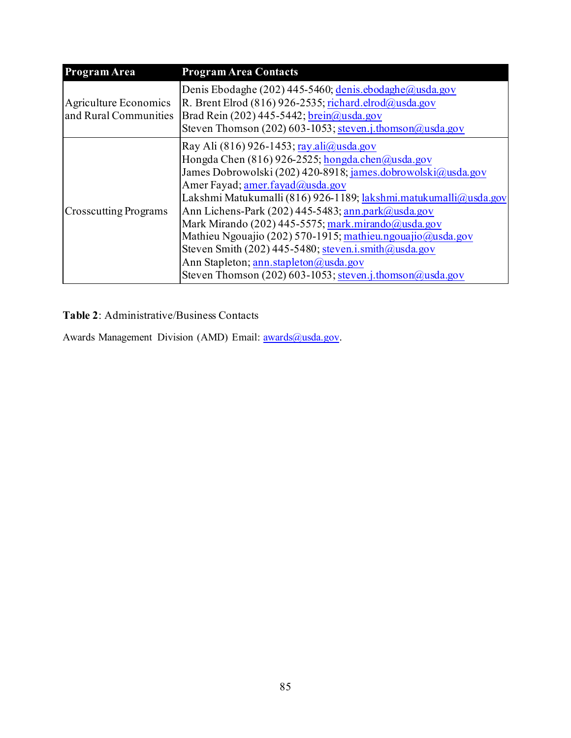| Program Area                                   | <b>Program Area Contacts</b>                                                                                                                                                                                                                                                                                                                                                                                                                                                                                                                                                                                       |
|------------------------------------------------|--------------------------------------------------------------------------------------------------------------------------------------------------------------------------------------------------------------------------------------------------------------------------------------------------------------------------------------------------------------------------------------------------------------------------------------------------------------------------------------------------------------------------------------------------------------------------------------------------------------------|
| Agriculture Economics<br>and Rural Communities | Denis Ebodaghe (202) 445-5460; denis ebodaghe@usda.gov<br>R. Brent Elrod (816) 926-2535; richard.elrod@usda.gov<br>Brad Rein (202) 445-5442; brein@usda.gov<br>Steven Thomson (202) 603-1053; steven.j.thomson@usda.gov                                                                                                                                                                                                                                                                                                                                                                                            |
| <b>Crosscutting Programs</b>                   | Ray Ali $(816)$ 926-1453; ray ali $@$ usda.gov<br>Hongda Chen $(816)$ 926-2525; hongda.chen@usda.gov<br>James Dobrowolski (202) 420-8918; james.dobrowolski@usda.gov<br>Amer Fayad; amer.fayad@usda.gov<br>Lakshmi Matukumalli (816) 926-1189; lakshmi.matukumalli@usda.gov<br>Ann Lichens-Park (202) 445-5483; ann.park@usda.gov<br>Mark Mirando (202) 445-5575; mark.mirando@usda.gov<br>Mathieu Ngouajio (202) 570-1915; mathieu.ngouajio@usda.gov<br>Steven Smith (202) 445-5480; steven.i.smith@usda.gov<br>Ann Stapleton; ann.stapleton@usda.gov<br>Steven Thomson (202) 603-1053; steven.j.thomson@usda.gov |

**Table 2**: Administrative/Business Contacts

Awards Management Division (AMD) Email: [awards@usda.gov.](mailto:awards@usda.gov)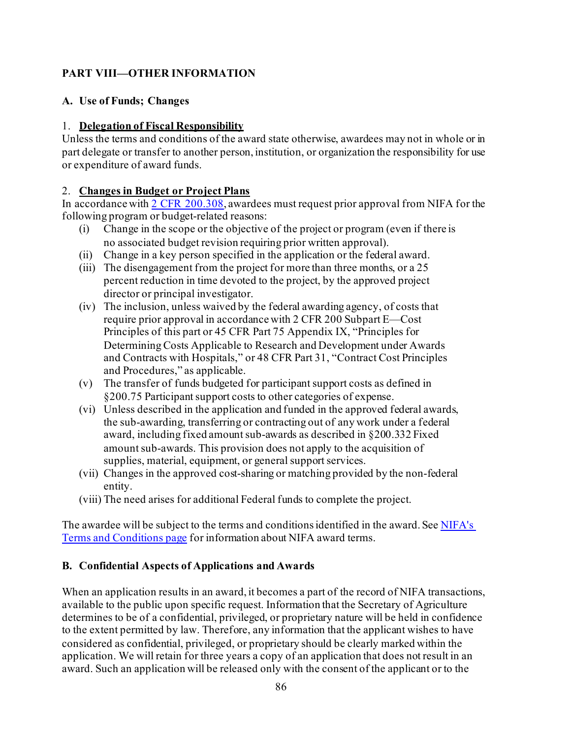# **PART VIII—OTHER INFORMATION**

### **A. Use of Funds; Changes**

### 1. **Delegation of Fiscal Responsibility**

Unless the terms and conditions of the award state otherwise, awardees may not in whole or in part delegate or transfer to another person, institution, or organization the responsibility for use or expenditure of award funds.

### 2. **Changes in Budget or Project Plans**

In accordance with [2 CFR 200.308](http://www.ecfr.gov/cgi-bin/text-idx?SID=3af89506559b05297e7d0334cb283e24&mc=true&node=se2.1.200_1308&rgn=div8), awardees must request prior approval from NIFA for the following program or budget-related reasons:

- (i) Change in the scope or the objective of the project or program (even if there is no associated budget revision requiring prior written approval).
- (ii) Change in a key person specified in the application or the federal award.
- (iii) The disengagement from the project for more than three months, or a 25 percent reduction in time devoted to the project, by the approved project director or principal investigator.
- (iv) The inclusion, unless waived by the federal awarding agency, of costs that require prior approval in accordance with 2 CFR 200 Subpart E—Cost Principles of this part or 45 CFR Part 75 Appendix IX, "Principles for Determining Costs Applicable to Research and Development under Awards and Contracts with Hospitals," or 48 CFR Part 31, "Contract Cost Principles and Procedures," as applicable.
- (v) The transfer of funds budgeted for participant support costs as defined in §200.75 Participant support costs to other categories of expense.
- (vi) Unless described in the application and funded in the approved federal awards, the sub-awarding, transferring or contracting out of any work under a federal award, including fixed amount sub-awards as described in §200.332 Fixed amount sub-awards. This provision does not apply to the acquisition of supplies, material, equipment, or general support services.
- (vii) Changes in the approved cost-sharing or matching provided by the non-federal entity.
- (viii) The need arises for additional Federal funds to complete the project.

The awardee will be subject to the terms and conditions identified in the award. See [NIFA's](https://nifa.usda.gov/terms-and-conditions)  [Terms and Conditions page](https://nifa.usda.gov/terms-and-conditions) for information about NIFA award terms.

# **B. Confidential Aspects of Applications and Awards**

When an application results in an award, it becomes a part of the record of NIFA transactions, available to the public upon specific request. Information that the Secretary of Agriculture determines to be of a confidential, privileged, or proprietary nature will be held in confidence to the extent permitted by law. Therefore, any information that the applicant wishes to have considered as confidential, privileged, or proprietary should be clearly marked within the application. We will retain for three years a copy of an application that does not result in an award. Such an application will be released only with the consent of the applicant or to the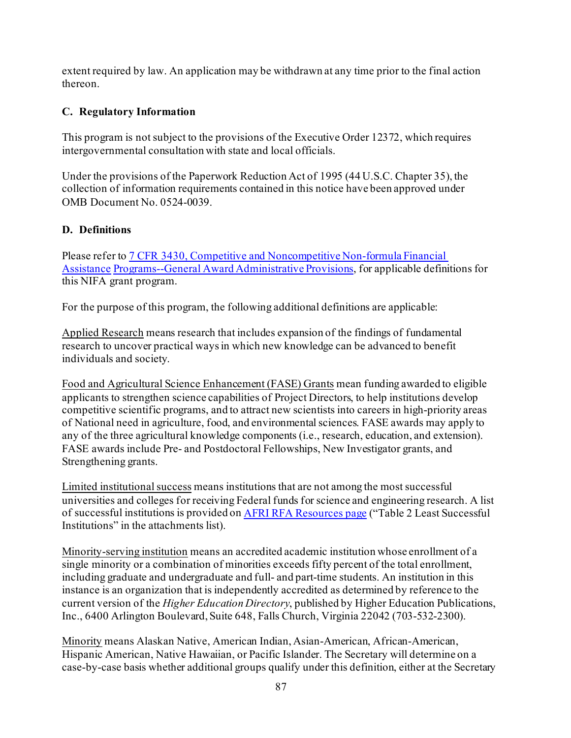extent required by law. An application may be withdrawn at any time prior to the final action thereon.

### **C. Regulatory Information**

This program is not subject to the provisions of the Executive Order 12372, which requires intergovernmental consultation with state and local officials.

Under the provisions of the Paperwork Reduction Act of 1995 (44 U.S.C. Chapter 35), the collection of information requirements contained in this notice have been approved under OMB Document No. 0524-0039.

### **D. Definitions**

Please refer t[o 7 CFR 3430, Competitive and Noncompetitive Non-formula Financial](http://www.ecfr.gov/cgi-bin/text-idx?c=ecfr&SID=2a6f6bfbef4c918616eebe5353d0793c&rgn=div5&view=text&node=7%3A15.1.12.2.13&idno=7&7%3A15.1.12.2.13.1.17.2)  [Assistance](http://www.ecfr.gov/cgi-bin/text-idx?c=ecfr&SID=2a6f6bfbef4c918616eebe5353d0793c&rgn=div5&view=text&node=7%3A15.1.12.2.13&idno=7&7%3A15.1.12.2.13.1.17.2) [Programs--General Award Administrative Provisions](http://www.ecfr.gov/cgi-bin/text-idx?c=ecfr&SID=2a6f6bfbef4c918616eebe5353d0793c&rgn=div5&view=text&node=7%3A15.1.12.2.13&idno=7&7%3A15.1.12.2.13.1.17.2), for applicable definitions for this NIFA grant program.

For the purpose of this program, the following additional definitions are applicable:

Applied Research means research that includes expansion of the findings of fundamental research to uncover practical ways in which new knowledge can be advanced to benefit individuals and society.

Food and Agricultural Science Enhancement (FASE) Grants mean funding awarded to eligible applicants to strengthen science capabilities of Project Directors, to help institutions develop competitive scientific programs, and to attract new scientists into careers in high-priority areas of National need in agriculture, food, and environmental sciences. FASE awards may apply to any of the three agricultural knowledge components (i.e., research, education, and extension). FASE awards include Pre- and Postdoctoral Fellowships, New Investigator grants, and Strengthening grants.

Limited institutional success means institutions that are not among the most successful universities and colleges for receiving Federal funds for science and engineering research. A list of successful institutions is provided o[n AFRI RFA Resources page](https://nifa.usda.gov/resource/afri-request-applications-resources) ("Table 2 Least Successful Institutions" in the attachments list).

Minority-serving institution means an accredited academic institution whose enrollment of a single minority or a combination of minorities exceeds fifty percent of the total enrollment, including graduate and undergraduate and full- and part-time students. An institution in this instance is an organization that is independently accredited as determined by reference to the current version of the *Higher Education Directory*, published by Higher Education Publications, Inc., 6400 Arlington Boulevard, Suite 648, Falls Church, Virginia 22042 (703-532-2300).

Minority means Alaskan Native, American Indian, Asian-American, African-American, Hispanic American, Native Hawaiian, or Pacific Islander. The Secretary will determine on a case-by-case basis whether additional groups qualify under this definition, either at the Secretary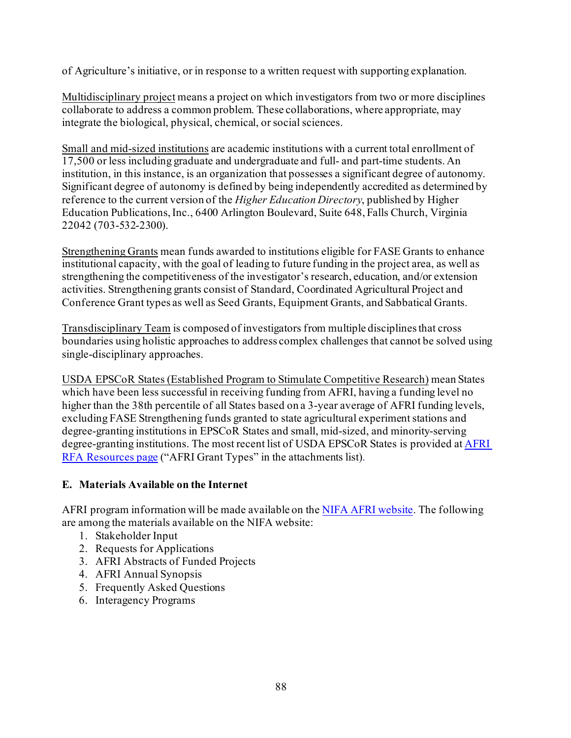of Agriculture's initiative, or in response to a written request with supporting explanation.

Multidisciplinary project means a project on which investigators from two or more disciplines collaborate to address a common problem. These collaborations, where appropriate, may integrate the biological, physical, chemical, or social sciences.

Small and mid-sized institutions are academic institutions with a current total enrollment of 17,500 or less including graduate and undergraduate and full- and part-time students. An institution, in this instance, is an organization that possesses a significant degree of autonomy. Significant degree of autonomy is defined by being independently accredited as determined by reference to the current version of the *Higher Education Directory*, published by Higher Education Publications, Inc., 6400 Arlington Boulevard, Suite 648, Falls Church, Virginia 22042 (703-532-2300).

Strengthening Grants mean funds awarded to institutions eligible for FASE Grants to enhance institutional capacity, with the goal of leading to future funding in the project area, as well as strengthening the competitiveness of the investigator's research, education, and/or extension activities. Strengthening grants consist of Standard, Coordinated Agricultural Project and Conference Grant types as well as Seed Grants, Equipment Grants, and Sabbatical Grants.

Transdisciplinary Team is composed of investigators from multiple disciplines that cross boundaries using holistic approaches to address complex challenges that cannot be solved using single-disciplinary approaches.

USDA EPSCoR States (Established Program to Stimulate Competitive Research) mean States which have been less successful in receiving funding from AFRI, having a funding level no higher than the 38th percentile of all States based on a 3-year average of AFRI funding levels, excluding FASE Strengthening funds granted to state agricultural experiment stations and degree-granting institutions in EPSCoR States and small, mid-sized, and minority-serving degree-granting institutions. The most recent list of USDA EPSCoR States is provided at AFRI [RFA Resources page](https://nifa.usda.gov/resource/afri-request-applications-resources) ("AFRI Grant Types" in the attachments list).

### **E. Materials Available on the Internet**

AFRI program information will be made available on th[e NIFA AFRI website.](https://nifa.usda.gov/program/agriculture-and-food-research-initiative-afri) The following are among the materials available on the NIFA website:

- 1. Stakeholder Input
- 2. Requests for Applications
- 3. AFRI Abstracts of Funded Projects
- 4. AFRI Annual Synopsis
- 5. Frequently Asked Questions
- 6. Interagency Programs